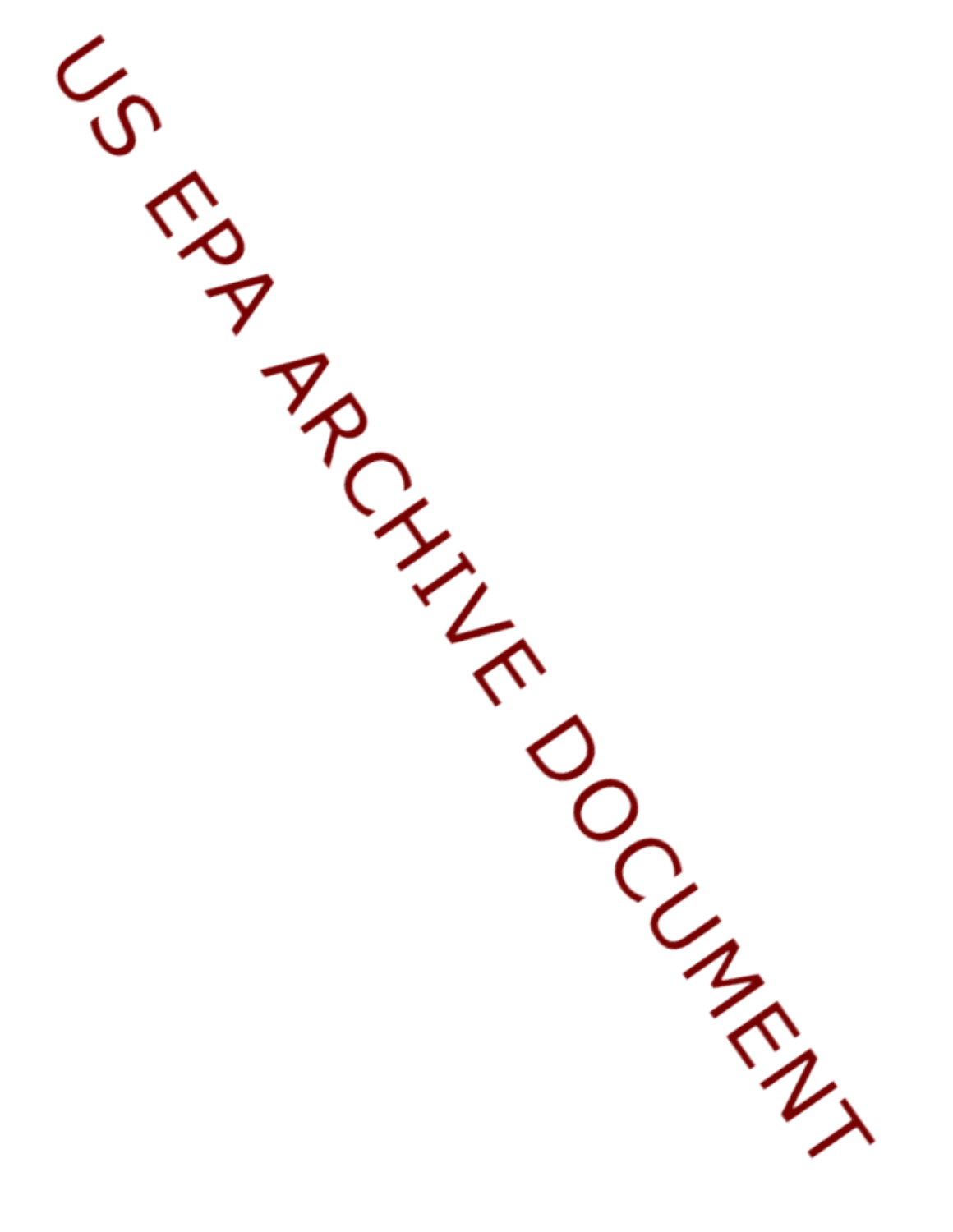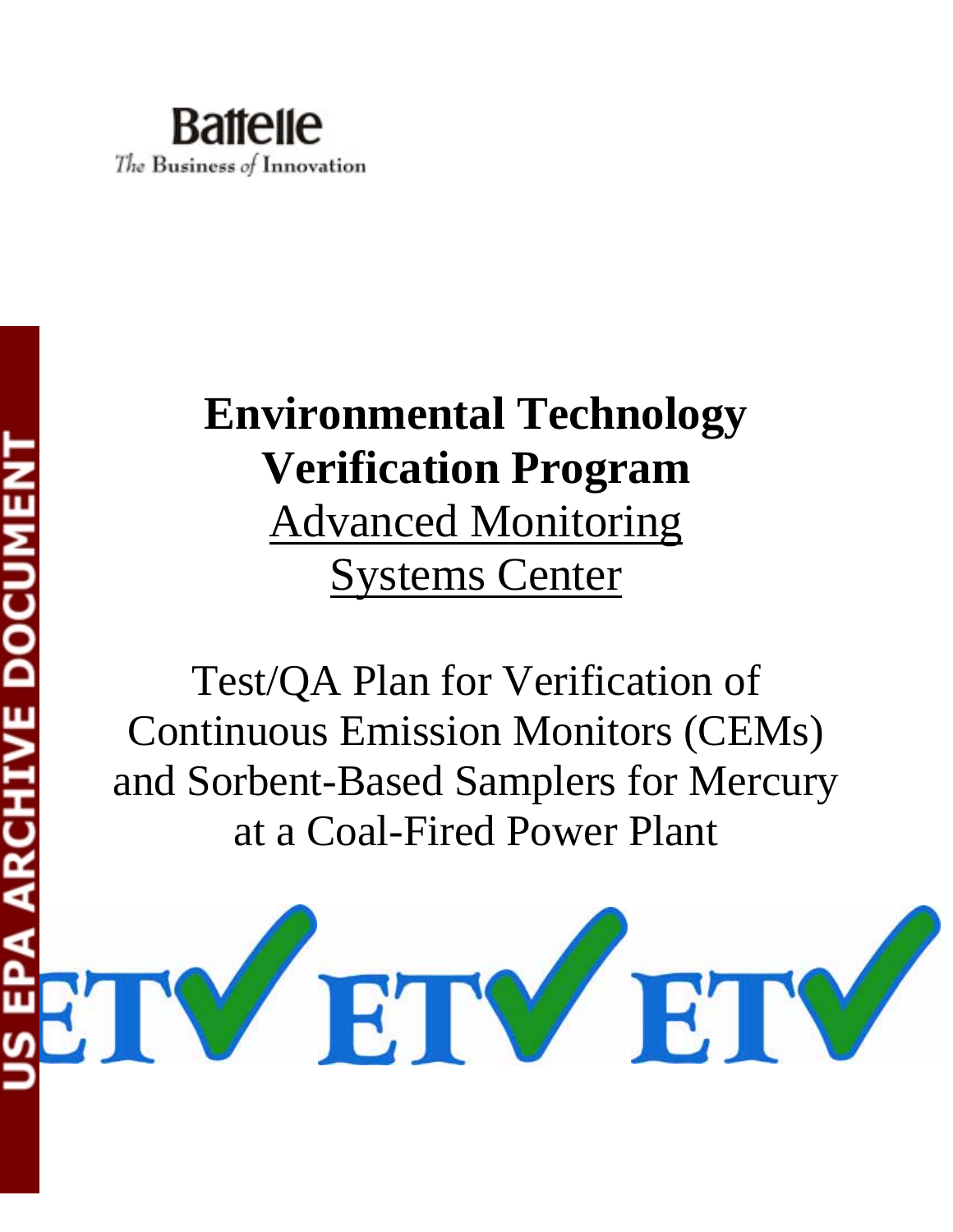

# **Environmental Technology Verification Program** Advanced Monitoring Systems Center

Test/QA Plan for Verification of Continuous Emission Monitors (CEMs) and Sorbent-Based Samplers for Mercury at a Coal-Fired Power Plant

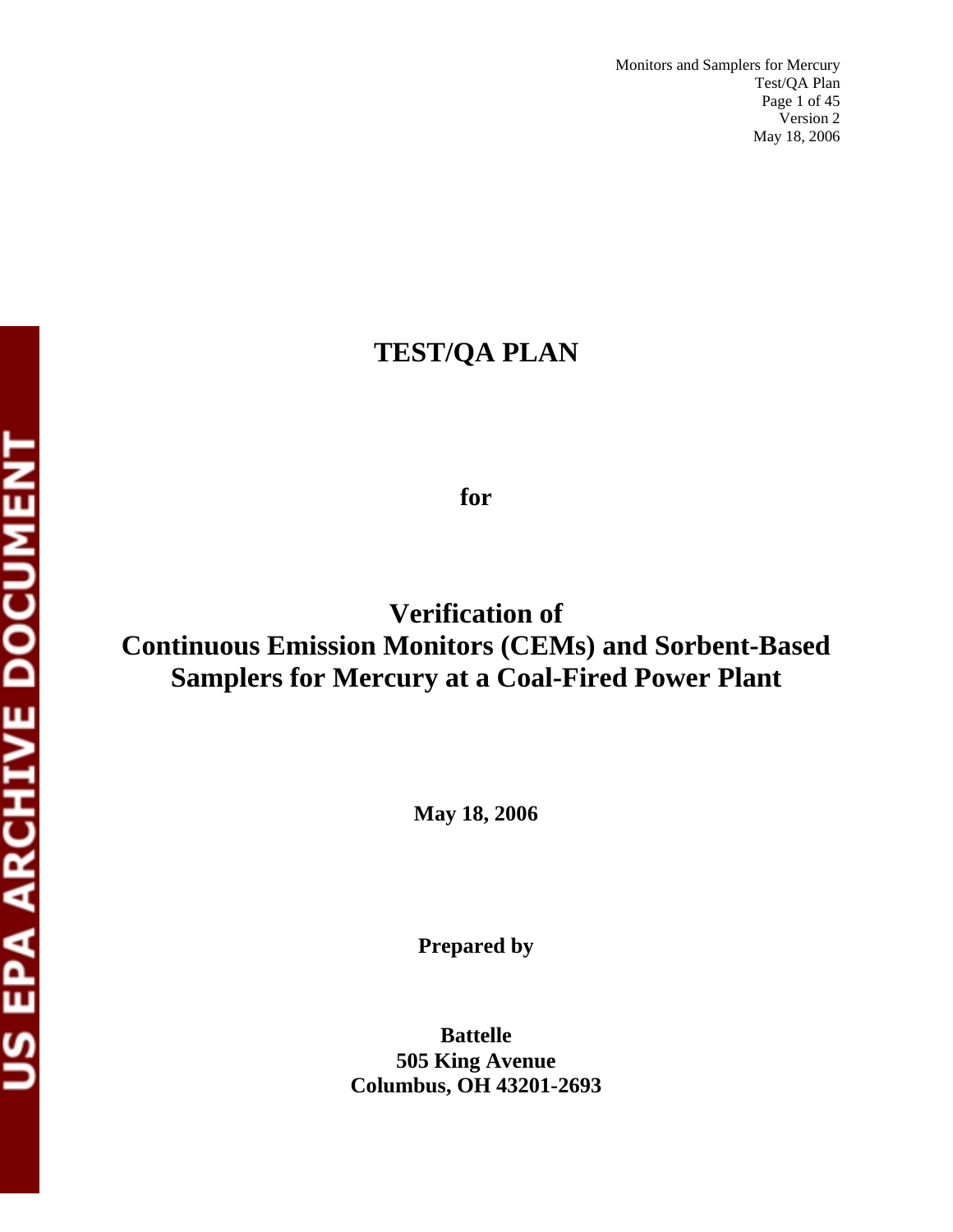## **TEST/QA PLAN**

## **for**

# **Verification of Continuous Emission Monitors (CEMs) and Sorbent-Based Samplers for Mercury at a Coal-Fired Power Plant**

**May 18, 2006** 

**Prepared by** 

**Battelle 505 King Avenue Columbus, OH 43201-2693**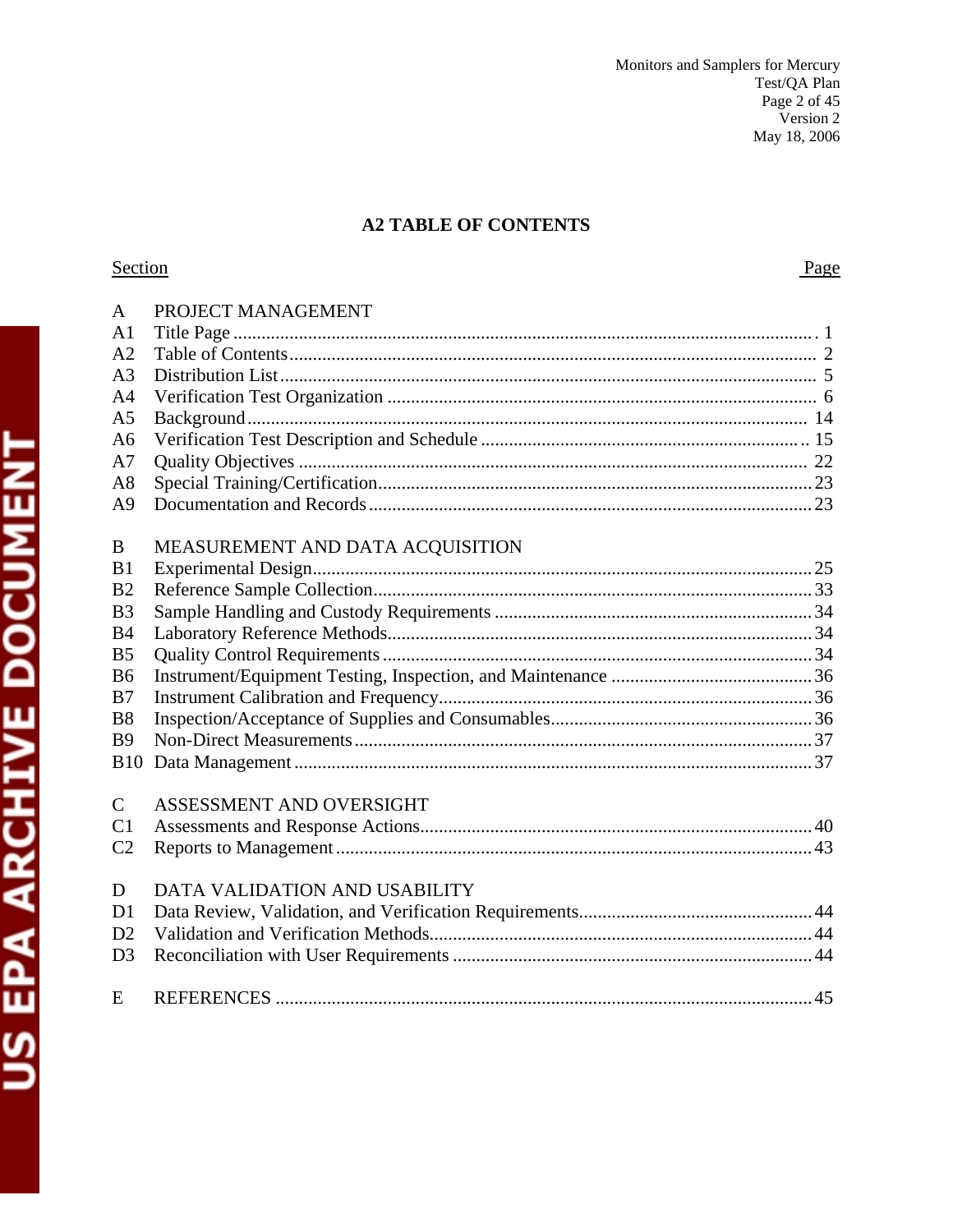## **A2 TABLE OF CONTENTS**

## Section

Page

| $\mathbf{A}$   | PROJECT MANAGEMENT               |
|----------------|----------------------------------|
| A <sub>1</sub> |                                  |
| A <sub>2</sub> |                                  |
| A <sub>3</sub> |                                  |
| A <sub>4</sub> |                                  |
| A <sub>5</sub> |                                  |
| A6             |                                  |
| A7             |                                  |
| A8             |                                  |
| A <sub>9</sub> |                                  |
|                |                                  |
| B              | MEASUREMENT AND DATA ACQUISITION |
| B1             |                                  |
| B <sub>2</sub> |                                  |
| B <sub>3</sub> |                                  |
| B <sub>4</sub> |                                  |
| B <sub>5</sub> |                                  |
| B <sub>6</sub> |                                  |
| B7             |                                  |
| B <sub>8</sub> |                                  |
| <b>B9</b>      |                                  |
| <b>B10</b>     |                                  |
|                |                                  |
| $\mathcal{C}$  | ASSESSMENT AND OVERSIGHT         |
| C <sub>1</sub> |                                  |
| C <sub>2</sub> |                                  |
|                |                                  |
| D              | DATA VALIDATION AND USABILITY    |
| D <sub>1</sub> |                                  |
| D2             |                                  |
| D <sub>3</sub> |                                  |
|                |                                  |
| E              |                                  |
|                |                                  |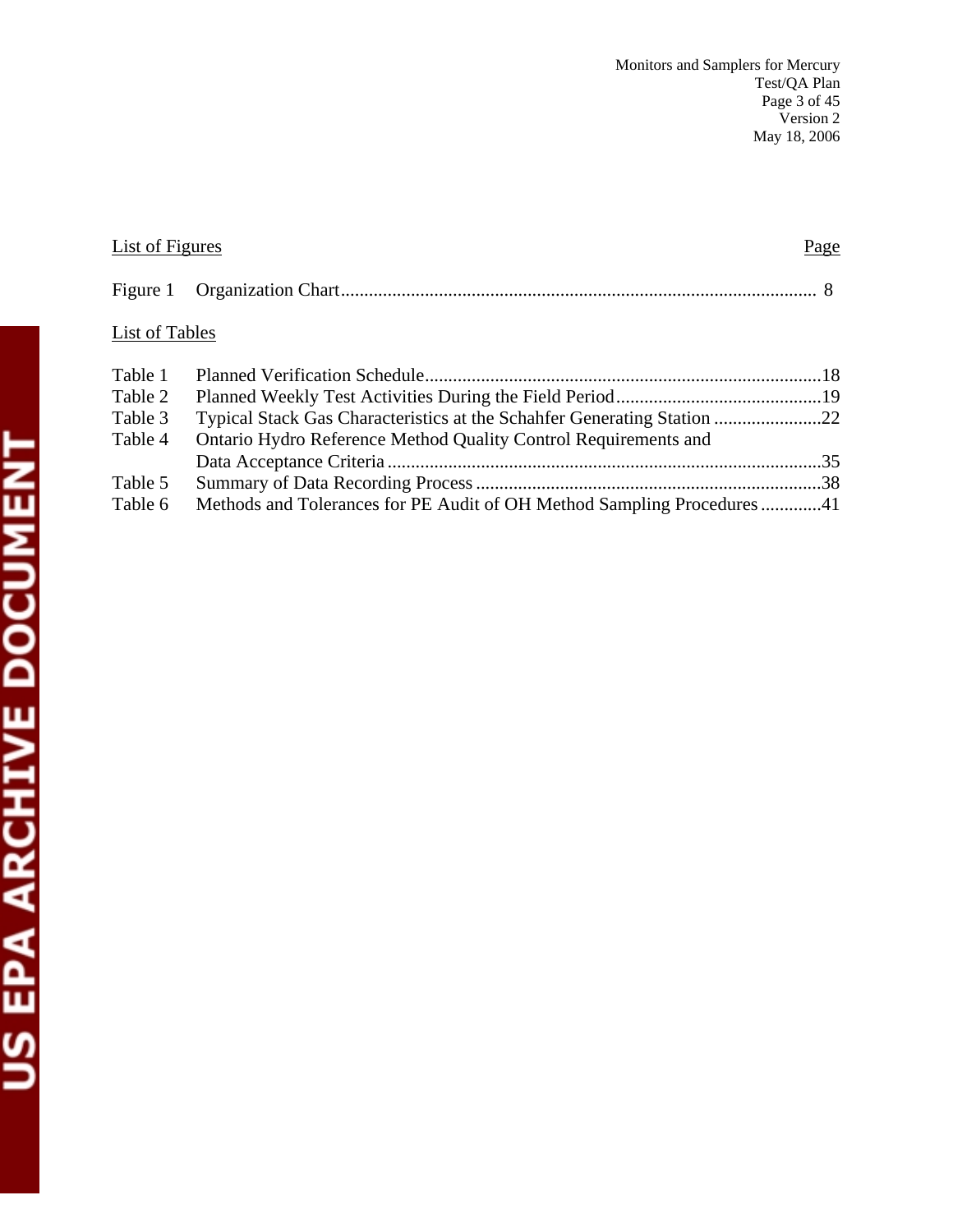| List of Figures |                                                                        | Page |
|-----------------|------------------------------------------------------------------------|------|
| Figure 1        |                                                                        |      |
| List of Tables  |                                                                        |      |
| Table 1         |                                                                        |      |
| Table 2         |                                                                        |      |
| Table 3         |                                                                        |      |
| Table 4         | Ontario Hydro Reference Method Quality Control Requirements and        |      |
|                 |                                                                        |      |
| Table 5         |                                                                        |      |
| Table 6         | Methods and Tolerances for PE Audit of OH Method Sampling Procedures41 |      |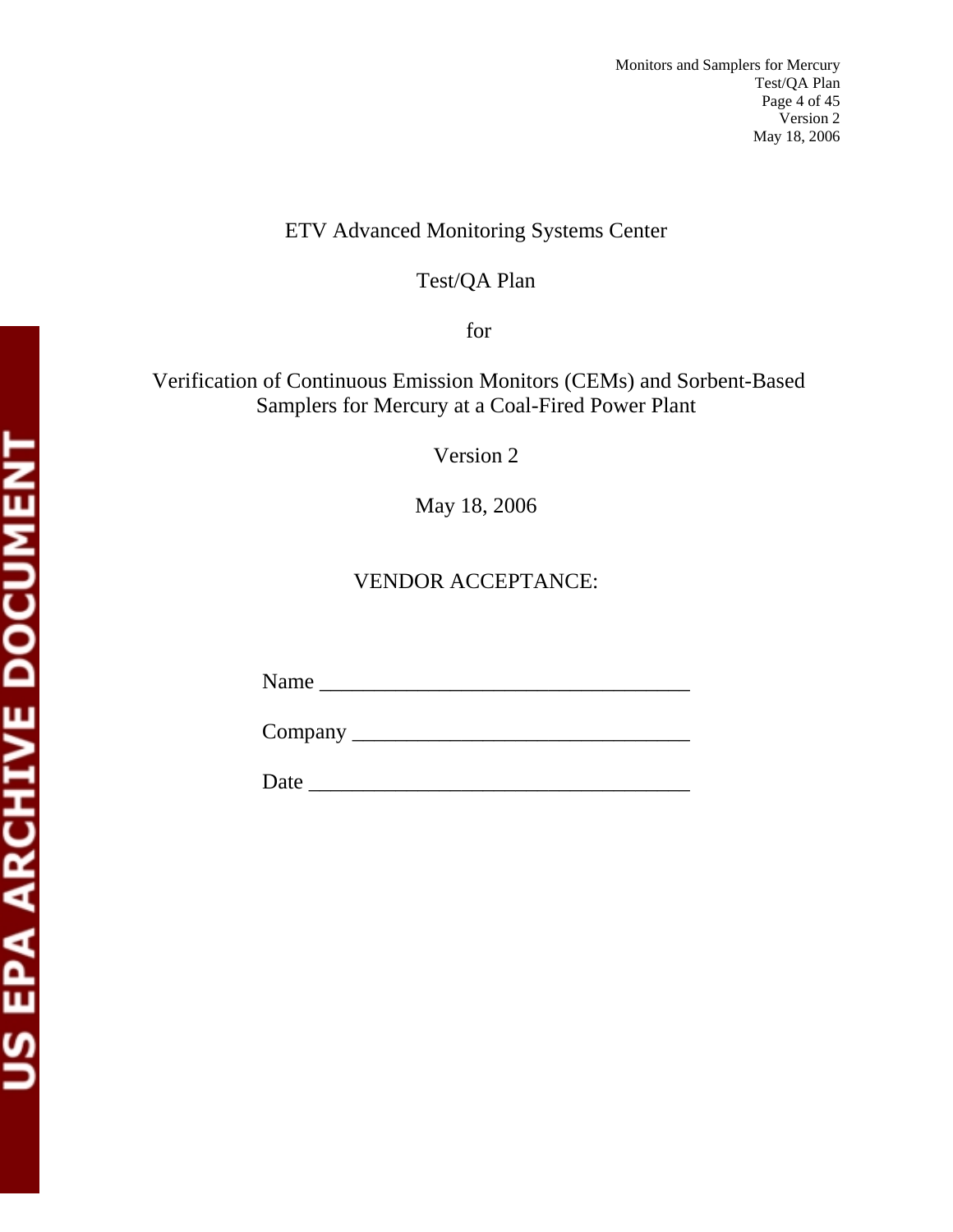## ETV Advanced Monitoring Systems Center

## Test/QA Plan

for

## Verification of Continuous Emission Monitors (CEMs) and Sorbent-Based Samplers for Mercury at a Coal-Fired Power Plant

Version 2

May 18, 2006

## VENDOR ACCEPTANCE:

Name \_\_\_\_\_\_\_\_\_\_\_\_\_\_\_\_\_\_\_\_\_\_\_\_\_\_\_\_\_\_\_\_\_\_

Company \_\_\_\_\_\_\_\_\_\_\_\_\_\_\_\_\_\_\_\_\_\_\_\_\_\_\_\_\_\_\_

Date \_\_\_\_\_\_\_\_\_\_\_\_\_\_\_\_\_\_\_\_\_\_\_\_\_\_\_\_\_\_\_\_\_\_\_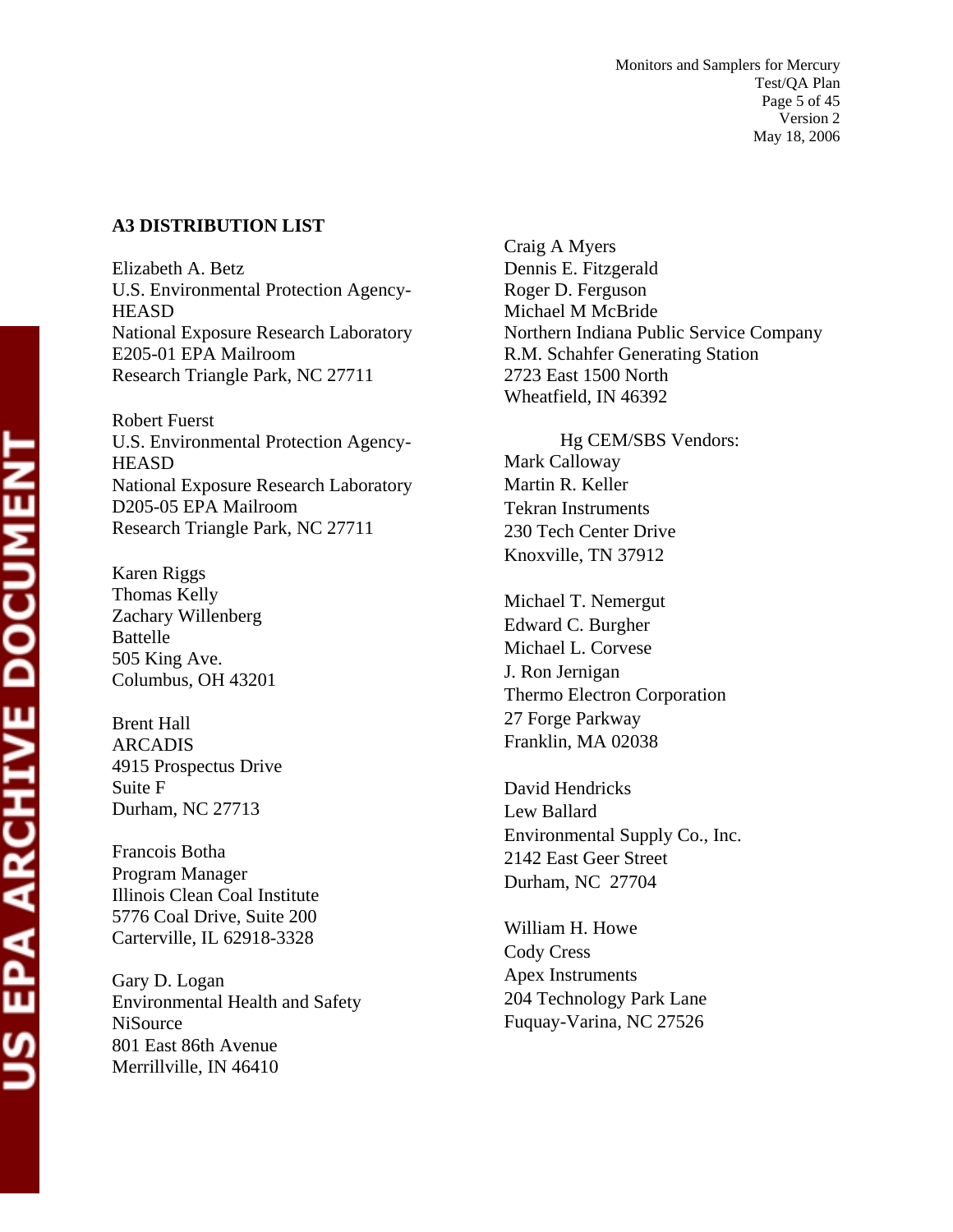#### **A3 DISTRIBUTION LIST**

Elizabeth A. Betz U.S. Environmental Protection Agency-**HEASD** National Exposure Research Laboratory E205-01 EPA Mailroom Research Triangle Park, NC 27711

Robert Fuerst U.S. Environmental Protection Agency-**HEASD** National Exposure Research Laboratory D205-05 EPA Mailroom Research Triangle Park, NC 27711

Karen Riggs Thomas Kelly Zachary Willenberg Battelle 505 King Ave. Columbus, OH 43201

Brent Hall ARCADIS 4915 Prospectus Drive Suite F Durham, NC 27713

Francois Botha Program Manager Illinois Clean Coal Institute 5776 Coal Drive, Suite 200 Carterville, IL 62918-3328

Gary D. Logan Environmental Health and Safety **NiSource** 801 East 86th Avenue Merrillville, IN 46410

Craig A Myers Dennis E. Fitzgerald Roger D. Ferguson Michael M McBride Northern Indiana Public Service Company R.M. Schahfer Generating Station 2723 East 1500 North Wheatfield, IN 46392

Hg CEM/SBS Vendors: Mark Calloway Martin R. Keller Tekran Instruments 230 Tech Center Drive Knoxville, TN 37912

Michael T. Nemergut Edward C. Burgher Michael L. Corvese J. Ron Jernigan Thermo Electron Corporation 27 Forge Parkway Franklin, MA 02038

David Hendricks Lew Ballard Environmental Supply Co., Inc. 2142 East Geer Street Durham, NC 27704

William H. Howe Cody Cress Apex Instruments 204 Technology Park Lane Fuquay-Varina, NC 27526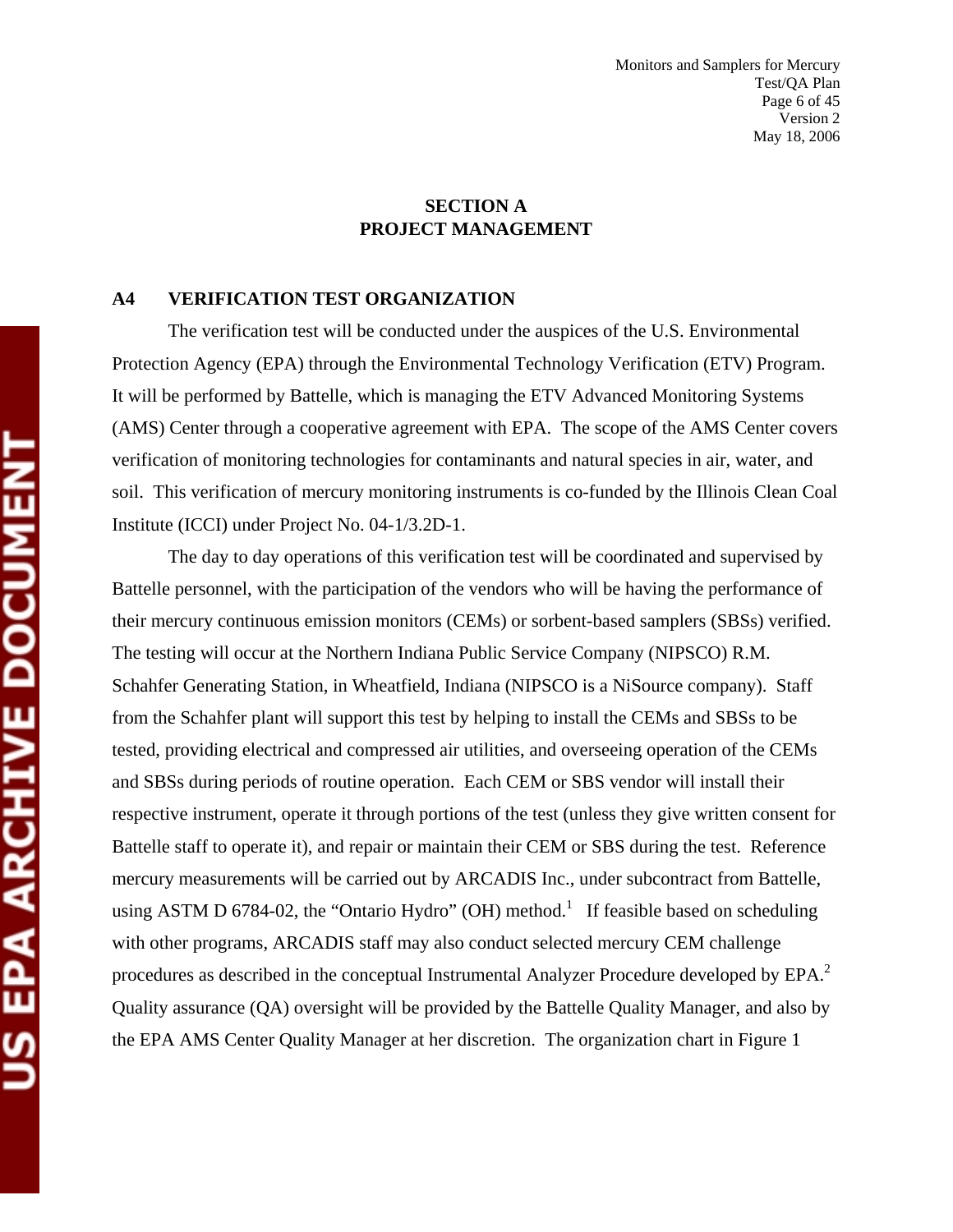#### **SECTION A PROJECT MANAGEMENT**

#### **A4 VERIFICATION TEST ORGANIZATION**

The verification test will be conducted under the auspices of the U.S. Environmental Protection Agency (EPA) through the Environmental Technology Verification (ETV) Program. It will be performed by Battelle, which is managing the ETV Advanced Monitoring Systems (AMS) Center through a cooperative agreement with EPA. The scope of the AMS Center covers verification of monitoring technologies for contaminants and natural species in air, water, and soil. This verification of mercury monitoring instruments is co-funded by the Illinois Clean Coal Institute (ICCI) under Project No. 04-1/3.2D-1.

The day to day operations of this verification test will be coordinated and supervised by Battelle personnel, with the participation of the vendors who will be having the performance of their mercury continuous emission monitors (CEMs) or sorbent-based samplers (SBSs) verified. The testing will occur at the Northern Indiana Public Service Company (NIPSCO) R.M. Schahfer Generating Station, in Wheatfield, Indiana (NIPSCO is a NiSource company). Staff from the Schahfer plant will support this test by helping to install the CEMs and SBSs to be tested, providing electrical and compressed air utilities, and overseeing operation of the CEMs and SBSs during periods of routine operation. Each CEM or SBS vendor will install their respective instrument, operate it through portions of the test (unless they give written consent for Battelle staff to operate it), and repair or maintain their CEM or SBS during the test. Reference mercury measurements will be carried out by ARCADIS Inc., under subcontract from Battelle, using ASTM D 6784-02, the "Ontario Hydro" (OH) method.<sup>1</sup> If feasible based on scheduling with other programs, ARCADIS staff may also conduct selected mercury CEM challenge procedures as described in the conceptual Instrumental Analyzer Procedure developed by EPA.<sup>2</sup> Quality assurance (QA) oversight will be provided by the Battelle Quality Manager, and also by the EPA AMS Center Quality Manager at her discretion. The organization chart in Figure 1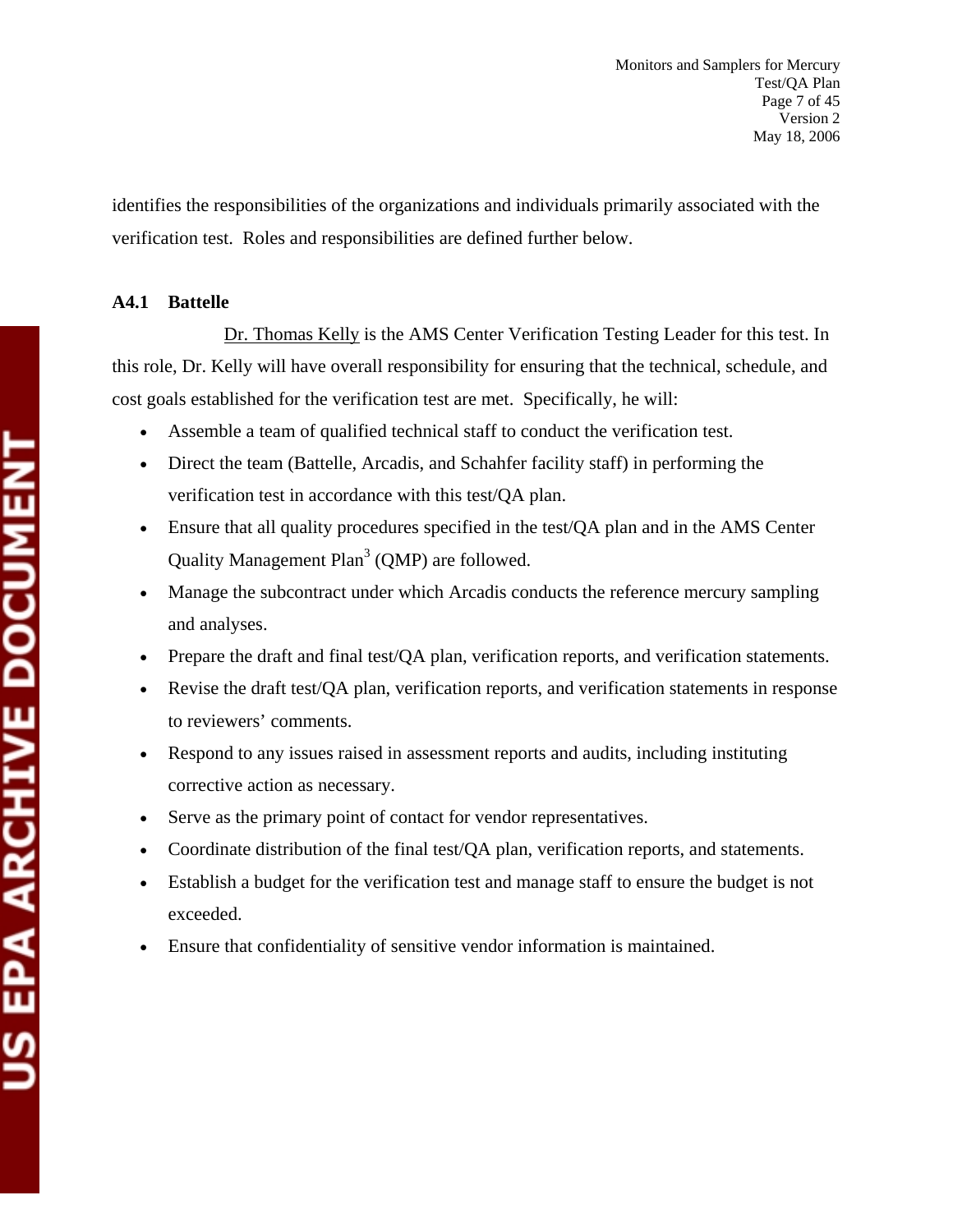identifies the responsibilities of the organizations and individuals primarily associated with the verification test. Roles and responsibilities are defined further below.

#### **A4.1 Battelle**

 Dr. Thomas Kelly is the AMS Center Verification Testing Leader for this test. In this role, Dr. Kelly will have overall responsibility for ensuring that the technical, schedule, and cost goals established for the verification test are met. Specifically, he will:

- Assemble a team of qualified technical staff to conduct the verification test.
- Direct the team (Battelle, Arcadis, and Schahfer facility staff) in performing the verification test in accordance with this test/QA plan.
- Ensure that all quality procedures specified in the test/QA plan and in the AMS Center Quality Management Plan<sup>3</sup> (QMP) are followed.
- Manage the subcontract under which Arcadis conducts the reference mercury sampling and analyses.
- Prepare the draft and final test/QA plan, verification reports, and verification statements.
- Revise the draft test/QA plan, verification reports, and verification statements in response to reviewers' comments.
- Respond to any issues raised in assessment reports and audits, including instituting corrective action as necessary.
- Serve as the primary point of contact for vendor representatives.
- Coordinate distribution of the final test/QA plan, verification reports, and statements.
- Establish a budget for the verification test and manage staff to ensure the budget is not exceeded.
- Ensure that confidentiality of sensitive vendor information is maintained.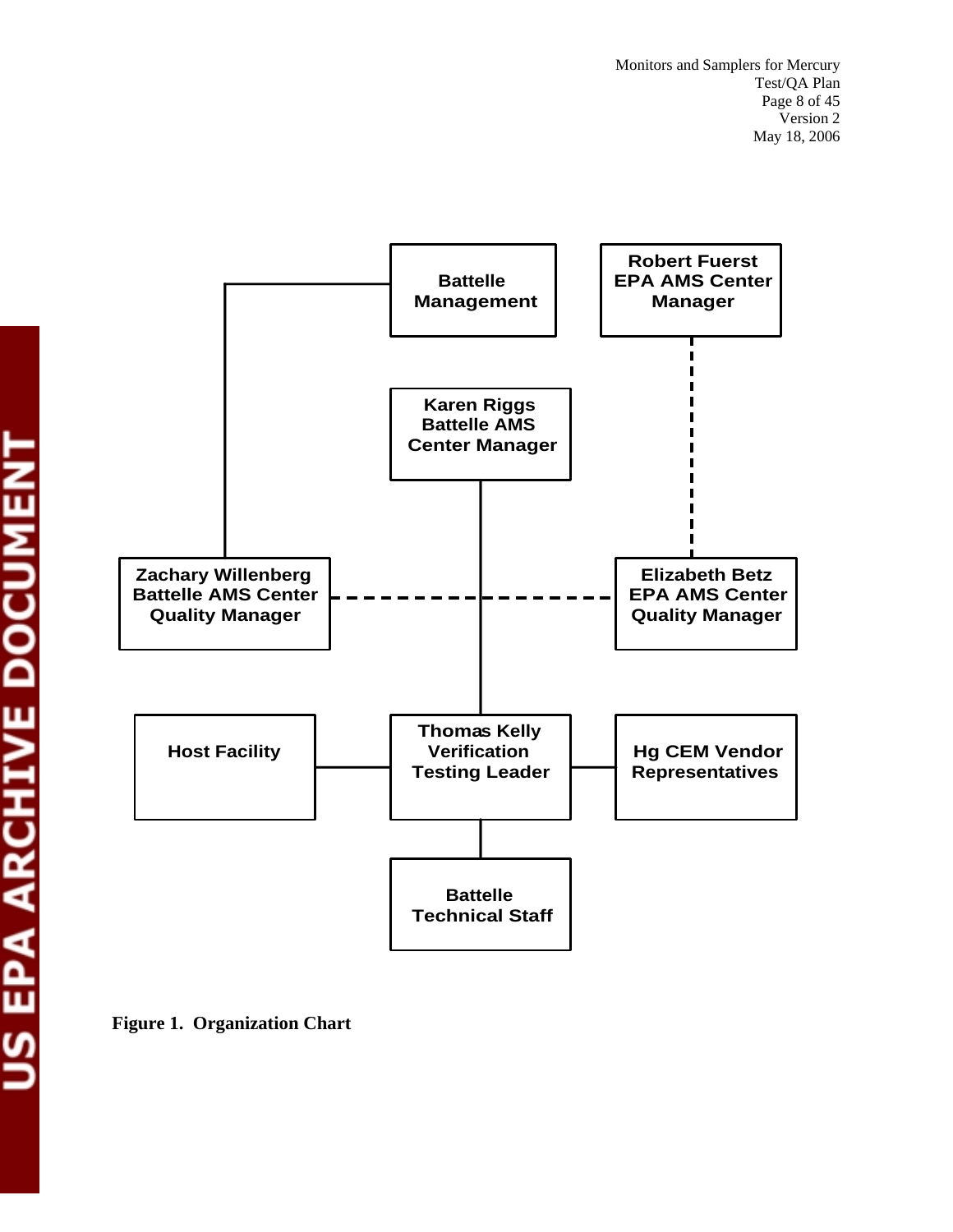

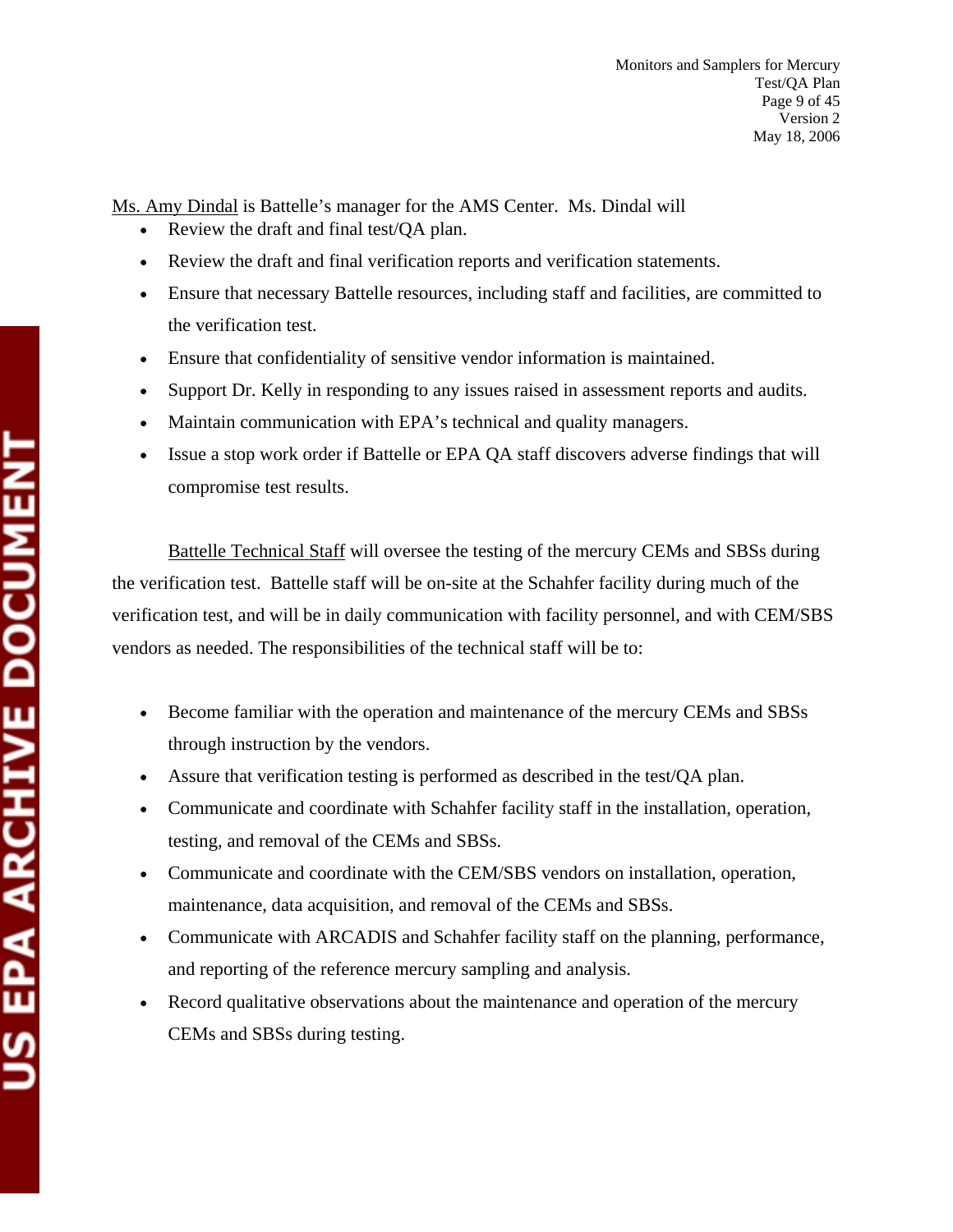Ms. Amy Dindal is Battelle's manager for the AMS Center. Ms. Dindal will

- Review the draft and final test/QA plan.
- Review the draft and final verification reports and verification statements.
- Ensure that necessary Battelle resources, including staff and facilities, are committed to the verification test.
- Ensure that confidentiality of sensitive vendor information is maintained.
- Support Dr. Kelly in responding to any issues raised in assessment reports and audits.
- Maintain communication with EPA's technical and quality managers.
- Issue a stop work order if Battelle or EPA QA staff discovers adverse findings that will compromise test results.

Battelle Technical Staff will oversee the testing of the mercury CEMs and SBSs during the verification test. Battelle staff will be on-site at the Schahfer facility during much of the verification test, and will be in daily communication with facility personnel, and with CEM/SBS vendors as needed. The responsibilities of the technical staff will be to:

- Become familiar with the operation and maintenance of the mercury CEMs and SBSs through instruction by the vendors.
- Assure that verification testing is performed as described in the test/QA plan.
- Communicate and coordinate with Schahfer facility staff in the installation, operation, testing, and removal of the CEMs and SBSs.
- Communicate and coordinate with the CEM/SBS vendors on installation, operation, maintenance, data acquisition, and removal of the CEMs and SBSs.
- Communicate with ARCADIS and Schahfer facility staff on the planning, performance, and reporting of the reference mercury sampling and analysis.
- Record qualitative observations about the maintenance and operation of the mercury CEMs and SBSs during testing.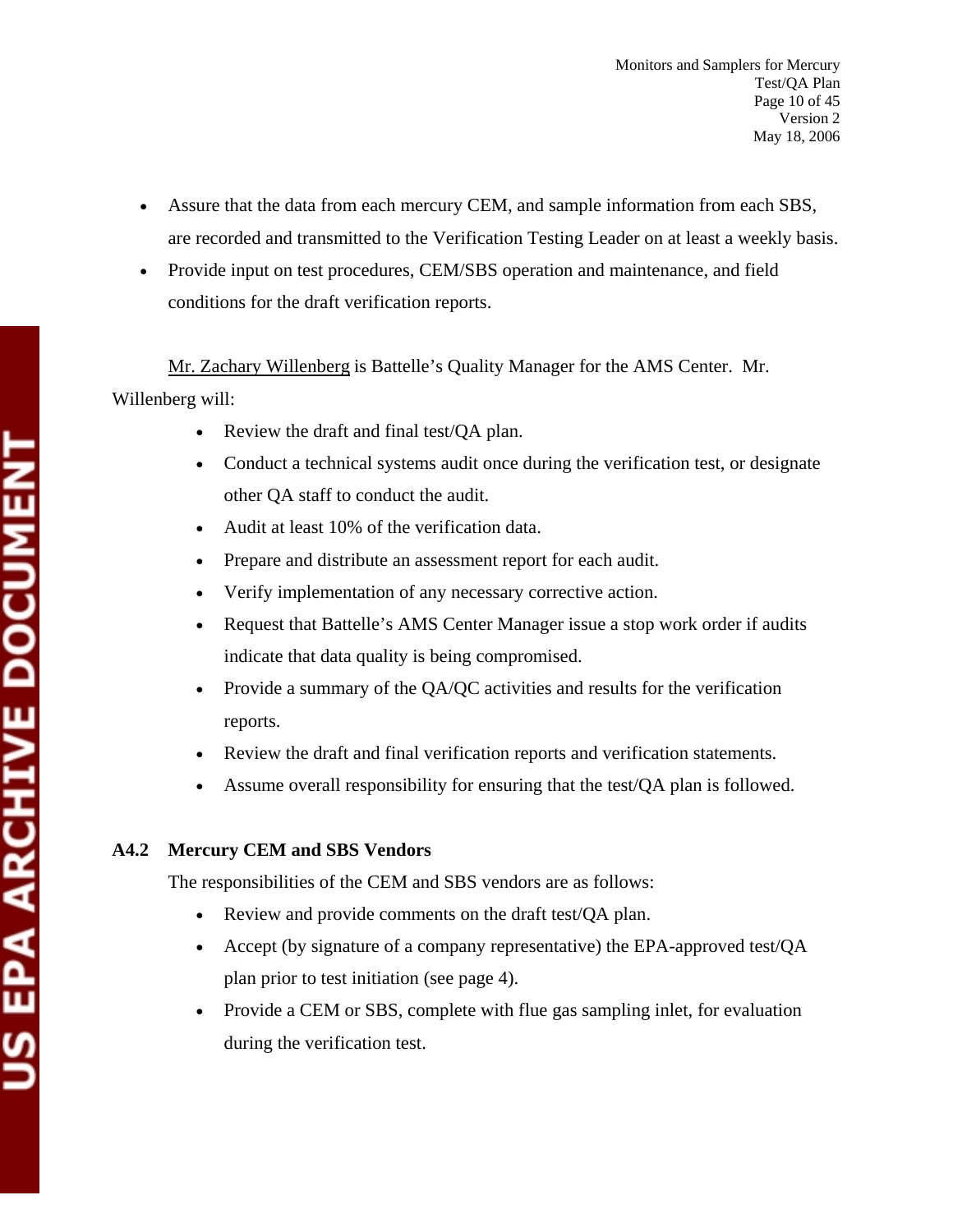- Assure that the data from each mercury CEM, and sample information from each SBS, are recorded and transmitted to the Verification Testing Leader on at least a weekly basis.
- Provide input on test procedures, CEM/SBS operation and maintenance, and field conditions for the draft verification reports.

 Mr. Zachary Willenberg is Battelle's Quality Manager for the AMS Center. Mr. Willenberg will:

- Review the draft and final test/QA plan.
- Conduct a technical systems audit once during the verification test, or designate other QA staff to conduct the audit.
- Audit at least 10% of the verification data.
- Prepare and distribute an assessment report for each audit.
- Verify implementation of any necessary corrective action.
- Request that Battelle's AMS Center Manager issue a stop work order if audits indicate that data quality is being compromised.
- Provide a summary of the QA/QC activities and results for the verification reports.
- Review the draft and final verification reports and verification statements.
- Assume overall responsibility for ensuring that the test/QA plan is followed.

## **A4.2 Mercury CEM and SBS Vendors**

The responsibilities of the CEM and SBS vendors are as follows:

- Review and provide comments on the draft test/QA plan.
- Accept (by signature of a company representative) the EPA-approved test/QA plan prior to test initiation (see page 4).
- Provide a CEM or SBS, complete with flue gas sampling inlet, for evaluation during the verification test.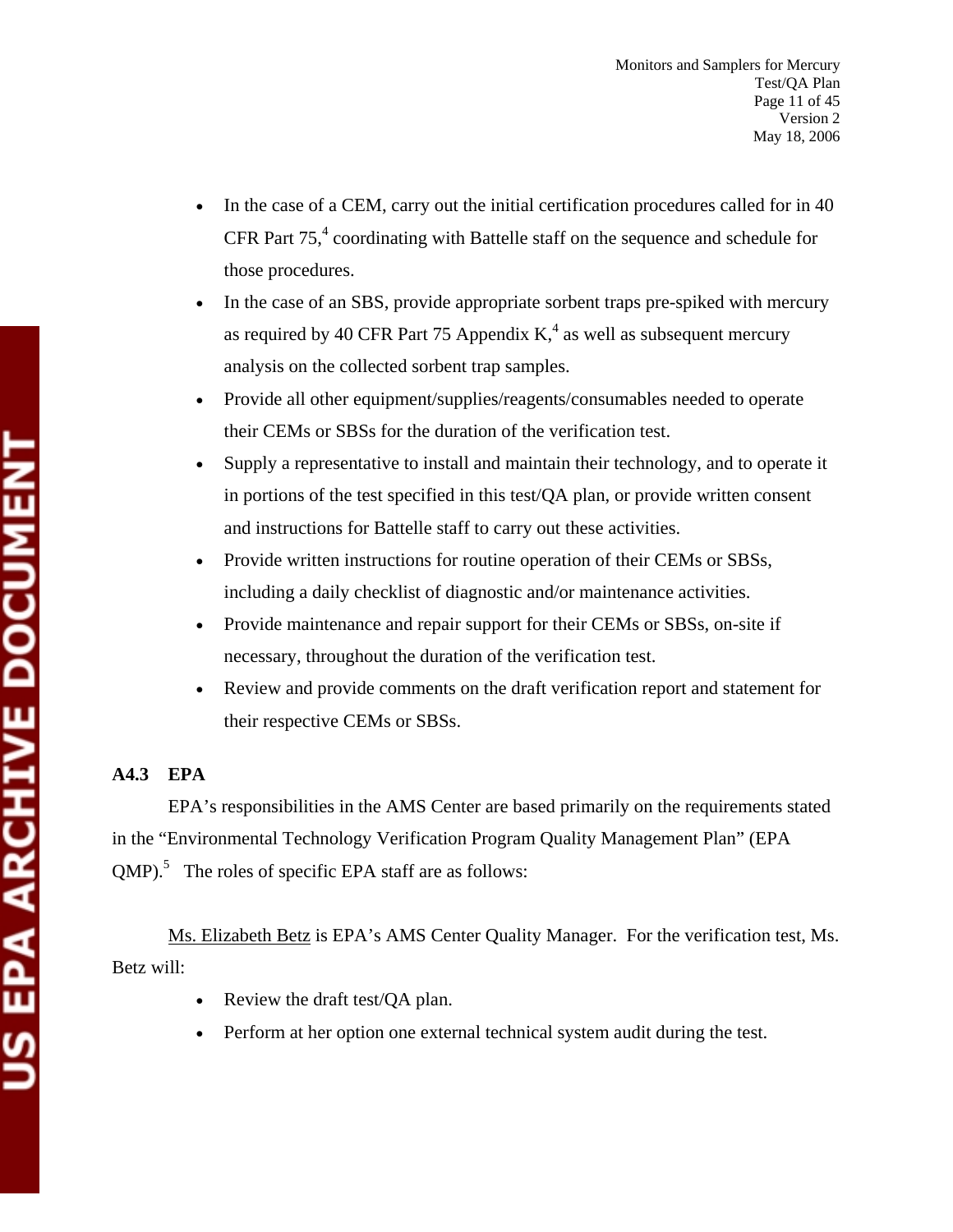- In the case of a CEM, carry out the initial certification procedures called for in 40 CFR Part  $75<sup>4</sup>$  coordinating with Battelle staff on the sequence and schedule for those procedures.
- In the case of an SBS, provide appropriate sorbent traps pre-spiked with mercury as required by 40 CFR Part 75 Appendix  $K<sub>1</sub><sup>4</sup>$  as well as subsequent mercury analysis on the collected sorbent trap samples.
- Provide all other equipment/supplies/reagents/consumables needed to operate their CEMs or SBSs for the duration of the verification test.
- Supply a representative to install and maintain their technology, and to operate it in portions of the test specified in this test/QA plan, or provide written consent and instructions for Battelle staff to carry out these activities.
- Provide written instructions for routine operation of their CEMs or SBSs, including a daily checklist of diagnostic and/or maintenance activities.
- Provide maintenance and repair support for their CEMs or SBSs, on-site if necessary, throughout the duration of the verification test.
- Review and provide comments on the draft verification report and statement for their respective CEMs or SBSs.

## **A4.3 EPA**

EPA's responsibilities in the AMS Center are based primarily on the requirements stated in the "Environmental Technology Verification Program Quality Management Plan" (EPA  $QMP$ .<sup>5</sup> The roles of specific EPA staff are as follows:

Ms. Elizabeth Betz is EPA's AMS Center Quality Manager. For the verification test, Ms. Betz will:

- Review the draft test/QA plan.
- Perform at her option one external technical system audit during the test.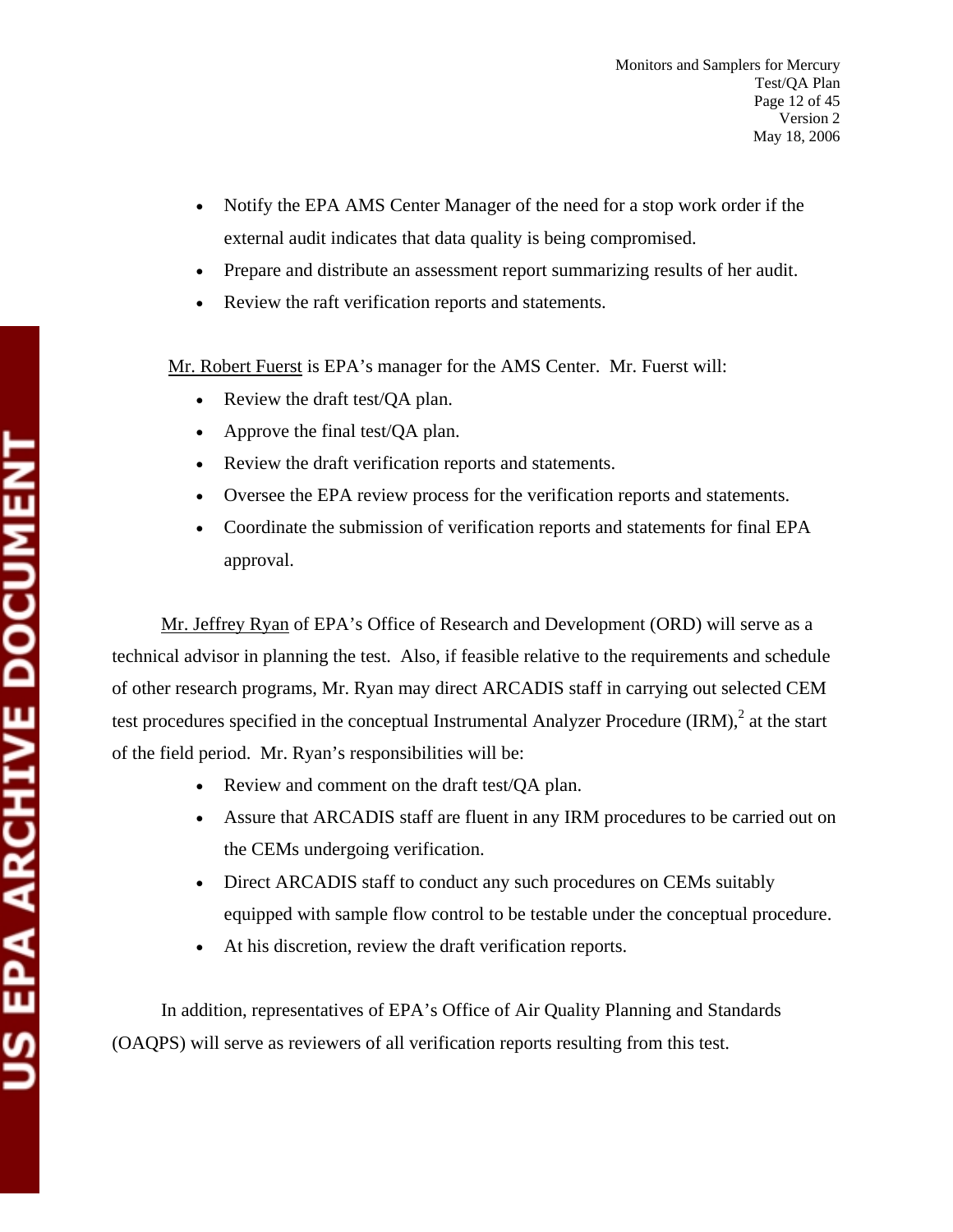- Notify the EPA AMS Center Manager of the need for a stop work order if the external audit indicates that data quality is being compromised.
- Prepare and distribute an assessment report summarizing results of her audit.
- Review the raft verification reports and statements.

Mr. Robert Fuerst is EPA's manager for the AMS Center. Mr. Fuerst will:

- Review the draft test/QA plan.
- Approve the final test/QA plan.
- Review the draft verification reports and statements.
- Oversee the EPA review process for the verification reports and statements.
- Coordinate the submission of verification reports and statements for final EPA approval.

Mr. Jeffrey Ryan of EPA's Office of Research and Development (ORD) will serve as a technical advisor in planning the test. Also, if feasible relative to the requirements and schedule of other research programs, Mr. Ryan may direct ARCADIS staff in carrying out selected CEM test procedures specified in the conceptual Instrumental Analyzer Procedure  $\text{IRM}$ ),  $^2$  at the start of the field period. Mr. Ryan's responsibilities will be:

- Review and comment on the draft test/QA plan.
- Assure that ARCADIS staff are fluent in any IRM procedures to be carried out on the CEMs undergoing verification.
- Direct ARCADIS staff to conduct any such procedures on CEMs suitably equipped with sample flow control to be testable under the conceptual procedure.
- At his discretion, review the draft verification reports.

 In addition, representatives of EPA's Office of Air Quality Planning and Standards (OAQPS) will serve as reviewers of all verification reports resulting from this test.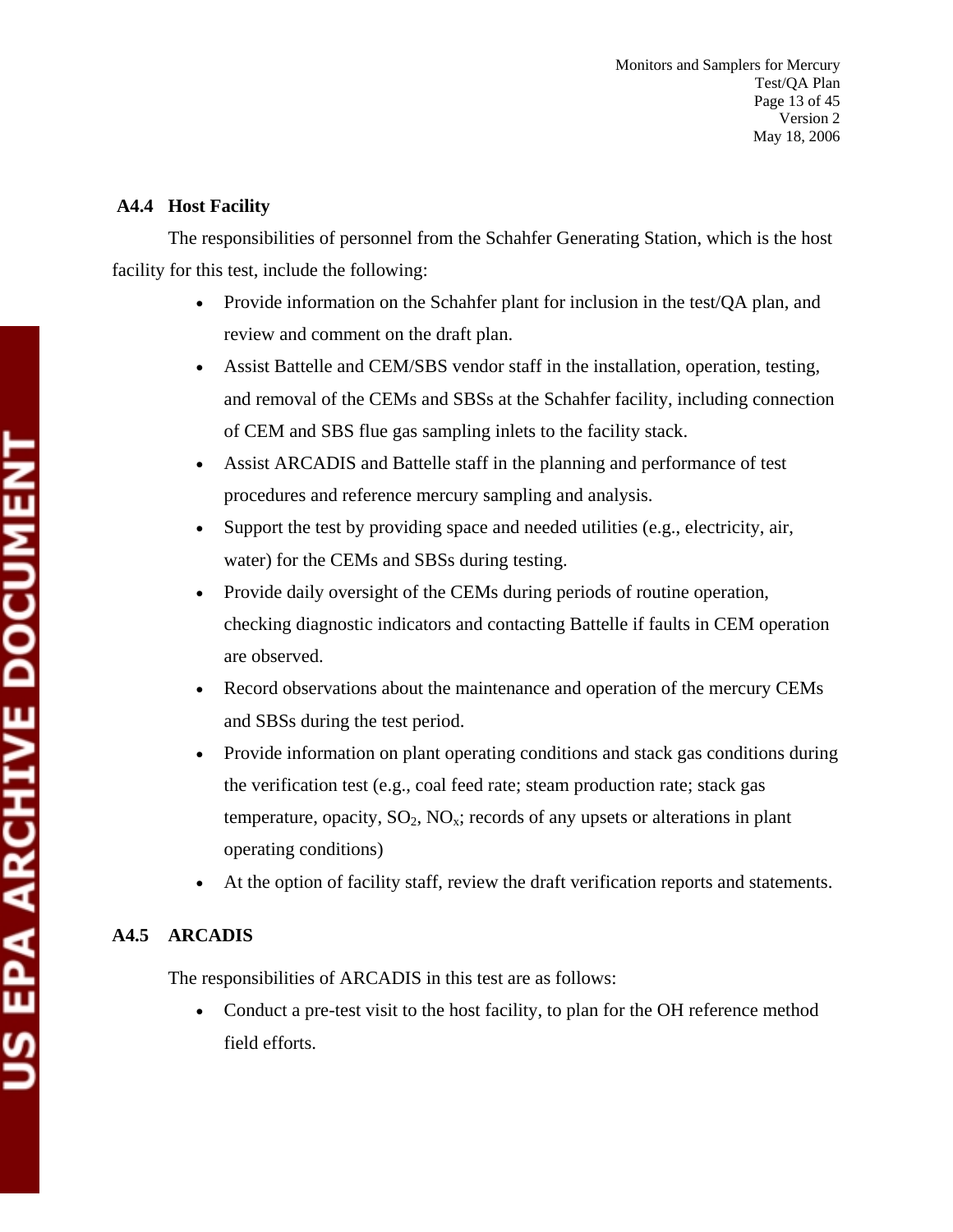## **A4.4 Host Facility**

The responsibilities of personnel from the Schahfer Generating Station, which is the host facility for this test, include the following:

- Provide information on the Schahfer plant for inclusion in the test/OA plan, and review and comment on the draft plan.
- Assist Battelle and CEM/SBS vendor staff in the installation, operation, testing, and removal of the CEMs and SBSs at the Schahfer facility, including connection of CEM and SBS flue gas sampling inlets to the facility stack.
- Assist ARCADIS and Battelle staff in the planning and performance of test procedures and reference mercury sampling and analysis.
- Support the test by providing space and needed utilities (e.g., electricity, air, water) for the CEMs and SBSs during testing.
- Provide daily oversight of the CEMs during periods of routine operation, checking diagnostic indicators and contacting Battelle if faults in CEM operation are observed.
- Record observations about the maintenance and operation of the mercury CEMs and SBSs during the test period.
- Provide information on plant operating conditions and stack gas conditions during the verification test (e.g., coal feed rate; steam production rate; stack gas temperature, opacity,  $SO_2$ ,  $NO_x$ ; records of any upsets or alterations in plant operating conditions)
- At the option of facility staff, review the draft verification reports and statements.

## **A4.5 ARCADIS**

The responsibilities of ARCADIS in this test are as follows:

• Conduct a pre-test visit to the host facility, to plan for the OH reference method field efforts.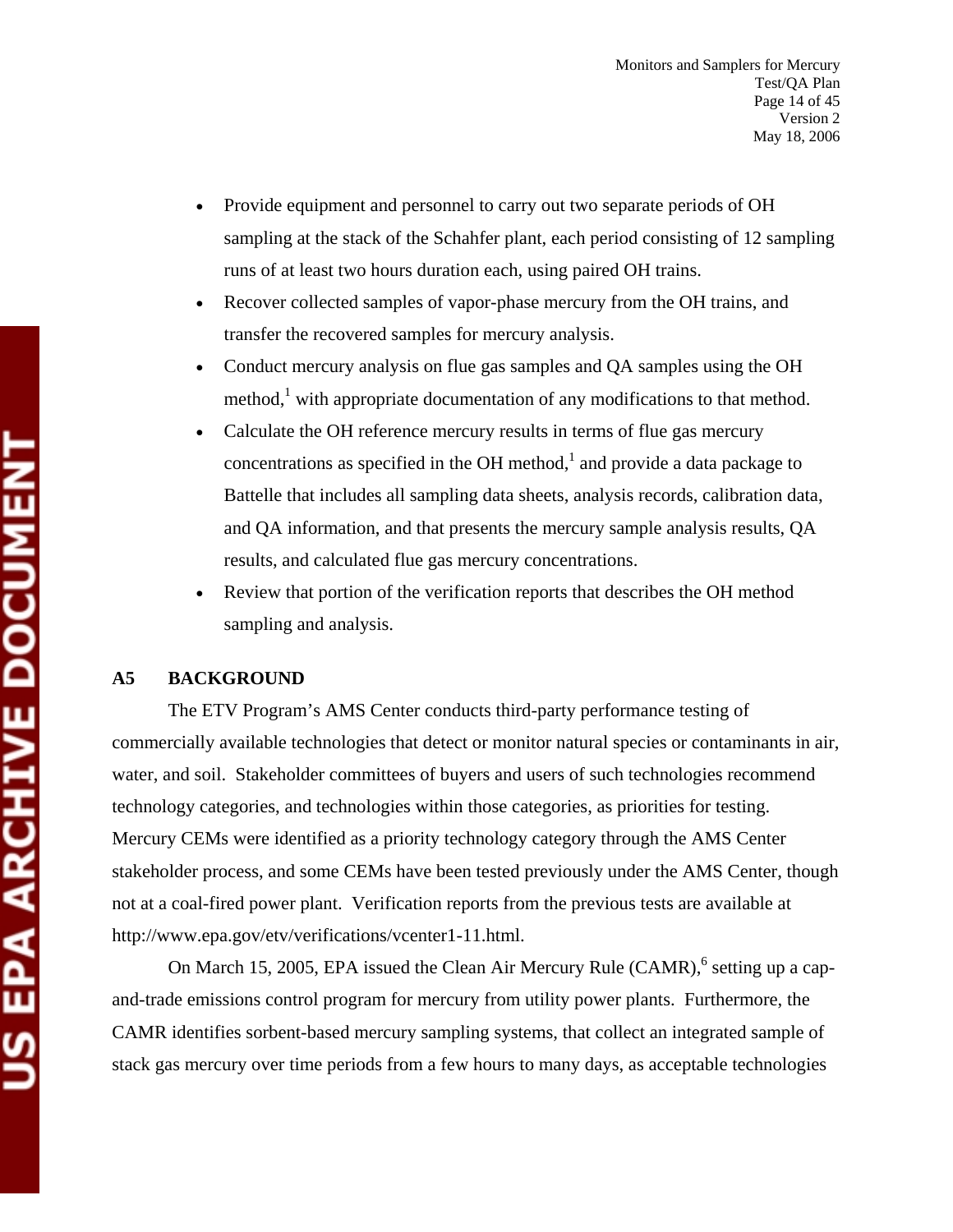- Provide equipment and personnel to carry out two separate periods of OH sampling at the stack of the Schahfer plant, each period consisting of 12 sampling runs of at least two hours duration each, using paired OH trains.
- Recover collected samples of vapor-phase mercury from the OH trains, and transfer the recovered samples for mercury analysis.
- Conduct mercury analysis on flue gas samples and QA samples using the OH method,<sup>1</sup> with appropriate documentation of any modifications to that method.
- Calculate the OH reference mercury results in terms of flue gas mercury concentrations as specified in the OH method, $<sup>1</sup>$  and provide a data package to</sup> Battelle that includes all sampling data sheets, analysis records, calibration data, and QA information, and that presents the mercury sample analysis results, QA results, and calculated flue gas mercury concentrations.
- Review that portion of the verification reports that describes the OH method sampling and analysis.

#### **A5 BACKGROUND**

The ETV Program's AMS Center conducts third-party performance testing of commercially available technologies that detect or monitor natural species or contaminants in air, water, and soil. Stakeholder committees of buyers and users of such technologies recommend technology categories, and technologies within those categories, as priorities for testing. Mercury CEMs were identified as a priority technology category through the AMS Center stakeholder process, and some CEMs have been tested previously under the AMS Center, though not at a coal-fired power plant. Verification reports from the previous tests are available at http://www.epa.gov/etv/verifications/vcenter1-11.html.

On March 15, 2005, EPA issued the Clean Air Mercury Rule (CAMR),<sup>6</sup> setting up a capand-trade emissions control program for mercury from utility power plants. Furthermore, the CAMR identifies sorbent-based mercury sampling systems, that collect an integrated sample of stack gas mercury over time periods from a few hours to many days, as acceptable technologies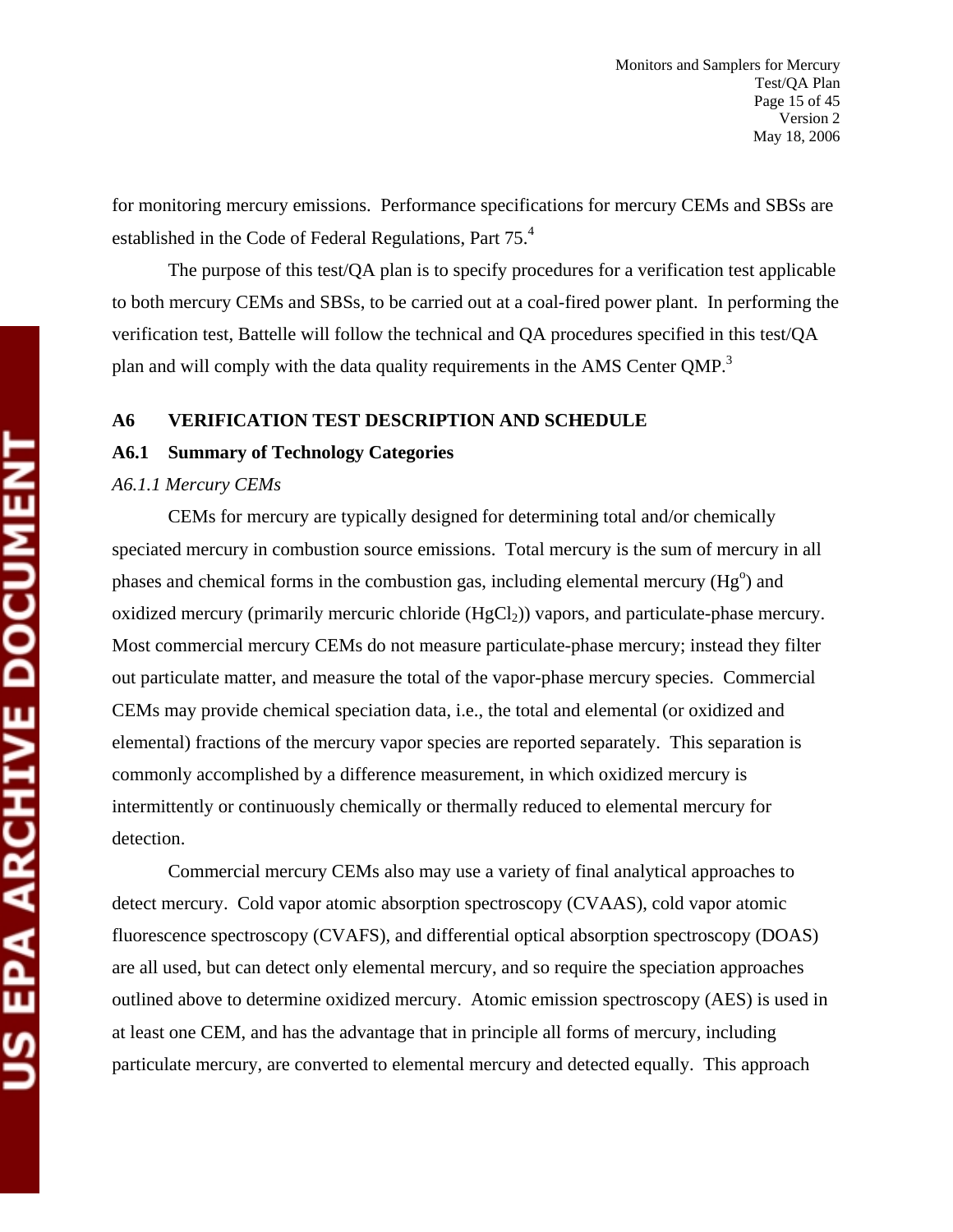for monitoring mercury emissions. Performance specifications for mercury CEMs and SBSs are established in the Code of Federal Regulations, Part 75.4

The purpose of this test/QA plan is to specify procedures for a verification test applicable to both mercury CEMs and SBSs, to be carried out at a coal-fired power plant. In performing the verification test, Battelle will follow the technical and QA procedures specified in this test/QA plan and will comply with the data quality requirements in the AMS Center QMP.<sup>3</sup>

#### **A6 VERIFICATION TEST DESCRIPTION AND SCHEDULE**

#### **A6.1 Summary of Technology Categories**

#### *A6.1.1 Mercury CEMs*

CEMs for mercury are typically designed for determining total and/or chemically speciated mercury in combustion source emissions. Total mercury is the sum of mercury in all phases and chemical forms in the combustion gas, including elemental mercury  $(Hg<sup>o</sup>)$  and oxidized mercury (primarily mercuric chloride  $(HgCl<sub>2</sub>)$ ) vapors, and particulate-phase mercury. Most commercial mercury CEMs do not measure particulate-phase mercury; instead they filter out particulate matter, and measure the total of the vapor-phase mercury species. Commercial CEMs may provide chemical speciation data, i.e., the total and elemental (or oxidized and elemental) fractions of the mercury vapor species are reported separately. This separation is commonly accomplished by a difference measurement, in which oxidized mercury is intermittently or continuously chemically or thermally reduced to elemental mercury for detection.

Commercial mercury CEMs also may use a variety of final analytical approaches to detect mercury. Cold vapor atomic absorption spectroscopy (CVAAS), cold vapor atomic fluorescence spectroscopy (CVAFS), and differential optical absorption spectroscopy (DOAS) are all used, but can detect only elemental mercury, and so require the speciation approaches outlined above to determine oxidized mercury. Atomic emission spectroscopy (AES) is used in at least one CEM, and has the advantage that in principle all forms of mercury, including particulate mercury, are converted to elemental mercury and detected equally. This approach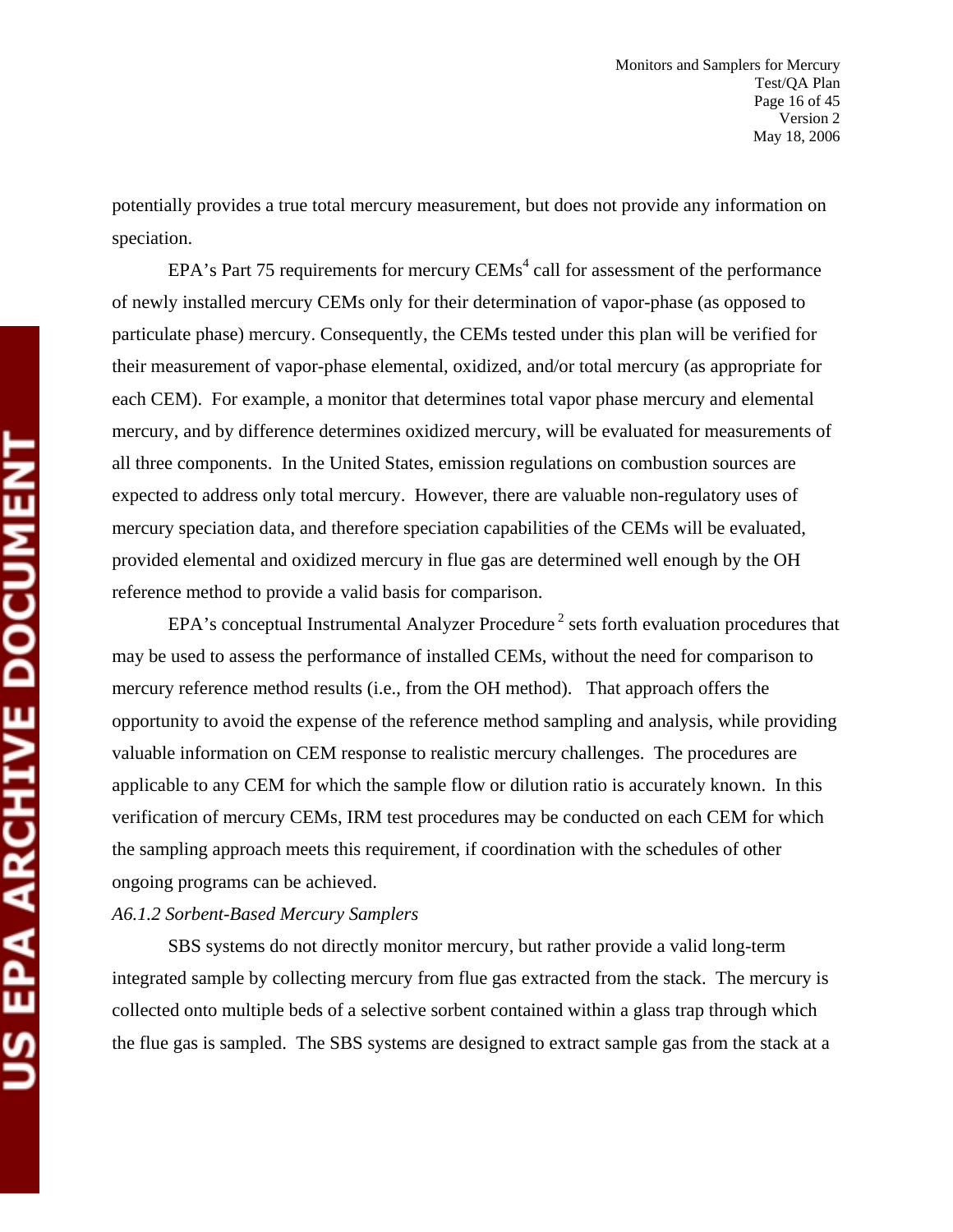potentially provides a true total mercury measurement, but does not provide any information on speciation.

EPA's Part 75 requirements for mercury  $CEMs<sup>4</sup>$  call for assessment of the performance of newly installed mercury CEMs only for their determination of vapor-phase (as opposed to particulate phase) mercury. Consequently, the CEMs tested under this plan will be verified for their measurement of vapor-phase elemental, oxidized, and/or total mercury (as appropriate for each CEM). For example, a monitor that determines total vapor phase mercury and elemental mercury, and by difference determines oxidized mercury, will be evaluated for measurements of all three components. In the United States, emission regulations on combustion sources are expected to address only total mercury. However, there are valuable non-regulatory uses of mercury speciation data, and therefore speciation capabilities of the CEMs will be evaluated, provided elemental and oxidized mercury in flue gas are determined well enough by the OH reference method to provide a valid basis for comparison.

EPA's conceptual Instrumental Analyzer Procedure<sup>2</sup> sets forth evaluation procedures that may be used to assess the performance of installed CEMs, without the need for comparison to mercury reference method results (i.e., from the OH method). That approach offers the opportunity to avoid the expense of the reference method sampling and analysis, while providing valuable information on CEM response to realistic mercury challenges. The procedures are applicable to any CEM for which the sample flow or dilution ratio is accurately known. In this verification of mercury CEMs, IRM test procedures may be conducted on each CEM for which the sampling approach meets this requirement, if coordination with the schedules of other ongoing programs can be achieved.

#### *A6.1.2 Sorbent-Based Mercury Samplers*

SBS systems do not directly monitor mercury, but rather provide a valid long-term integrated sample by collecting mercury from flue gas extracted from the stack. The mercury is collected onto multiple beds of a selective sorbent contained within a glass trap through which the flue gas is sampled. The SBS systems are designed to extract sample gas from the stack at a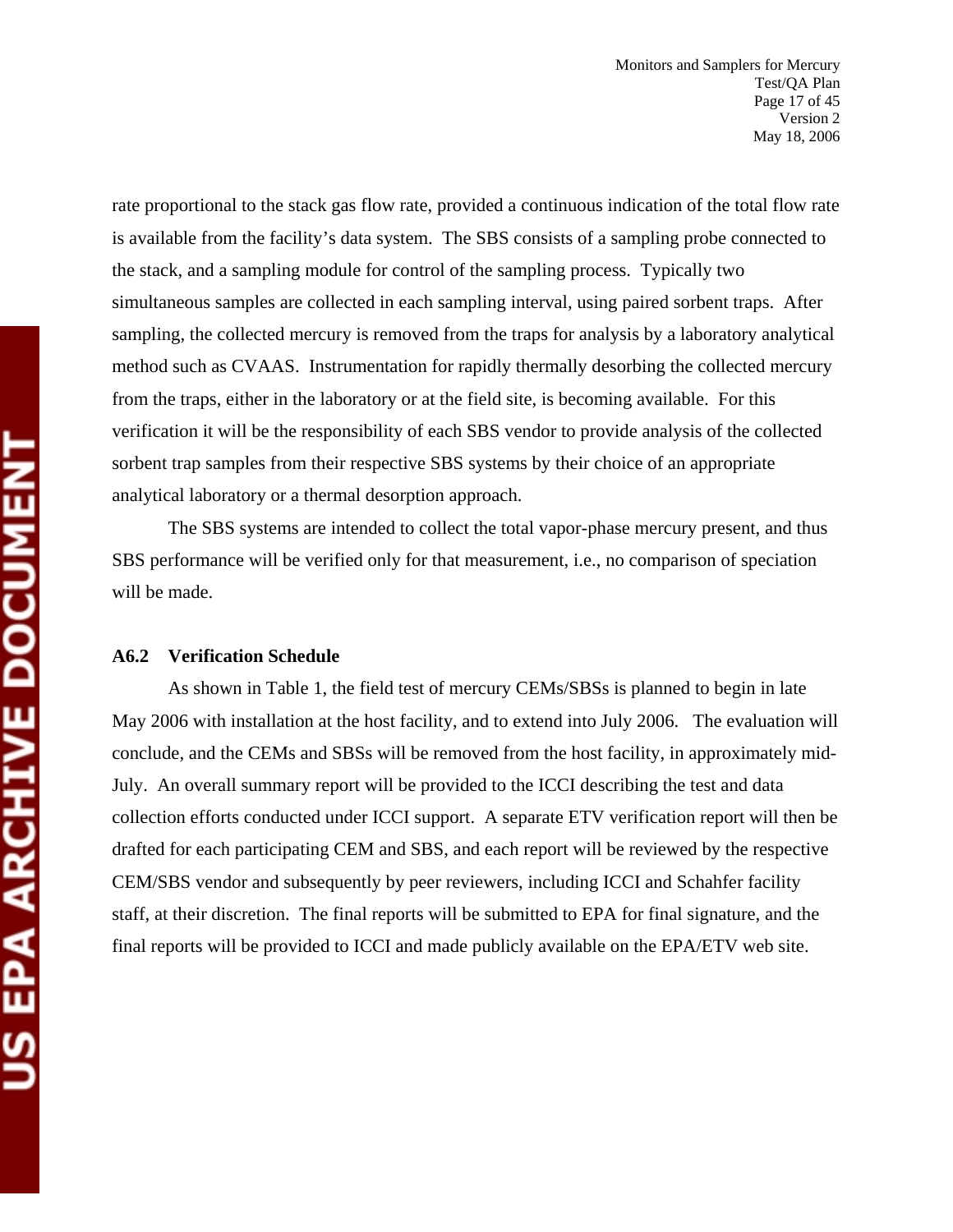rate proportional to the stack gas flow rate, provided a continuous indication of the total flow rate is available from the facility's data system. The SBS consists of a sampling probe connected to the stack, and a sampling module for control of the sampling process. Typically two simultaneous samples are collected in each sampling interval, using paired sorbent traps. After sampling, the collected mercury is removed from the traps for analysis by a laboratory analytical method such as CVAAS. Instrumentation for rapidly thermally desorbing the collected mercury from the traps, either in the laboratory or at the field site, is becoming available. For this verification it will be the responsibility of each SBS vendor to provide analysis of the collected sorbent trap samples from their respective SBS systems by their choice of an appropriate analytical laboratory or a thermal desorption approach.

The SBS systems are intended to collect the total vapor-phase mercury present, and thus SBS performance will be verified only for that measurement, i.e., no comparison of speciation will be made.

#### **A6.2 Verification Schedule**

As shown in Table 1, the field test of mercury CEMs/SBSs is planned to begin in late May 2006 with installation at the host facility, and to extend into July 2006. The evaluation will conclude, and the CEMs and SBSs will be removed from the host facility, in approximately mid-July. An overall summary report will be provided to the ICCI describing the test and data collection efforts conducted under ICCI support. A separate ETV verification report will then be drafted for each participating CEM and SBS, and each report will be reviewed by the respective CEM/SBS vendor and subsequently by peer reviewers, including ICCI and Schahfer facility staff, at their discretion. The final reports will be submitted to EPA for final signature, and the final reports will be provided to ICCI and made publicly available on the EPA/ETV web site.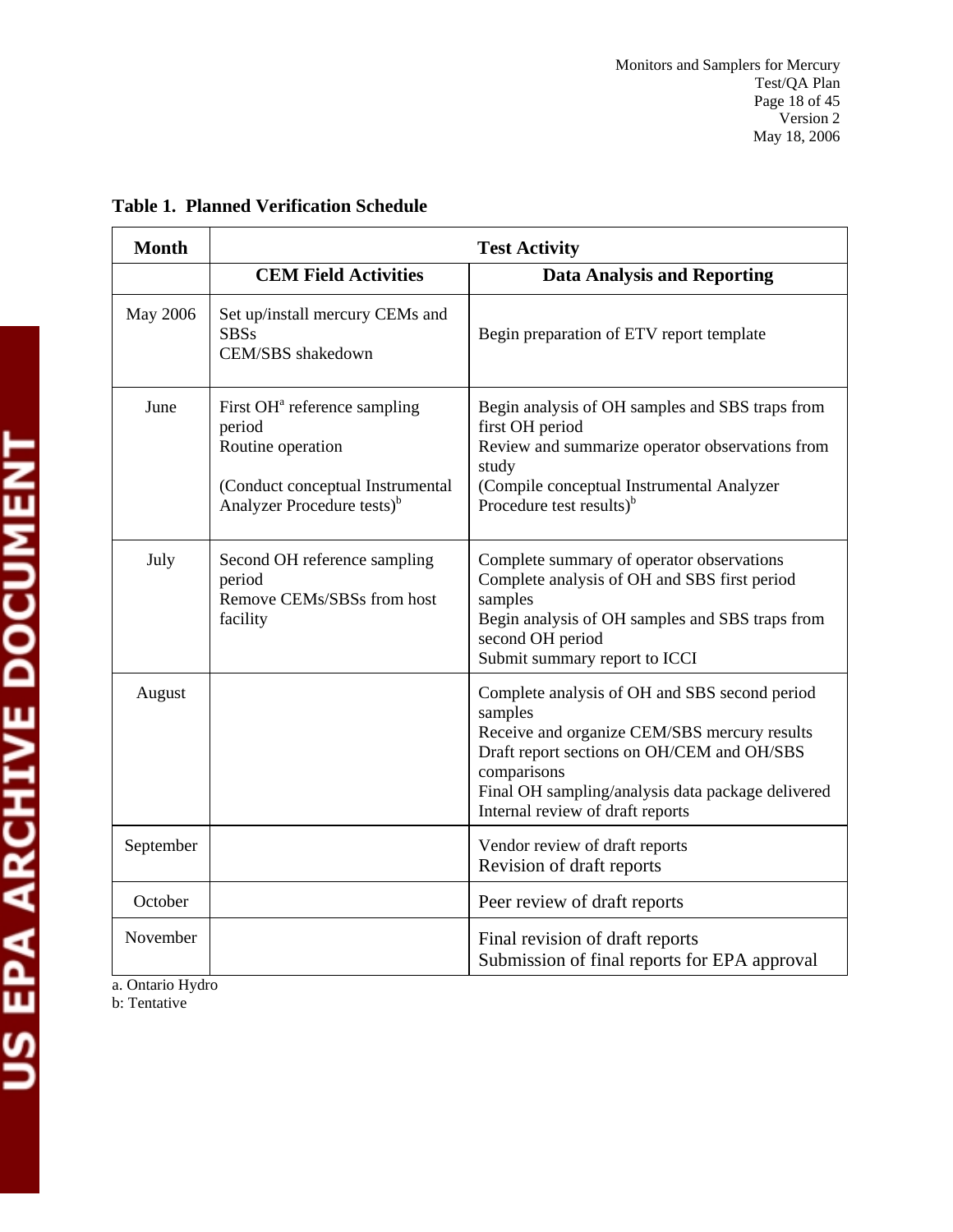| <b>Month</b> | <b>Test Activity</b>                                                                                                                                  |                                                                                                                                                                                                                                                                |  |
|--------------|-------------------------------------------------------------------------------------------------------------------------------------------------------|----------------------------------------------------------------------------------------------------------------------------------------------------------------------------------------------------------------------------------------------------------------|--|
|              | <b>CEM Field Activities</b>                                                                                                                           | <b>Data Analysis and Reporting</b>                                                                                                                                                                                                                             |  |
| May 2006     | Set up/install mercury CEMs and<br><b>SBSs</b><br>CEM/SBS shakedown                                                                                   | Begin preparation of ETV report template                                                                                                                                                                                                                       |  |
| June         | First OH <sup>a</sup> reference sampling<br>period<br>Routine operation<br>(Conduct conceptual Instrumental<br>Analyzer Procedure tests) <sup>b</sup> | Begin analysis of OH samples and SBS traps from<br>first OH period<br>Review and summarize operator observations from<br>study<br>(Compile conceptual Instrumental Analyzer<br>Procedure test results) <sup>b</sup>                                            |  |
| July         | Second OH reference sampling<br>period<br>Remove CEMs/SBSs from host<br>facility                                                                      | Complete summary of operator observations<br>Complete analysis of OH and SBS first period<br>samples<br>Begin analysis of OH samples and SBS traps from<br>second OH period<br>Submit summary report to ICCI                                                   |  |
| August       |                                                                                                                                                       | Complete analysis of OH and SBS second period<br>samples<br>Receive and organize CEM/SBS mercury results<br>Draft report sections on OH/CEM and OH/SBS<br>comparisons<br>Final OH sampling/analysis data package delivered<br>Internal review of draft reports |  |
| September    |                                                                                                                                                       | Vendor review of draft reports<br>Revision of draft reports                                                                                                                                                                                                    |  |
| October      |                                                                                                                                                       | Peer review of draft reports                                                                                                                                                                                                                                   |  |
| November     |                                                                                                                                                       | Final revision of draft reports<br>Submission of final reports for EPA approval                                                                                                                                                                                |  |

### **Table 1. Planned Verification Schedule**

a. Ontario Hydro

b: Tentative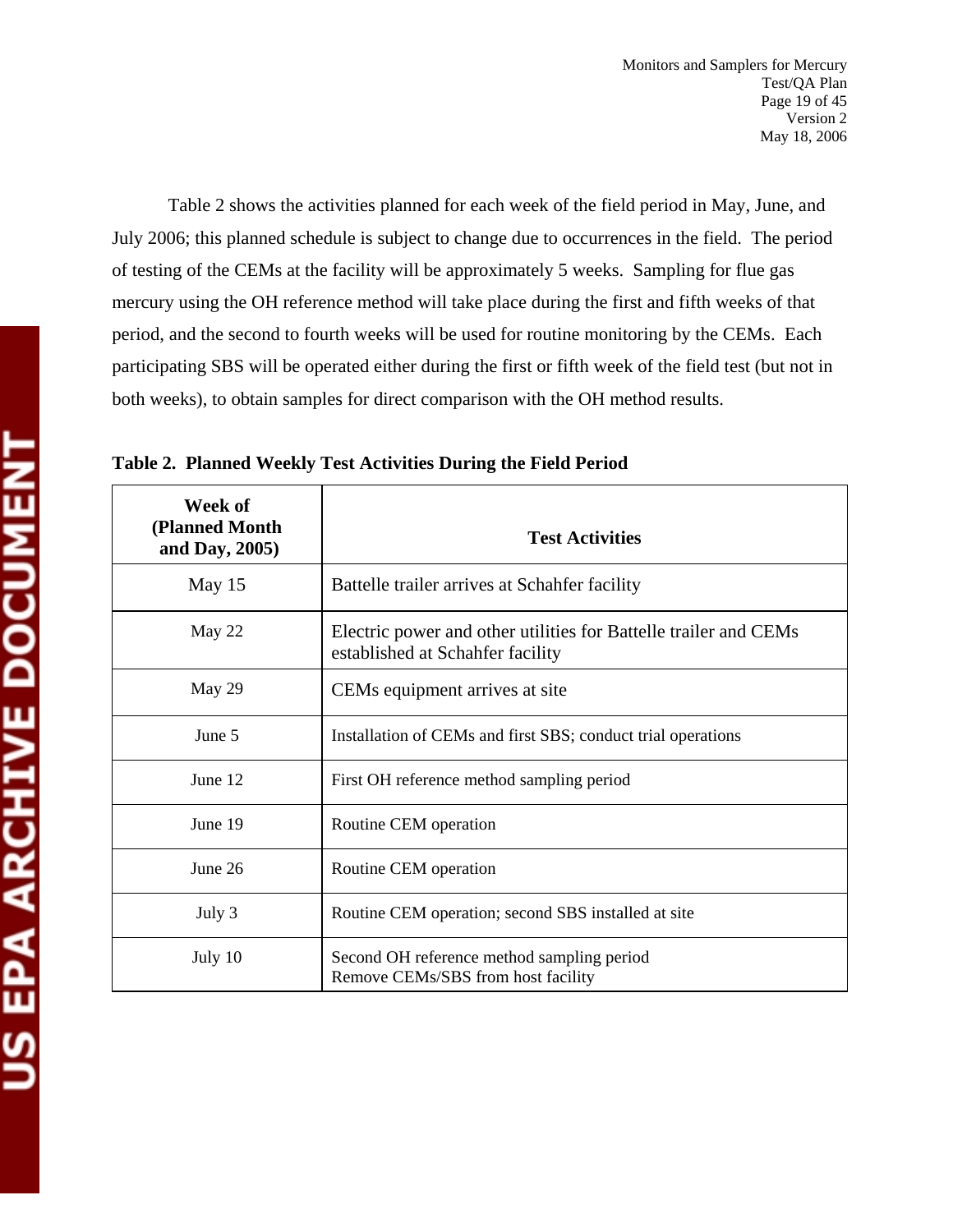Table 2 shows the activities planned for each week of the field period in May, June, and July 2006; this planned schedule is subject to change due to occurrences in the field. The period of testing of the CEMs at the facility will be approximately 5 weeks. Sampling for flue gas mercury using the OH reference method will take place during the first and fifth weeks of that period, and the second to fourth weeks will be used for routine monitoring by the CEMs. Each participating SBS will be operated either during the first or fifth week of the field test (but not in both weeks), to obtain samples for direct comparison with the OH method results.

| Week of<br>(Planned Month<br>and Day, 2005) | <b>Test Activities</b>                                                                               |
|---------------------------------------------|------------------------------------------------------------------------------------------------------|
| May 15                                      | Battelle trailer arrives at Schahfer facility                                                        |
| May 22                                      | Electric power and other utilities for Battelle trailer and CEMs<br>established at Schahfer facility |
| May 29                                      | CEMs equipment arrives at site                                                                       |
| June 5                                      | Installation of CEMs and first SBS; conduct trial operations                                         |
| June 12                                     | First OH reference method sampling period                                                            |
| June 19                                     | Routine CEM operation                                                                                |
| June 26                                     | Routine CEM operation                                                                                |
| July 3                                      | Routine CEM operation; second SBS installed at site                                                  |
| July 10                                     | Second OH reference method sampling period<br>Remove CEMs/SBS from host facility                     |

**Table 2. Planned Weekly Test Activities During the Field Period**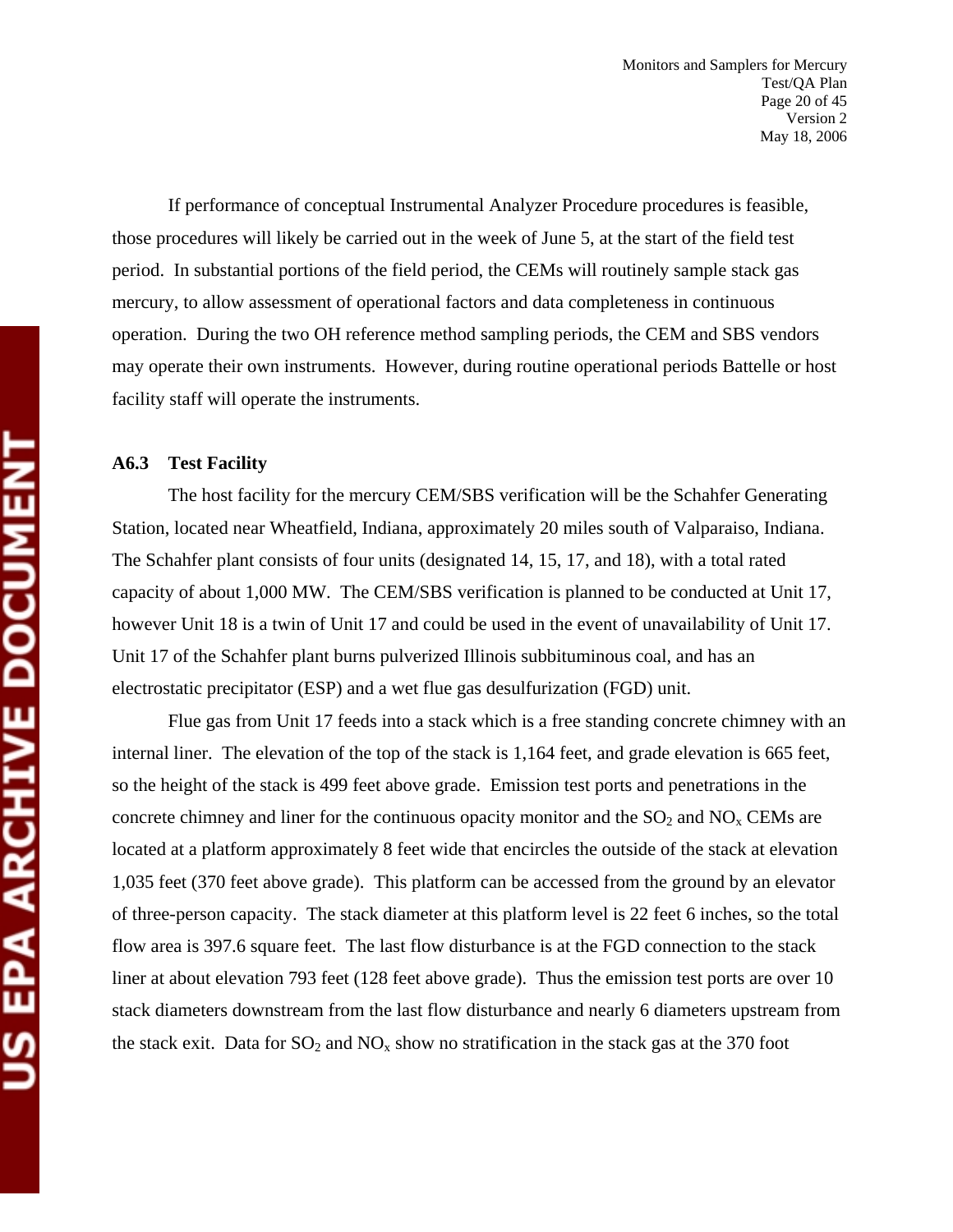If performance of conceptual Instrumental Analyzer Procedure procedures is feasible, those procedures will likely be carried out in the week of June 5, at the start of the field test period. In substantial portions of the field period, the CEMs will routinely sample stack gas mercury, to allow assessment of operational factors and data completeness in continuous operation. During the two OH reference method sampling periods, the CEM and SBS vendors may operate their own instruments. However, during routine operational periods Battelle or host facility staff will operate the instruments.

#### **A6.3 Test Facility**

The host facility for the mercury CEM/SBS verification will be the Schahfer Generating Station, located near Wheatfield, Indiana, approximately 20 miles south of Valparaiso, Indiana. The Schahfer plant consists of four units (designated 14, 15, 17, and 18), with a total rated capacity of about 1,000 MW. The CEM/SBS verification is planned to be conducted at Unit 17, however Unit 18 is a twin of Unit 17 and could be used in the event of unavailability of Unit 17. Unit 17 of the Schahfer plant burns pulverized Illinois subbituminous coal, and has an electrostatic precipitator (ESP) and a wet flue gas desulfurization (FGD) unit.

Flue gas from Unit 17 feeds into a stack which is a free standing concrete chimney with an internal liner. The elevation of the top of the stack is 1,164 feet, and grade elevation is 665 feet, so the height of the stack is 499 feet above grade. Emission test ports and penetrations in the concrete chimney and liner for the continuous opacity monitor and the  $SO_2$  and  $NO<sub>x</sub>$  CEMs are located at a platform approximately 8 feet wide that encircles the outside of the stack at elevation 1,035 feet (370 feet above grade). This platform can be accessed from the ground by an elevator of three-person capacity. The stack diameter at this platform level is 22 feet 6 inches, so the total flow area is 397.6 square feet. The last flow disturbance is at the FGD connection to the stack liner at about elevation 793 feet (128 feet above grade). Thus the emission test ports are over 10 stack diameters downstream from the last flow disturbance and nearly 6 diameters upstream from the stack exit. Data for  $SO_2$  and  $NO_x$  show no stratification in the stack gas at the 370 foot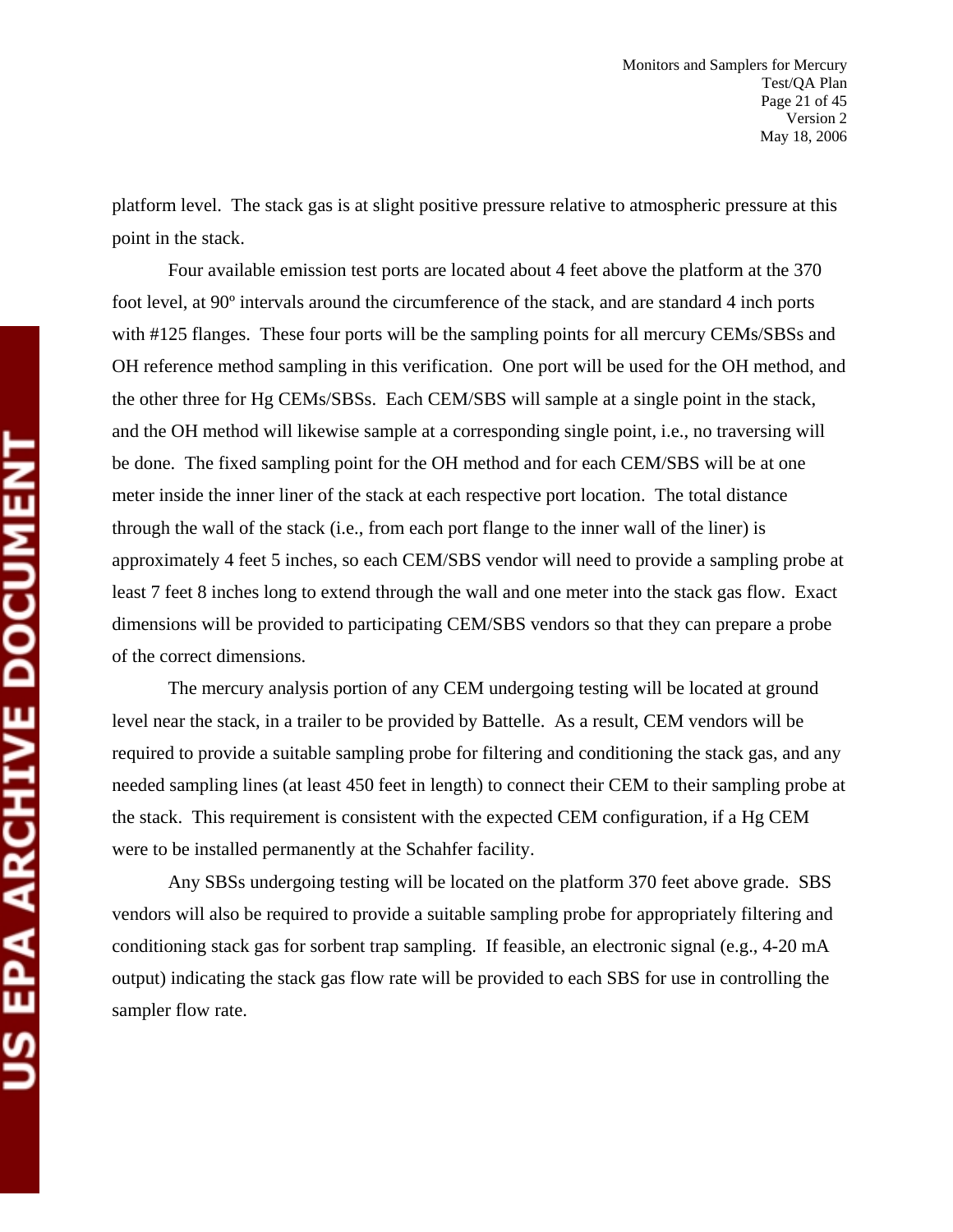platform level. The stack gas is at slight positive pressure relative to atmospheric pressure at this point in the stack.

Four available emission test ports are located about 4 feet above the platform at the 370 foot level, at 90º intervals around the circumference of the stack, and are standard 4 inch ports with #125 flanges. These four ports will be the sampling points for all mercury CEMs/SBSs and OH reference method sampling in this verification. One port will be used for the OH method, and the other three for Hg CEMs/SBSs. Each CEM/SBS will sample at a single point in the stack, and the OH method will likewise sample at a corresponding single point, i.e., no traversing will be done. The fixed sampling point for the OH method and for each CEM/SBS will be at one meter inside the inner liner of the stack at each respective port location. The total distance through the wall of the stack (i.e., from each port flange to the inner wall of the liner) is approximately 4 feet 5 inches, so each CEM/SBS vendor will need to provide a sampling probe at least 7 feet 8 inches long to extend through the wall and one meter into the stack gas flow. Exact dimensions will be provided to participating CEM/SBS vendors so that they can prepare a probe of the correct dimensions.

The mercury analysis portion of any CEM undergoing testing will be located at ground level near the stack, in a trailer to be provided by Battelle. As a result, CEM vendors will be required to provide a suitable sampling probe for filtering and conditioning the stack gas, and any needed sampling lines (at least 450 feet in length) to connect their CEM to their sampling probe at the stack. This requirement is consistent with the expected CEM configuration, if a Hg CEM were to be installed permanently at the Schahfer facility.

Any SBSs undergoing testing will be located on the platform 370 feet above grade. SBS vendors will also be required to provide a suitable sampling probe for appropriately filtering and conditioning stack gas for sorbent trap sampling. If feasible, an electronic signal (e.g., 4-20 mA output) indicating the stack gas flow rate will be provided to each SBS for use in controlling the sampler flow rate.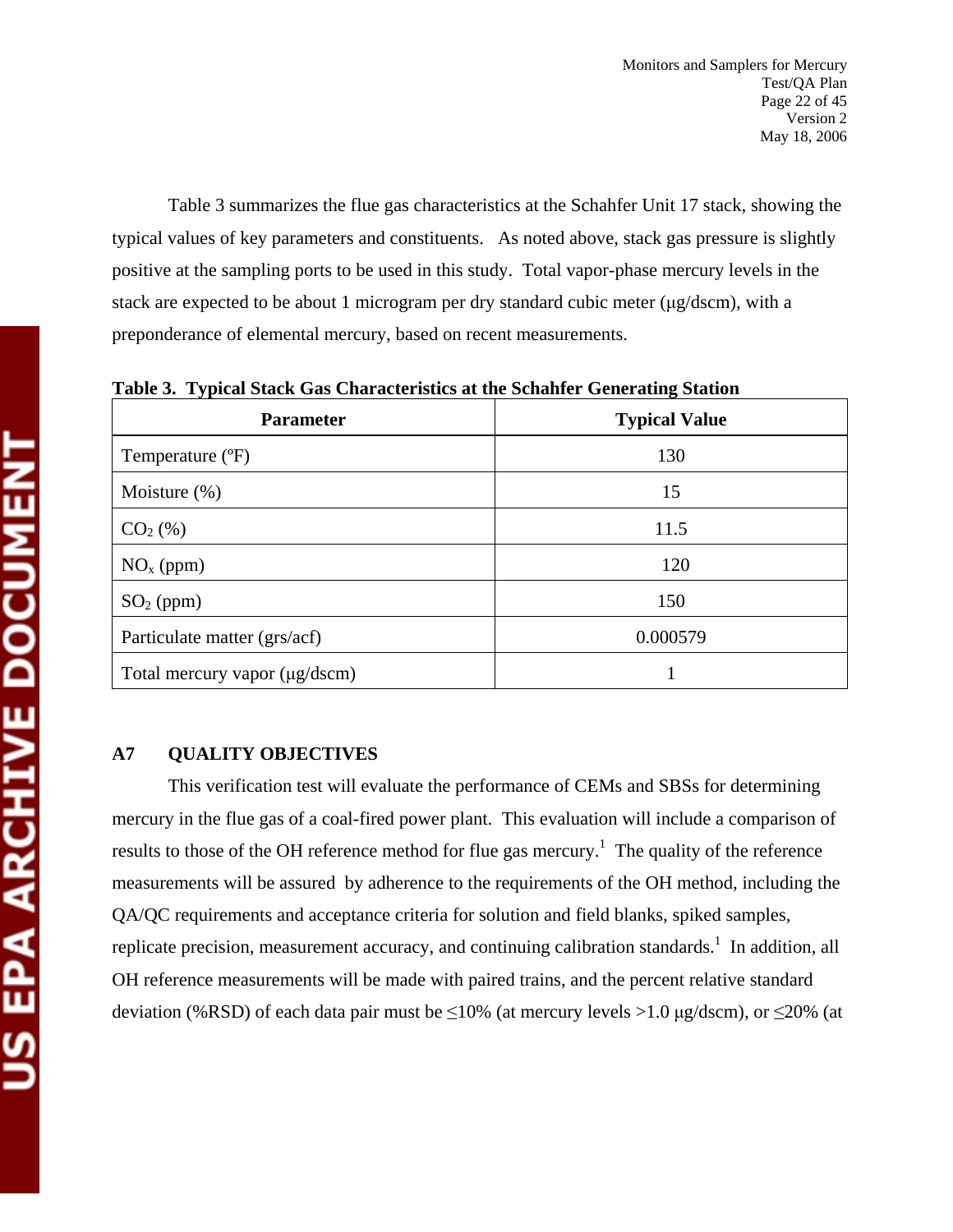Table 3 summarizes the flue gas characteristics at the Schahfer Unit 17 stack, showing the typical values of key parameters and constituents. As noted above, stack gas pressure is slightly positive at the sampling ports to be used in this study. Total vapor-phase mercury levels in the stack are expected to be about 1 microgram per dry standard cubic meter (μg/dscm), with a preponderance of elemental mercury, based on recent measurements.

| <b>Parameter</b>              | <b>Typical Value</b> |
|-------------------------------|----------------------|
| Temperature (°F)              | 130                  |
| Moisture $(\%)$               | 15                   |
| $CO2(\%)$                     | 11.5                 |
| $NOx$ (ppm)                   | 120                  |
| $SO2$ (ppm)                   | 150                  |
| Particulate matter (grs/acf)  | 0.000579             |
| Total mercury vapor (µg/dscm) |                      |

**Table 3. Typical Stack Gas Characteristics at the Schahfer Generating Station** 

### **A7 QUALITY OBJECTIVES**

This verification test will evaluate the performance of CEMs and SBSs for determining mercury in the flue gas of a coal-fired power plant. This evaluation will include a comparison of results to those of the OH reference method for flue gas mercury.<sup>1</sup> The quality of the reference measurements will be assured by adherence to the requirements of the OH method, including the QA/QC requirements and acceptance criteria for solution and field blanks, spiked samples, replicate precision, measurement accuracy, and continuing calibration standards.<sup>1</sup> In addition, all OH reference measurements will be made with paired trains, and the percent relative standard deviation (%RSD) of each data pair must be  $\leq 10\%$  (at mercury levels >1.0 µg/dscm), or  $\leq 20\%$  (at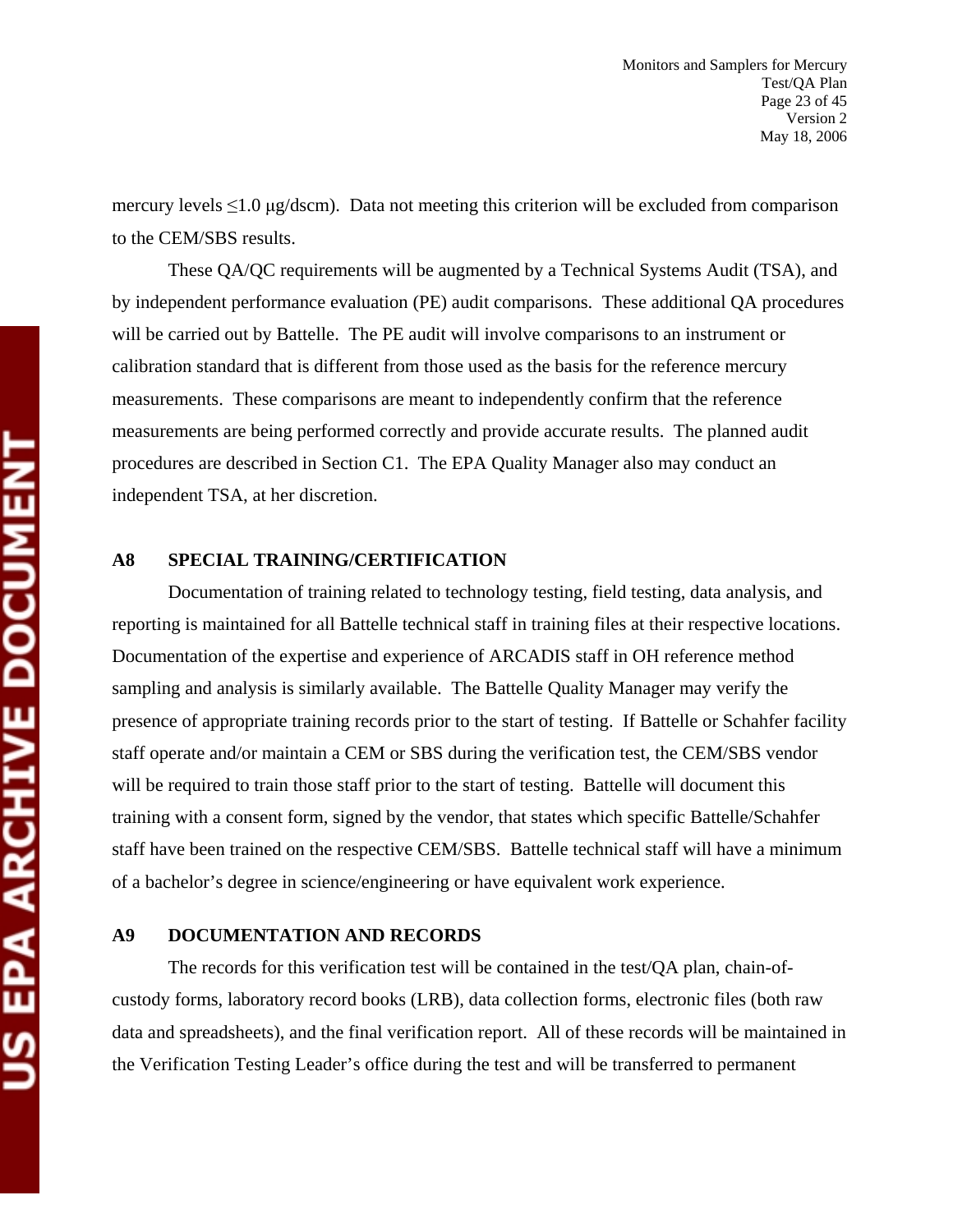mercury levels  $\leq 1.0$  μg/dscm). Data not meeting this criterion will be excluded from comparison to the CEM/SBS results.

These QA/QC requirements will be augmented by a Technical Systems Audit (TSA), and by independent performance evaluation (PE) audit comparisons. These additional QA procedures will be carried out by Battelle. The PE audit will involve comparisons to an instrument or calibration standard that is different from those used as the basis for the reference mercury measurements. These comparisons are meant to independently confirm that the reference measurements are being performed correctly and provide accurate results. The planned audit procedures are described in Section C1. The EPA Quality Manager also may conduct an independent TSA, at her discretion.

#### **A8 SPECIAL TRAINING/CERTIFICATION**

Documentation of training related to technology testing, field testing, data analysis, and reporting is maintained for all Battelle technical staff in training files at their respective locations. Documentation of the expertise and experience of ARCADIS staff in OH reference method sampling and analysis is similarly available. The Battelle Quality Manager may verify the presence of appropriate training records prior to the start of testing. If Battelle or Schahfer facility staff operate and/or maintain a CEM or SBS during the verification test, the CEM/SBS vendor will be required to train those staff prior to the start of testing. Battelle will document this training with a consent form, signed by the vendor, that states which specific Battelle/Schahfer staff have been trained on the respective CEM/SBS. Battelle technical staff will have a minimum of a bachelor's degree in science/engineering or have equivalent work experience.

#### **A9 DOCUMENTATION AND RECORDS**

The records for this verification test will be contained in the test/QA plan, chain-ofcustody forms, laboratory record books (LRB), data collection forms, electronic files (both raw data and spreadsheets), and the final verification report. All of these records will be maintained in the Verification Testing Leader's office during the test and will be transferred to permanent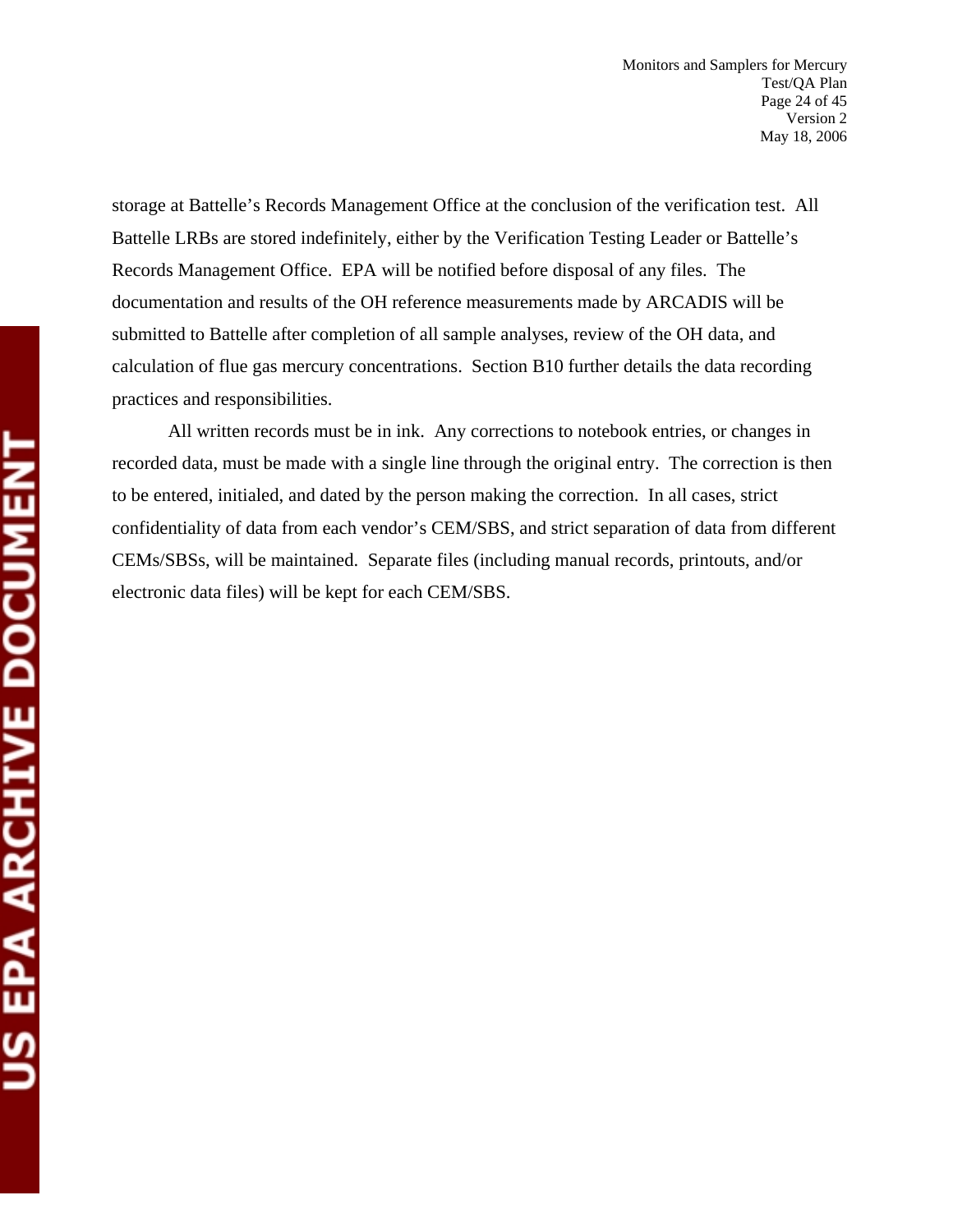storage at Battelle's Records Management Office at the conclusion of the verification test. All Battelle LRBs are stored indefinitely, either by the Verification Testing Leader or Battelle's Records Management Office. EPA will be notified before disposal of any files. The documentation and results of the OH reference measurements made by ARCADIS will be submitted to Battelle after completion of all sample analyses, review of the OH data, and calculation of flue gas mercury concentrations. Section B10 further details the data recording practices and responsibilities.

All written records must be in ink. Any corrections to notebook entries, or changes in recorded data, must be made with a single line through the original entry. The correction is then to be entered, initialed, and dated by the person making the correction. In all cases, strict confidentiality of data from each vendor's CEM/SBS, and strict separation of data from different CEMs/SBSs, will be maintained. Separate files (including manual records, printouts, and/or electronic data files) will be kept for each CEM/SBS.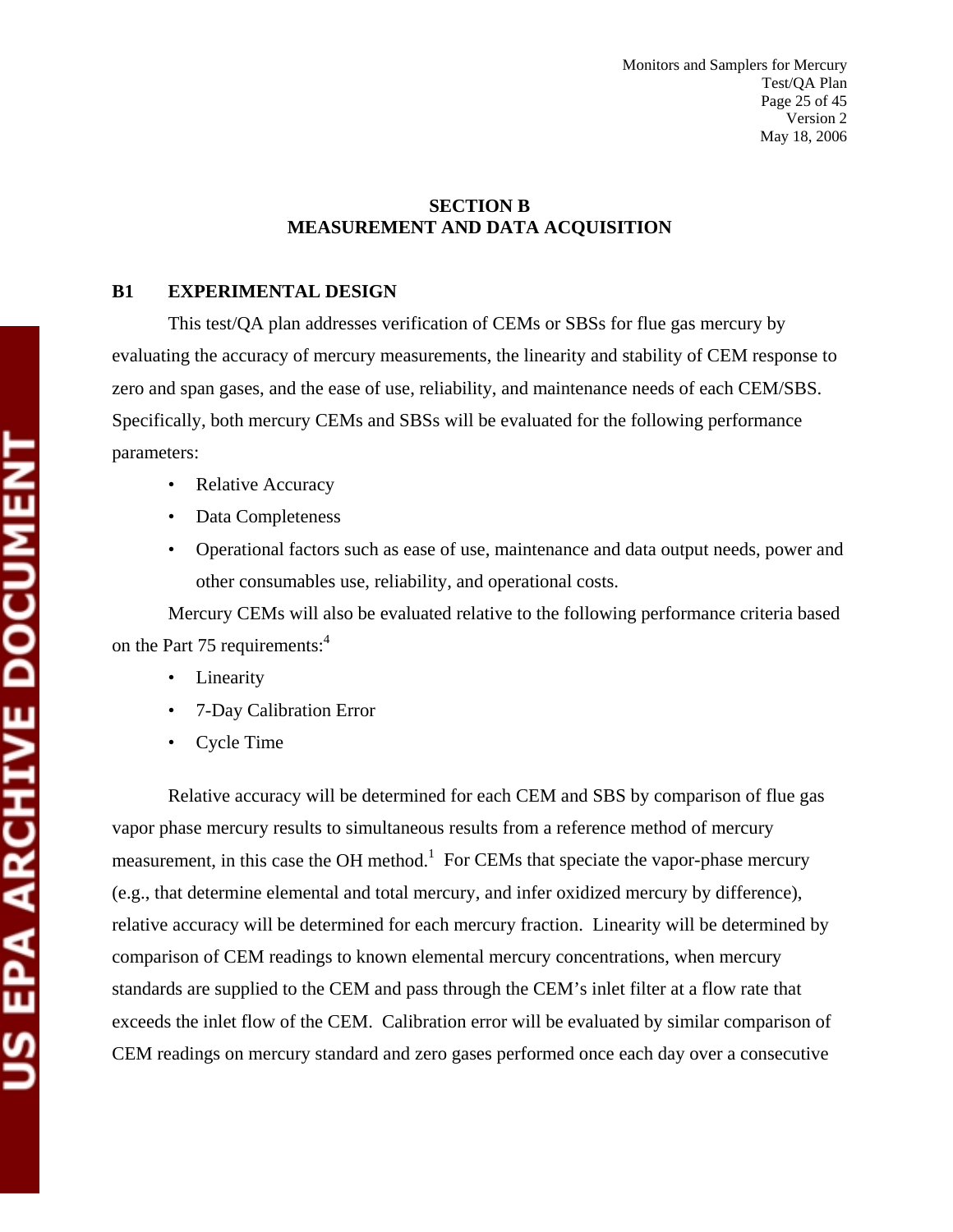#### **SECTION B MEASUREMENT AND DATA ACQUISITION**

#### **B1 EXPERIMENTAL DESIGN**

This test/QA plan addresses verification of CEMs or SBSs for flue gas mercury by evaluating the accuracy of mercury measurements, the linearity and stability of CEM response to zero and span gases, and the ease of use, reliability, and maintenance needs of each CEM/SBS. Specifically, both mercury CEMs and SBSs will be evaluated for the following performance parameters:

- Relative Accuracy
- Data Completeness
- Operational factors such as ease of use, maintenance and data output needs, power and other consumables use, reliability, and operational costs.

Mercury CEMs will also be evaluated relative to the following performance criteria based on the Part 75 requirements:<sup>4</sup>

- Linearity
- 7-Day Calibration Error
- Cycle Time

Relative accuracy will be determined for each CEM and SBS by comparison of flue gas vapor phase mercury results to simultaneous results from a reference method of mercury measurement, in this case the OH method.<sup>1</sup> For CEMs that speciate the vapor-phase mercury (e.g., that determine elemental and total mercury, and infer oxidized mercury by difference), relative accuracy will be determined for each mercury fraction. Linearity will be determined by comparison of CEM readings to known elemental mercury concentrations, when mercury standards are supplied to the CEM and pass through the CEM's inlet filter at a flow rate that exceeds the inlet flow of the CEM. Calibration error will be evaluated by similar comparison of CEM readings on mercury standard and zero gases performed once each day over a consecutive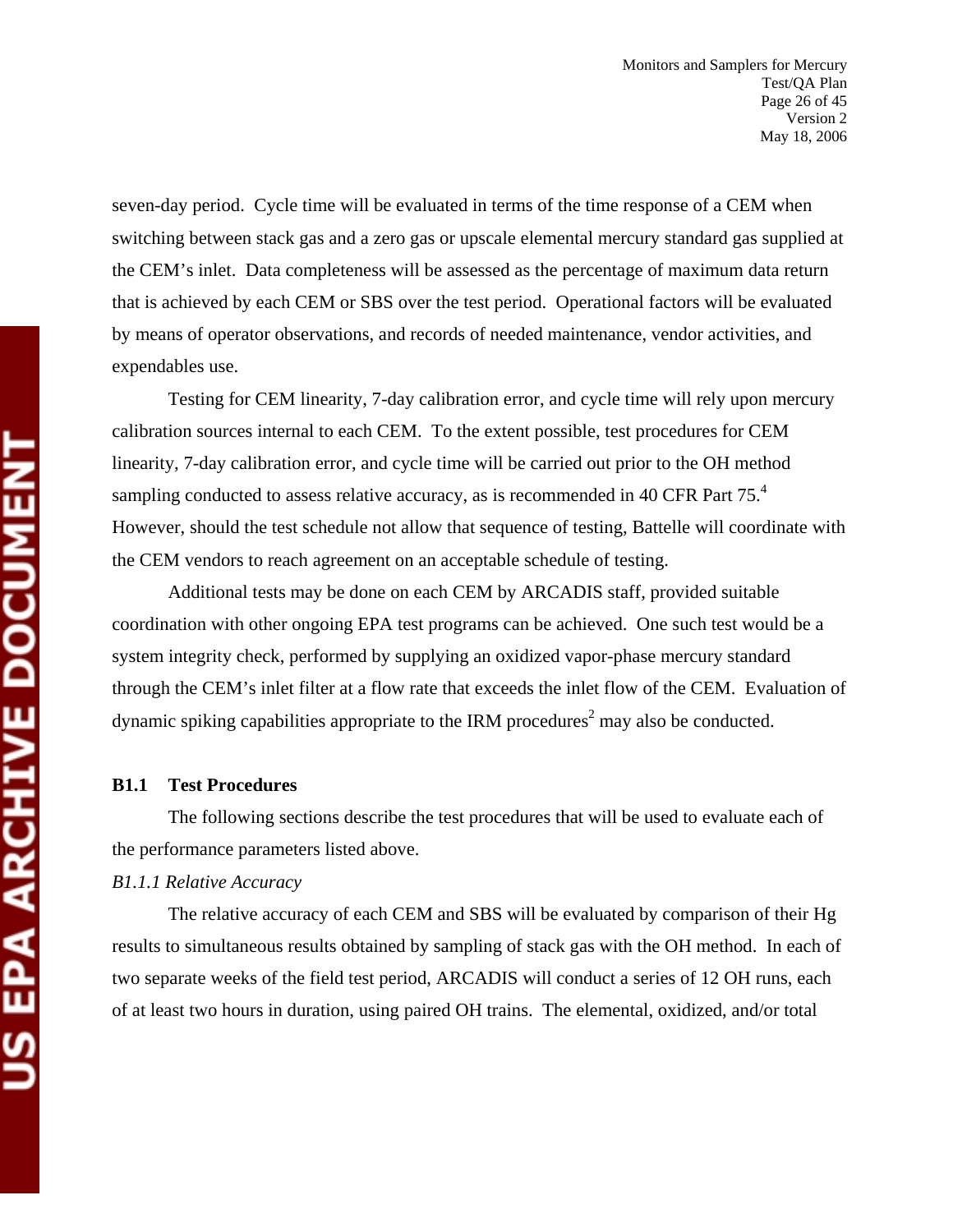seven-day period. Cycle time will be evaluated in terms of the time response of a CEM when switching between stack gas and a zero gas or upscale elemental mercury standard gas supplied at the CEM's inlet. Data completeness will be assessed as the percentage of maximum data return that is achieved by each CEM or SBS over the test period. Operational factors will be evaluated by means of operator observations, and records of needed maintenance, vendor activities, and expendables use.

Testing for CEM linearity, 7-day calibration error, and cycle time will rely upon mercury calibration sources internal to each CEM. To the extent possible, test procedures for CEM linearity, 7-day calibration error, and cycle time will be carried out prior to the OH method sampling conducted to assess relative accuracy, as is recommended in 40 CFR Part 75.<sup>4</sup> However, should the test schedule not allow that sequence of testing, Battelle will coordinate with the CEM vendors to reach agreement on an acceptable schedule of testing.

Additional tests may be done on each CEM by ARCADIS staff, provided suitable coordination with other ongoing EPA test programs can be achieved. One such test would be a system integrity check, performed by supplying an oxidized vapor-phase mercury standard through the CEM's inlet filter at a flow rate that exceeds the inlet flow of the CEM. Evaluation of dynamic spiking capabilities appropriate to the IRM procedures<sup>2</sup> may also be conducted.

#### **B1.1 Test Procedures**

The following sections describe the test procedures that will be used to evaluate each of the performance parameters listed above.

#### *B1.1.1 Relative Accuracy*

The relative accuracy of each CEM and SBS will be evaluated by comparison of their Hg results to simultaneous results obtained by sampling of stack gas with the OH method. In each of two separate weeks of the field test period, ARCADIS will conduct a series of 12 OH runs, each of at least two hours in duration, using paired OH trains. The elemental, oxidized, and/or total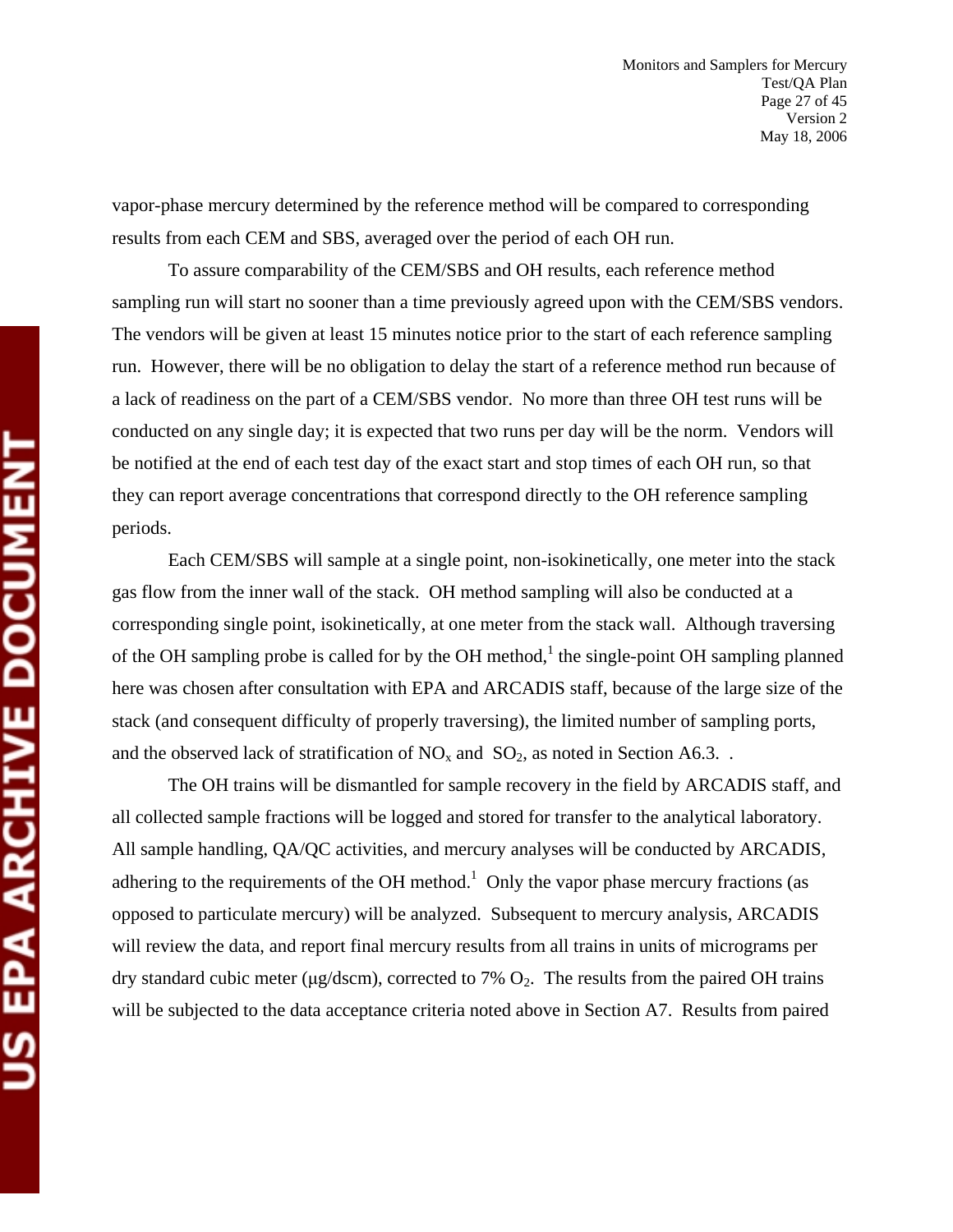vapor-phase mercury determined by the reference method will be compared to corresponding results from each CEM and SBS, averaged over the period of each OH run.

To assure comparability of the CEM/SBS and OH results, each reference method sampling run will start no sooner than a time previously agreed upon with the CEM/SBS vendors. The vendors will be given at least 15 minutes notice prior to the start of each reference sampling run. However, there will be no obligation to delay the start of a reference method run because of a lack of readiness on the part of a CEM/SBS vendor. No more than three OH test runs will be conducted on any single day; it is expected that two runs per day will be the norm. Vendors will be notified at the end of each test day of the exact start and stop times of each OH run, so that they can report average concentrations that correspond directly to the OH reference sampling periods.

Each CEM/SBS will sample at a single point, non-isokinetically, one meter into the stack gas flow from the inner wall of the stack. OH method sampling will also be conducted at a corresponding single point, isokinetically, at one meter from the stack wall. Although traversing of the OH sampling probe is called for by the OH method,<sup>1</sup> the single-point OH sampling planned here was chosen after consultation with EPA and ARCADIS staff, because of the large size of the stack (and consequent difficulty of properly traversing), the limited number of sampling ports, and the observed lack of stratification of  $NO<sub>x</sub>$  and  $SO<sub>2</sub>$ , as noted in Section A6.3..

The OH trains will be dismantled for sample recovery in the field by ARCADIS staff, and all collected sample fractions will be logged and stored for transfer to the analytical laboratory. All sample handling, QA/QC activities, and mercury analyses will be conducted by ARCADIS, adhering to the requirements of the OH method.<sup>1</sup> Only the vapor phase mercury fractions (as opposed to particulate mercury) will be analyzed. Subsequent to mercury analysis, ARCADIS will review the data, and report final mercury results from all trains in units of micrograms per dry standard cubic meter ( $\mu$ g/dscm), corrected to 7%  $O_2$ . The results from the paired OH trains will be subjected to the data acceptance criteria noted above in Section A7. Results from paired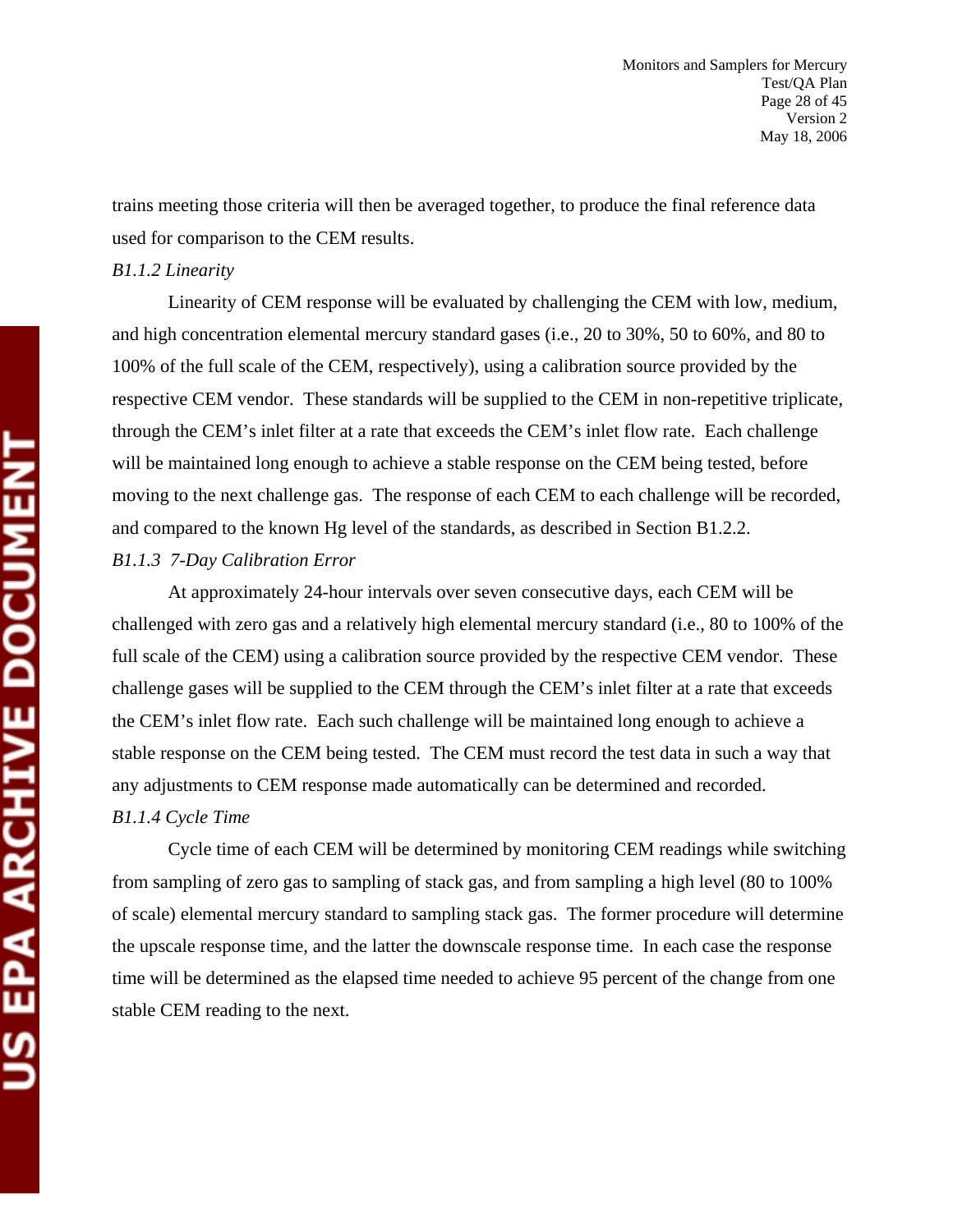trains meeting those criteria will then be averaged together, to produce the final reference data used for comparison to the CEM results.

#### *B1.1.2 Linearity*

Linearity of CEM response will be evaluated by challenging the CEM with low, medium, and high concentration elemental mercury standard gases (i.e., 20 to 30%, 50 to 60%, and 80 to 100% of the full scale of the CEM, respectively), using a calibration source provided by the respective CEM vendor. These standards will be supplied to the CEM in non-repetitive triplicate, through the CEM's inlet filter at a rate that exceeds the CEM's inlet flow rate. Each challenge will be maintained long enough to achieve a stable response on the CEM being tested, before moving to the next challenge gas. The response of each CEM to each challenge will be recorded, and compared to the known Hg level of the standards, as described in Section B1.2.2. *B1.1.3 7-Day Calibration Error* 

At approximately 24-hour intervals over seven consecutive days, each CEM will be challenged with zero gas and a relatively high elemental mercury standard (i.e., 80 to 100% of the full scale of the CEM) using a calibration source provided by the respective CEM vendor. These challenge gases will be supplied to the CEM through the CEM's inlet filter at a rate that exceeds the CEM's inlet flow rate. Each such challenge will be maintained long enough to achieve a stable response on the CEM being tested. The CEM must record the test data in such a way that any adjustments to CEM response made automatically can be determined and recorded.

#### *B1.1.4 Cycle Time*

Cycle time of each CEM will be determined by monitoring CEM readings while switching from sampling of zero gas to sampling of stack gas, and from sampling a high level (80 to 100% of scale) elemental mercury standard to sampling stack gas. The former procedure will determine the upscale response time, and the latter the downscale response time. In each case the response time will be determined as the elapsed time needed to achieve 95 percent of the change from one stable CEM reading to the next.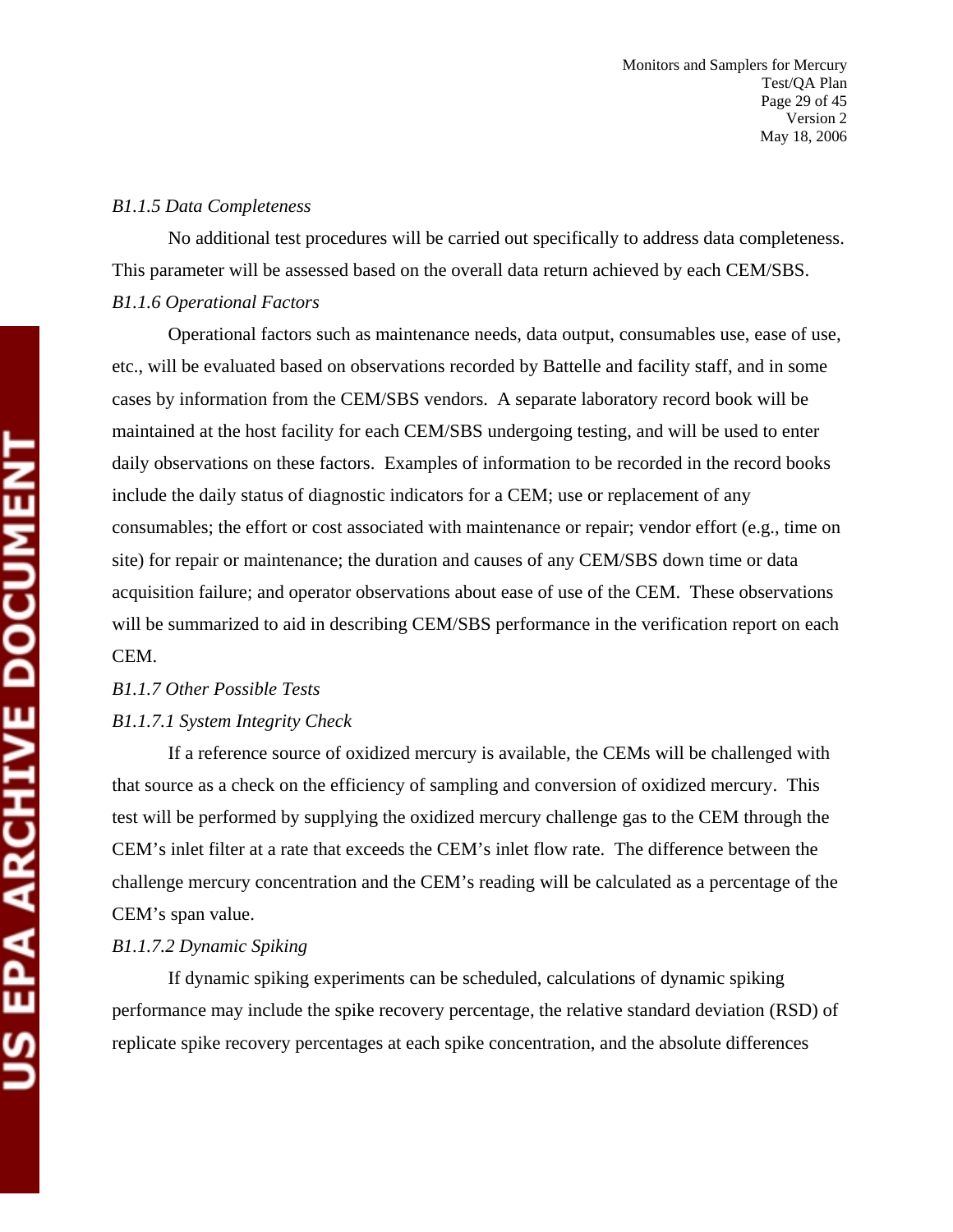#### *B1.1.5 Data Completeness*

No additional test procedures will be carried out specifically to address data completeness. This parameter will be assessed based on the overall data return achieved by each CEM/SBS. *B1.1.6 Operational Factors* 

Operational factors such as maintenance needs, data output, consumables use, ease of use, etc., will be evaluated based on observations recorded by Battelle and facility staff, and in some cases by information from the CEM/SBS vendors. A separate laboratory record book will be maintained at the host facility for each CEM/SBS undergoing testing, and will be used to enter daily observations on these factors. Examples of information to be recorded in the record books include the daily status of diagnostic indicators for a CEM; use or replacement of any consumables; the effort or cost associated with maintenance or repair; vendor effort (e.g., time on site) for repair or maintenance; the duration and causes of any CEM/SBS down time or data acquisition failure; and operator observations about ease of use of the CEM. These observations will be summarized to aid in describing CEM/SBS performance in the verification report on each CEM.

## *B1.1.7 Other Possible Tests B1.1.7.1 System Integrity Check*

If a reference source of oxidized mercury is available, the CEMs will be challenged with that source as a check on the efficiency of sampling and conversion of oxidized mercury. This test will be performed by supplying the oxidized mercury challenge gas to the CEM through the CEM's inlet filter at a rate that exceeds the CEM's inlet flow rate. The difference between the challenge mercury concentration and the CEM's reading will be calculated as a percentage of the CEM's span value.

#### *B1.1.7.2 Dynamic Spiking*

If dynamic spiking experiments can be scheduled, calculations of dynamic spiking performance may include the spike recovery percentage, the relative standard deviation (RSD) of replicate spike recovery percentages at each spike concentration, and the absolute differences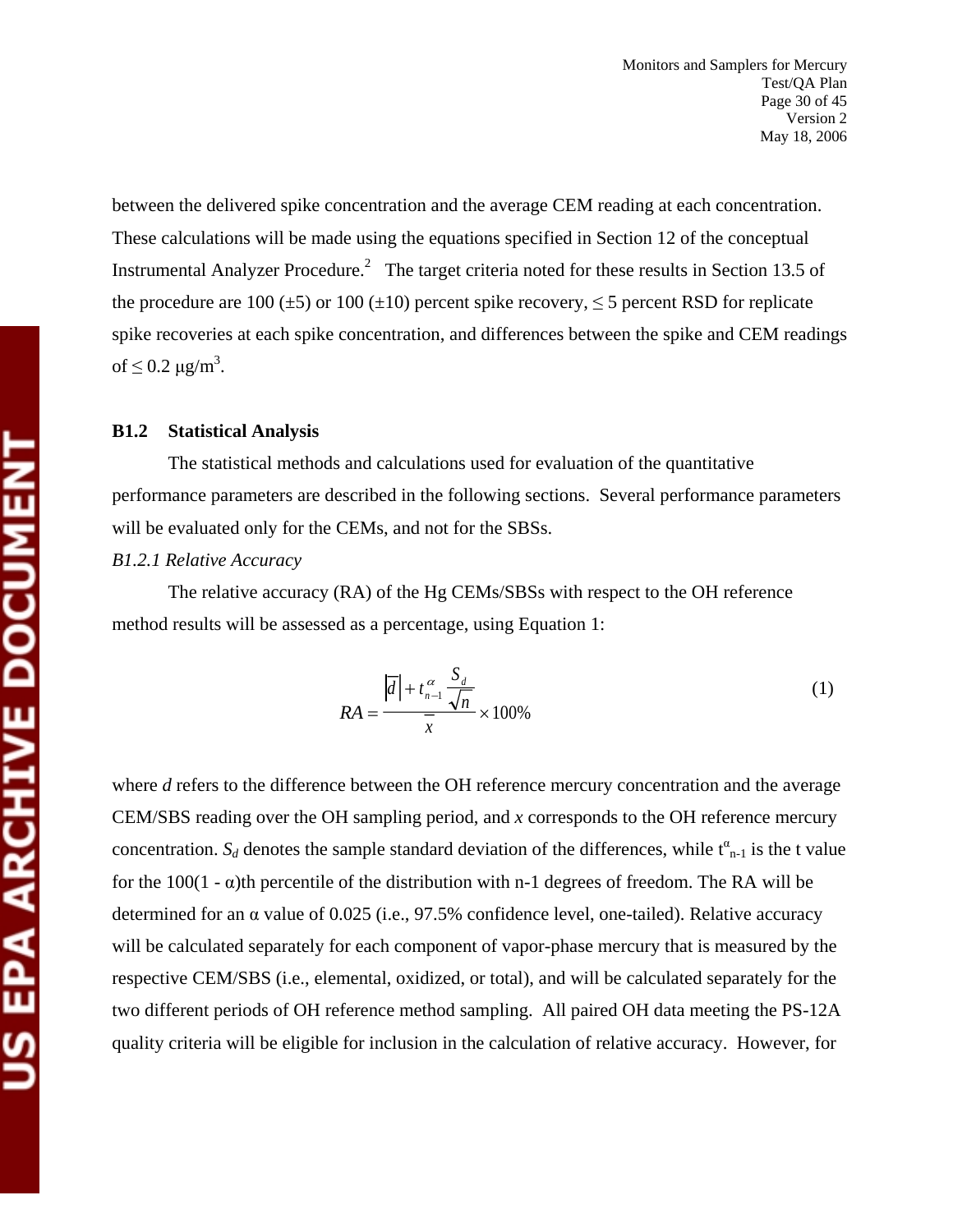between the delivered spike concentration and the average CEM reading at each concentration. These calculations will be made using the equations specified in Section 12 of the conceptual Instrumental Analyzer Procedure.<sup>2</sup> The target criteria noted for these results in Section 13.5 of the procedure are 100 ( $\pm$ 5) or 100 ( $\pm$ 10) percent spike recovery,  $\leq$  5 percent RSD for replicate spike recoveries at each spike concentration, and differences between the spike and CEM readings of  $\leq$  0.2  $\mu$ g/m<sup>3</sup>.

#### **B1.2 Statistical Analysis**

The statistical methods and calculations used for evaluation of the quantitative performance parameters are described in the following sections. Several performance parameters will be evaluated only for the CEMs, and not for the SBSs.

#### *B1.2.1 Relative Accuracy*

The relative accuracy (RA) of the Hg CEMs/SBSs with respect to the OH reference method results will be assessed as a percentage, using Equation 1:

$$
RA = \frac{|\overline{d}| + t_{n-1}^{\alpha} \frac{S_d}{\sqrt{n}}}{\overline{x}} \times 100\%
$$
 (1)

where *d* refers to the difference between the OH reference mercury concentration and the average CEM/SBS reading over the OH sampling period, and *x* corresponds to the OH reference mercury concentration.  $S_d$  denotes the sample standard deviation of the differences, while  $t^{\alpha}_{n-1}$  is the t value for the 100(1 -  $\alpha$ )th percentile of the distribution with n-1 degrees of freedom. The RA will be determined for an α value of 0.025 (i.e., 97.5% confidence level, one-tailed). Relative accuracy will be calculated separately for each component of vapor-phase mercury that is measured by the respective CEM/SBS (i.e., elemental, oxidized, or total), and will be calculated separately for the two different periods of OH reference method sampling. All paired OH data meeting the PS-12A quality criteria will be eligible for inclusion in the calculation of relative accuracy. However, for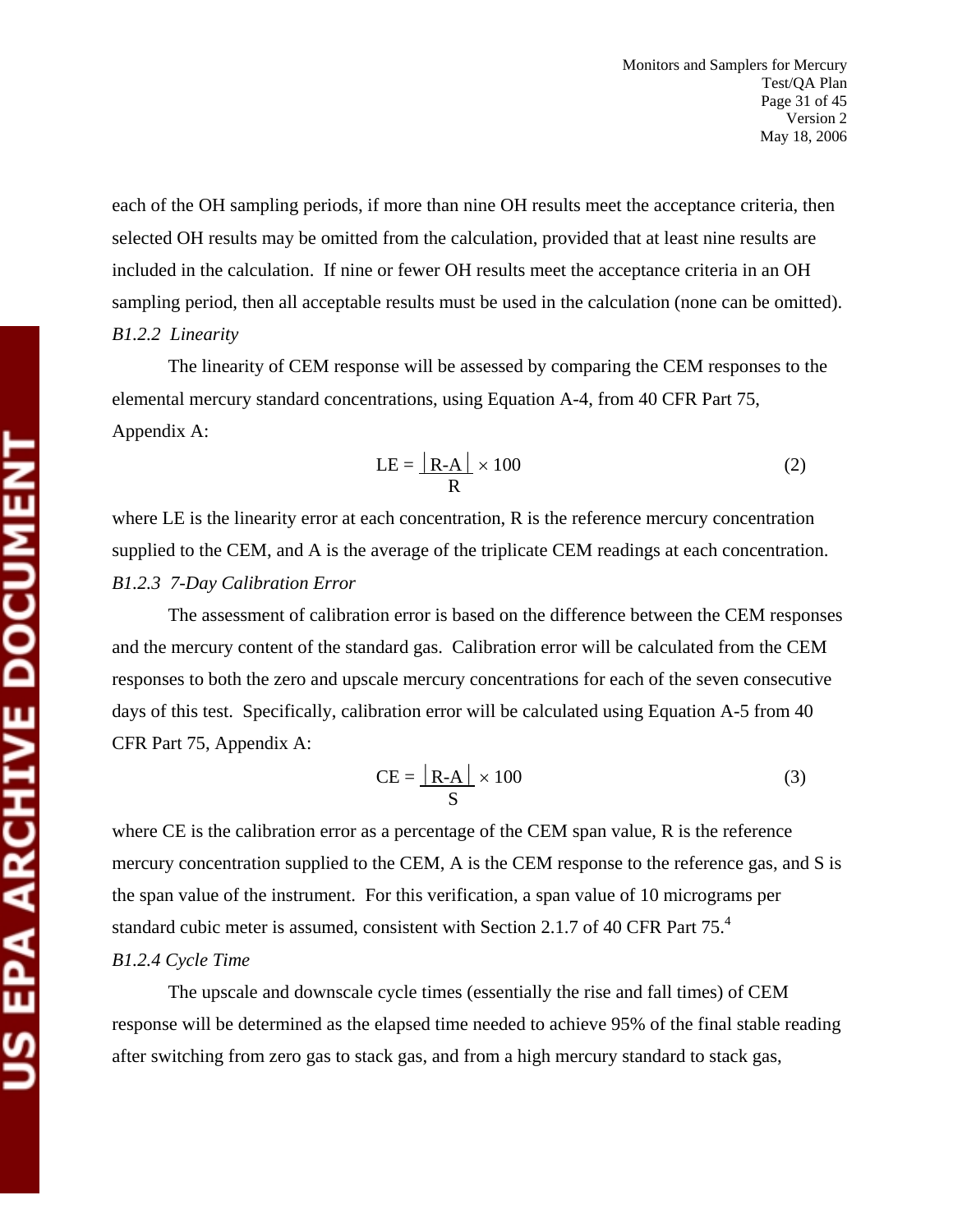each of the OH sampling periods, if more than nine OH results meet the acceptance criteria, then selected OH results may be omitted from the calculation, provided that at least nine results are included in the calculation. If nine or fewer OH results meet the acceptance criteria in an OH sampling period, then all acceptable results must be used in the calculation (none can be omitted). *B1.2.2 Linearity* 

The linearity of CEM response will be assessed by comparing the CEM responses to the elemental mercury standard concentrations, using Equation A-4, from 40 CFR Part 75, Appendix A:

$$
LE = \frac{|R-A|}{R} \times 100
$$
 (2)

where LE is the linearity error at each concentration, R is the reference mercury concentration supplied to the CEM, and A is the average of the triplicate CEM readings at each concentration. *B1.2.3 7-Day Calibration Error* 

The assessment of calibration error is based on the difference between the CEM responses and the mercury content of the standard gas. Calibration error will be calculated from the CEM responses to both the zero and upscale mercury concentrations for each of the seven consecutive days of this test. Specifically, calibration error will be calculated using Equation A-5 from 40 CFR Part 75, Appendix A:

$$
CE = \frac{|R-A|}{S} \times 100
$$
 (3)

where CE is the calibration error as a percentage of the CEM span value, R is the reference mercury concentration supplied to the CEM, A is the CEM response to the reference gas, and S is the span value of the instrument. For this verification, a span value of 10 micrograms per standard cubic meter is assumed, consistent with Section 2.1.7 of 40 CFR Part 75.<sup>4</sup>

## *B1.2.4 Cycle Time*

The upscale and downscale cycle times (essentially the rise and fall times) of CEM response will be determined as the elapsed time needed to achieve 95% of the final stable reading after switching from zero gas to stack gas, and from a high mercury standard to stack gas,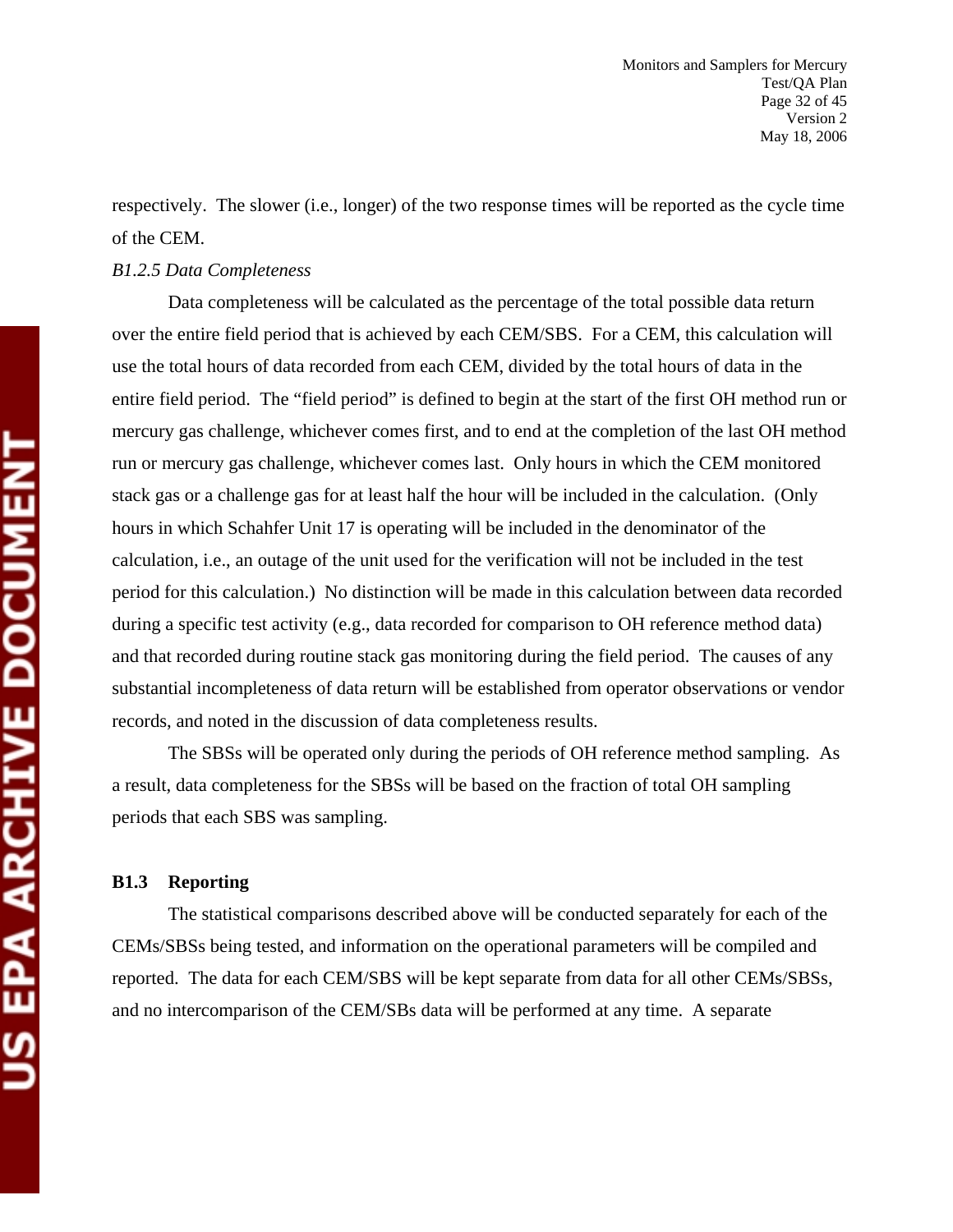respectively. The slower (i.e., longer) of the two response times will be reported as the cycle time of the CEM.

#### *B1.2.5 Data Completeness*

Data completeness will be calculated as the percentage of the total possible data return over the entire field period that is achieved by each CEM/SBS. For a CEM, this calculation will use the total hours of data recorded from each CEM, divided by the total hours of data in the entire field period. The "field period" is defined to begin at the start of the first OH method run or mercury gas challenge, whichever comes first, and to end at the completion of the last OH method run or mercury gas challenge, whichever comes last. Only hours in which the CEM monitored stack gas or a challenge gas for at least half the hour will be included in the calculation. (Only hours in which Schahfer Unit 17 is operating will be included in the denominator of the calculation, i.e., an outage of the unit used for the verification will not be included in the test period for this calculation.) No distinction will be made in this calculation between data recorded during a specific test activity (e.g., data recorded for comparison to OH reference method data) and that recorded during routine stack gas monitoring during the field period. The causes of any substantial incompleteness of data return will be established from operator observations or vendor records, and noted in the discussion of data completeness results.

The SBSs will be operated only during the periods of OH reference method sampling. As a result, data completeness for the SBSs will be based on the fraction of total OH sampling periods that each SBS was sampling.

#### **B1.3 Reporting**

The statistical comparisons described above will be conducted separately for each of the CEMs/SBSs being tested, and information on the operational parameters will be compiled and reported. The data for each CEM/SBS will be kept separate from data for all other CEMs/SBSs, and no intercomparison of the CEM/SBs data will be performed at any time. A separate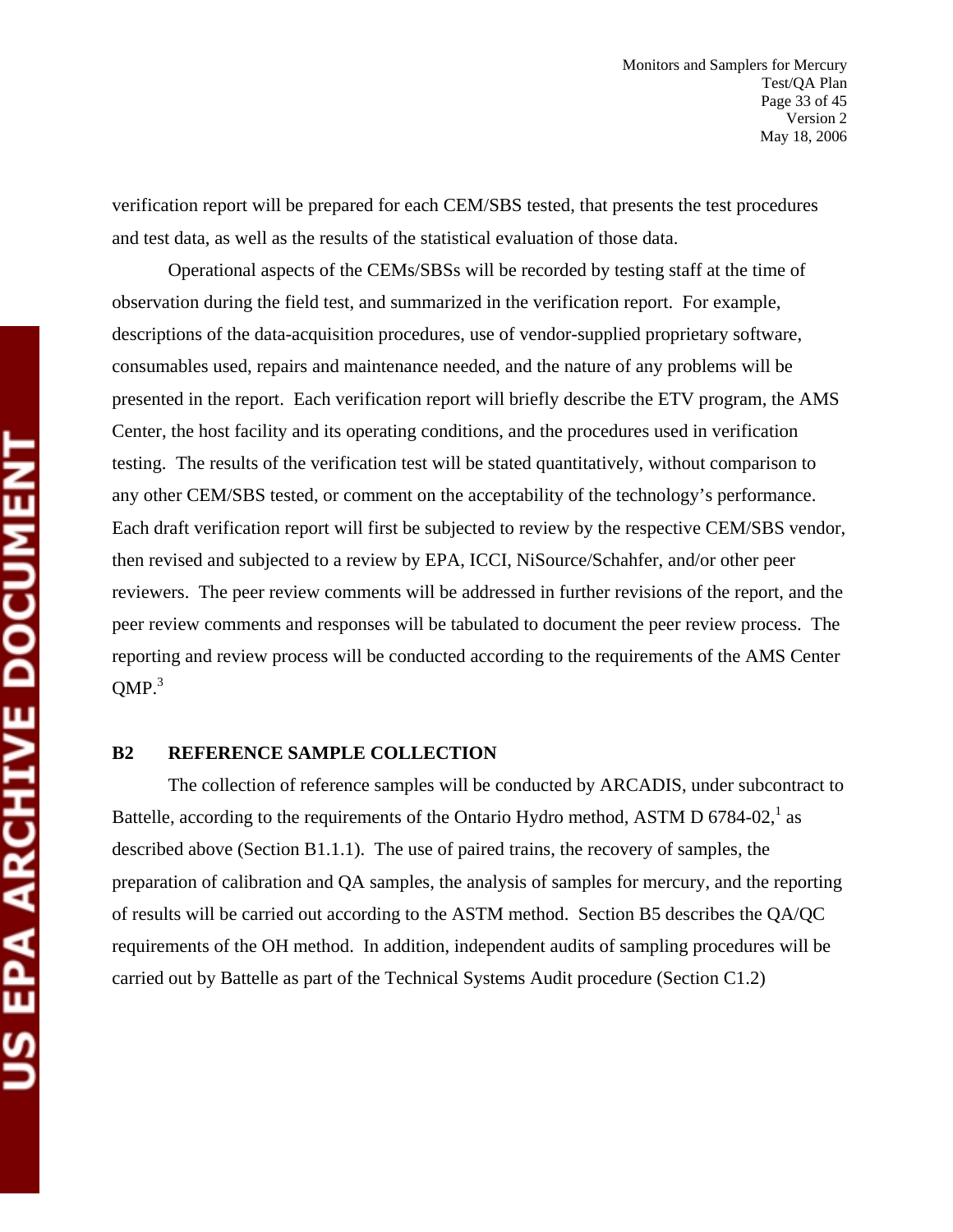verification report will be prepared for each CEM/SBS tested, that presents the test procedures and test data, as well as the results of the statistical evaluation of those data.

Operational aspects of the CEMs/SBSs will be recorded by testing staff at the time of observation during the field test, and summarized in the verification report. For example, descriptions of the data-acquisition procedures, use of vendor-supplied proprietary software, consumables used, repairs and maintenance needed, and the nature of any problems will be presented in the report. Each verification report will briefly describe the ETV program, the AMS Center, the host facility and its operating conditions, and the procedures used in verification testing. The results of the verification test will be stated quantitatively, without comparison to any other CEM/SBS tested, or comment on the acceptability of the technology's performance. Each draft verification report will first be subjected to review by the respective CEM/SBS vendor, then revised and subjected to a review by EPA, ICCI, NiSource/Schahfer, and/or other peer reviewers. The peer review comments will be addressed in further revisions of the report, and the peer review comments and responses will be tabulated to document the peer review process. The reporting and review process will be conducted according to the requirements of the AMS Center  $OMP.<sup>3</sup>$ 

#### **B2 REFERENCE SAMPLE COLLECTION**

The collection of reference samples will be conducted by ARCADIS, under subcontract to Battelle, according to the requirements of the Ontario Hydro method, ASTM D 6784-02, $^1$  as described above (Section B1.1.1). The use of paired trains, the recovery of samples, the preparation of calibration and QA samples, the analysis of samples for mercury, and the reporting of results will be carried out according to the ASTM method. Section B5 describes the QA/QC requirements of the OH method. In addition, independent audits of sampling procedures will be carried out by Battelle as part of the Technical Systems Audit procedure (Section C1.2)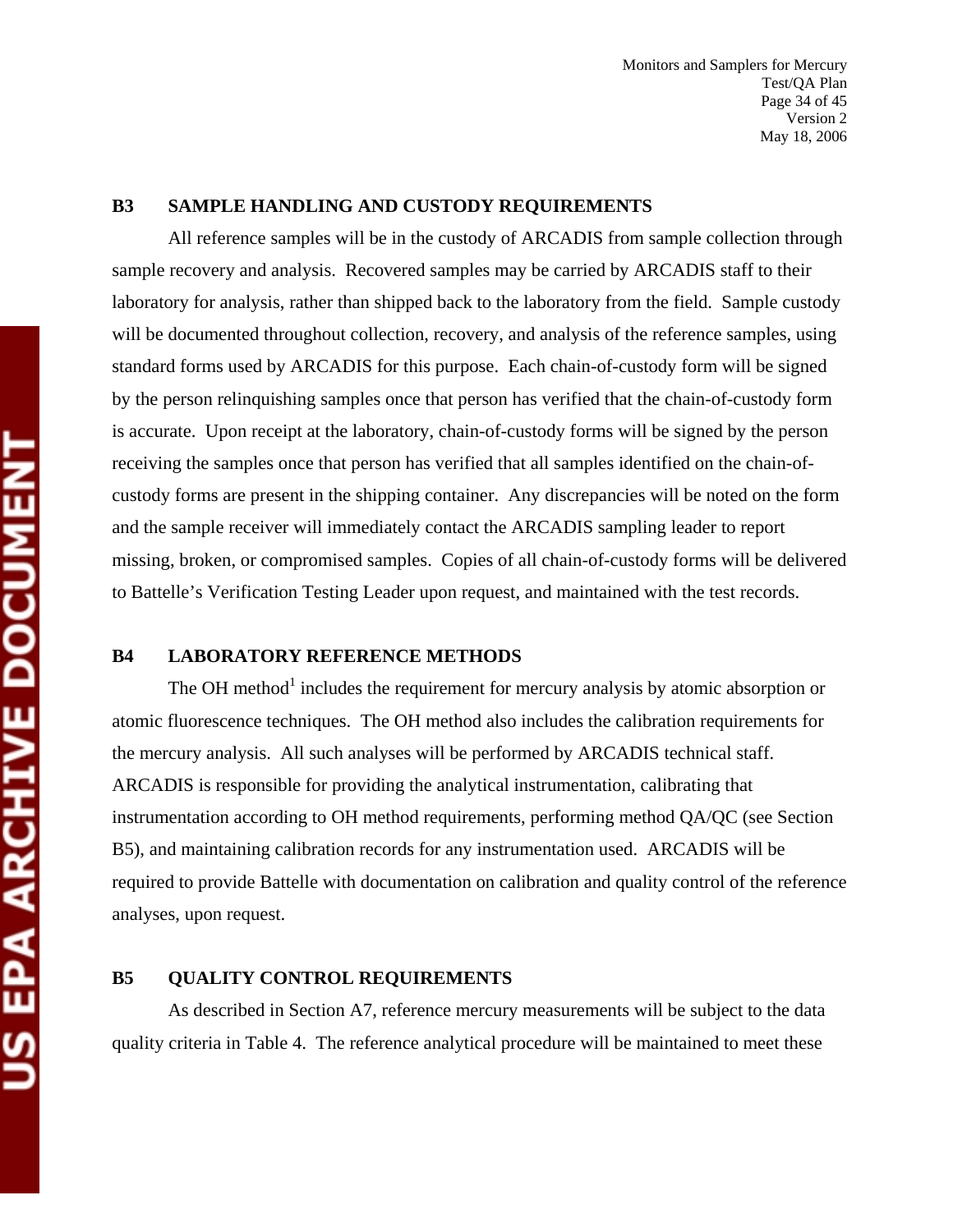#### **B3 SAMPLE HANDLING AND CUSTODY REQUIREMENTS**

All reference samples will be in the custody of ARCADIS from sample collection through sample recovery and analysis. Recovered samples may be carried by ARCADIS staff to their laboratory for analysis, rather than shipped back to the laboratory from the field. Sample custody will be documented throughout collection, recovery, and analysis of the reference samples, using standard forms used by ARCADIS for this purpose. Each chain-of-custody form will be signed by the person relinquishing samples once that person has verified that the chain-of-custody form is accurate. Upon receipt at the laboratory, chain-of-custody forms will be signed by the person receiving the samples once that person has verified that all samples identified on the chain-ofcustody forms are present in the shipping container. Any discrepancies will be noted on the form and the sample receiver will immediately contact the ARCADIS sampling leader to report missing, broken, or compromised samples. Copies of all chain-of-custody forms will be delivered to Battelle's Verification Testing Leader upon request, and maintained with the test records.

#### **B4 LABORATORY REFERENCE METHODS**

The OH method<sup>1</sup> includes the requirement for mercury analysis by atomic absorption or atomic fluorescence techniques. The OH method also includes the calibration requirements for the mercury analysis. All such analyses will be performed by ARCADIS technical staff. ARCADIS is responsible for providing the analytical instrumentation, calibrating that instrumentation according to OH method requirements, performing method QA/QC (see Section B5), and maintaining calibration records for any instrumentation used. ARCADIS will be required to provide Battelle with documentation on calibration and quality control of the reference analyses, upon request.

#### **B5 QUALITY CONTROL REQUIREMENTS**

As described in Section A7, reference mercury measurements will be subject to the data quality criteria in Table 4. The reference analytical procedure will be maintained to meet these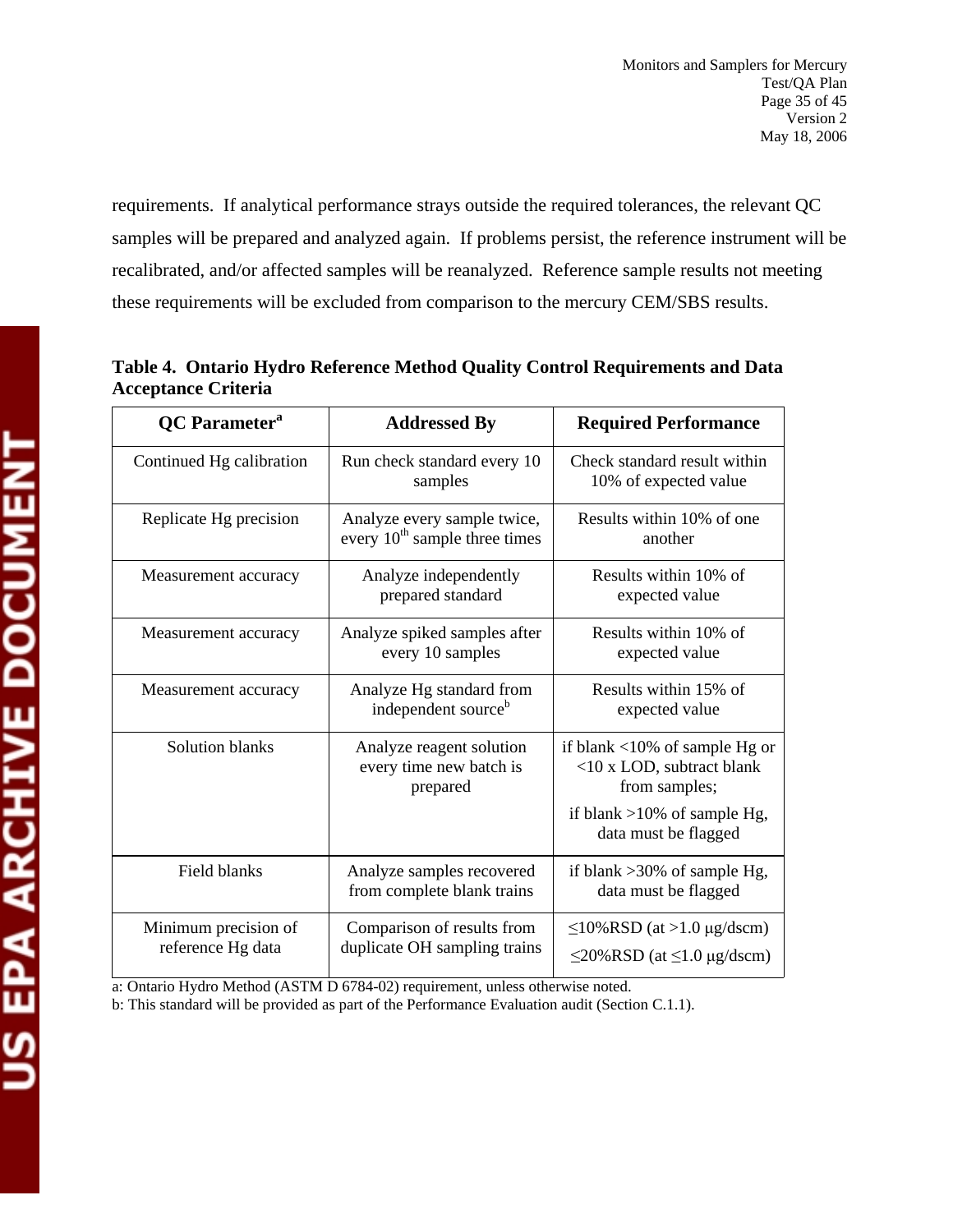requirements. If analytical performance strays outside the required tolerances, the relevant QC samples will be prepared and analyzed again. If problems persist, the reference instrument will be recalibrated, and/or affected samples will be reanalyzed. Reference sample results not meeting these requirements will be excluded from comparison to the mercury CEM/SBS results.

| <b>QC</b> Parameter <sup>a</sup>          | <b>Addressed By</b>                                             | <b>Required Performance</b>                                                           |
|-------------------------------------------|-----------------------------------------------------------------|---------------------------------------------------------------------------------------|
| Continued Hg calibration                  | Run check standard every 10<br>samples                          | Check standard result within<br>10% of expected value                                 |
| Replicate Hg precision                    | Analyze every sample twice,<br>every $10th$ sample three times  | Results within 10% of one<br>another                                                  |
| Measurement accuracy                      | Analyze independently<br>prepared standard                      | Results within 10% of<br>expected value                                               |
| Measurement accuracy                      | Analyze spiked samples after<br>every 10 samples                | Results within 10% of<br>expected value                                               |
| Measurement accuracy                      | Analyze Hg standard from<br>independent source <sup>b</sup>     | Results within 15% of<br>expected value                                               |
| Solution blanks                           | Analyze reagent solution<br>every time new batch is<br>prepared | if blank $\langle 10\%$ of sample Hg or<br><10 x LOD, subtract blank<br>from samples; |
|                                           |                                                                 | if blank $>10\%$ of sample Hg,<br>data must be flagged                                |
| Field blanks                              | Analyze samples recovered<br>from complete blank trains         | if blank $>30\%$ of sample Hg,<br>data must be flagged                                |
| Minimum precision of<br>reference Hg data | Comparison of results from<br>duplicate OH sampling trains      | $\leq$ 10%RSD (at >1.0 µg/dscm)<br>$\leq$ 20%RSD (at $\leq$ 1.0 µg/dscm)              |

**Table 4. Ontario Hydro Reference Method Quality Control Requirements and Data Acceptance Criteria** 

a: Ontario Hydro Method (ASTM D 6784-02) requirement, unless otherwise noted.

b: This standard will be provided as part of the Performance Evaluation audit (Section C.1.1).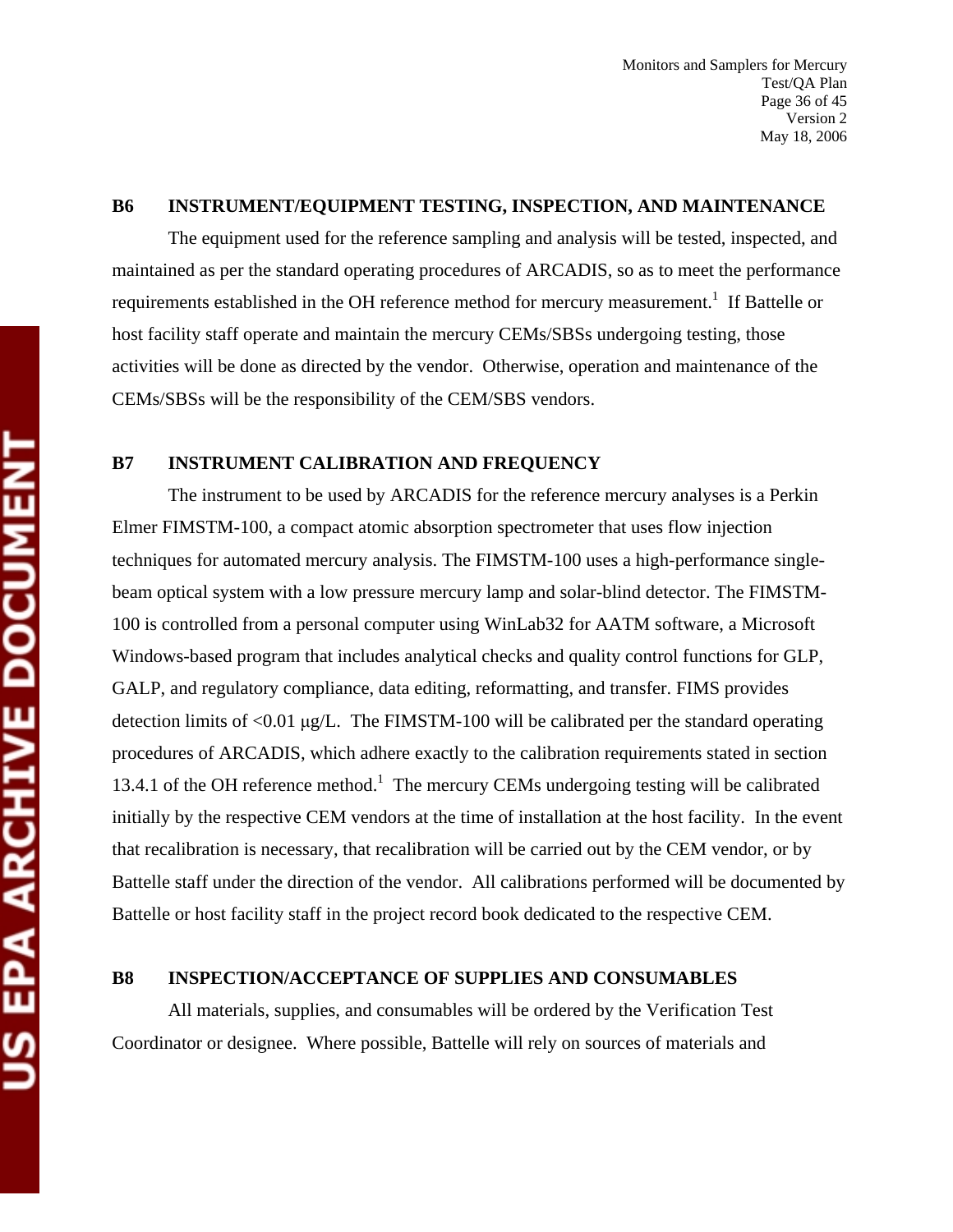#### **B6 INSTRUMENT/EQUIPMENT TESTING, INSPECTION, AND MAINTENANCE**

The equipment used for the reference sampling and analysis will be tested, inspected, and maintained as per the standard operating procedures of ARCADIS, so as to meet the performance requirements established in the OH reference method for mercury measurement.<sup>1</sup> If Battelle or host facility staff operate and maintain the mercury CEMs/SBSs undergoing testing, those activities will be done as directed by the vendor. Otherwise, operation and maintenance of the CEMs/SBSs will be the responsibility of the CEM/SBS vendors.

#### **B7 INSTRUMENT CALIBRATION AND FREQUENCY**

The instrument to be used by ARCADIS for the reference mercury analyses is a Perkin Elmer FIMSTM-100, a compact atomic absorption spectrometer that uses flow injection techniques for automated mercury analysis. The FIMSTM-100 uses a high-performance singlebeam optical system with a low pressure mercury lamp and solar-blind detector. The FIMSTM-100 is controlled from a personal computer using WinLab32 for AATM software, a Microsoft Windows-based program that includes analytical checks and quality control functions for GLP, GALP, and regulatory compliance, data editing, reformatting, and transfer. FIMS provides detection limits of <0.01 μg/L. The FIMSTM-100 will be calibrated per the standard operating procedures of ARCADIS, which adhere exactly to the calibration requirements stated in section 13.4.1 of the OH reference method.<sup>1</sup> The mercury CEMs undergoing testing will be calibrated initially by the respective CEM vendors at the time of installation at the host facility. In the event that recalibration is necessary, that recalibration will be carried out by the CEM vendor, or by Battelle staff under the direction of the vendor. All calibrations performed will be documented by Battelle or host facility staff in the project record book dedicated to the respective CEM.

#### **B8 INSPECTION/ACCEPTANCE OF SUPPLIES AND CONSUMABLES**

All materials, supplies, and consumables will be ordered by the Verification Test Coordinator or designee. Where possible, Battelle will rely on sources of materials and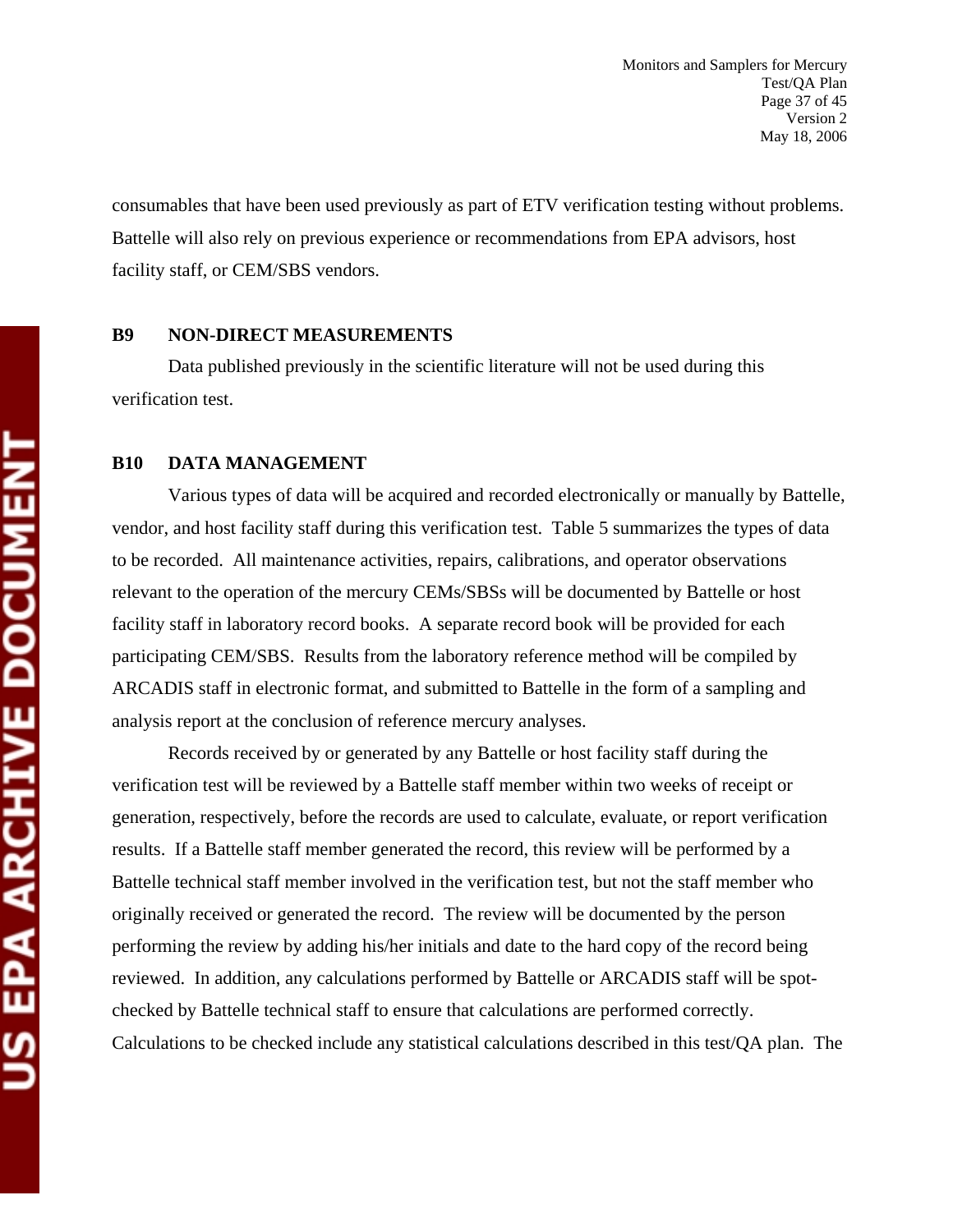consumables that have been used previously as part of ETV verification testing without problems. Battelle will also rely on previous experience or recommendations from EPA advisors, host facility staff, or CEM/SBS vendors.

#### **B9 NON-DIRECT MEASUREMENTS**

Data published previously in the scientific literature will not be used during this verification test.

#### **B10 DATA MANAGEMENT**

Various types of data will be acquired and recorded electronically or manually by Battelle, vendor, and host facility staff during this verification test. Table 5 summarizes the types of data to be recorded. All maintenance activities, repairs, calibrations, and operator observations relevant to the operation of the mercury CEMs/SBSs will be documented by Battelle or host facility staff in laboratory record books. A separate record book will be provided for each participating CEM/SBS. Results from the laboratory reference method will be compiled by ARCADIS staff in electronic format, and submitted to Battelle in the form of a sampling and analysis report at the conclusion of reference mercury analyses.

Records received by or generated by any Battelle or host facility staff during the verification test will be reviewed by a Battelle staff member within two weeks of receipt or generation, respectively, before the records are used to calculate, evaluate, or report verification results. If a Battelle staff member generated the record, this review will be performed by a Battelle technical staff member involved in the verification test, but not the staff member who originally received or generated the record. The review will be documented by the person performing the review by adding his/her initials and date to the hard copy of the record being reviewed. In addition, any calculations performed by Battelle or ARCADIS staff will be spotchecked by Battelle technical staff to ensure that calculations are performed correctly. Calculations to be checked include any statistical calculations described in this test/QA plan. The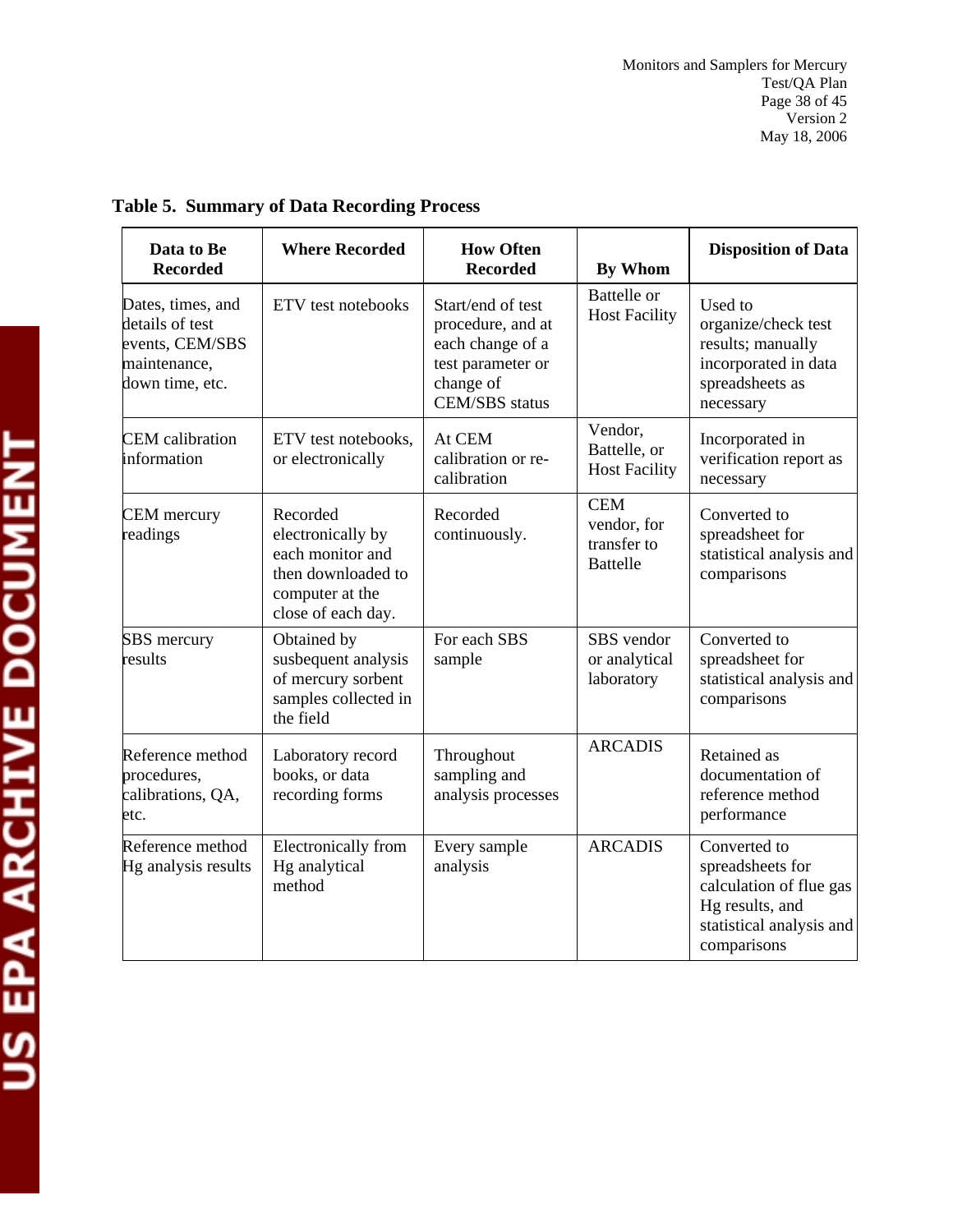| Data to Be<br><b>Recorded</b>                                                              | <b>Where Recorded</b>                                                                                            | <b>How Often</b><br><b>Recorded</b>                                                                                   | <b>By Whom</b>                                              | <b>Disposition of Data</b>                                                                                                |
|--------------------------------------------------------------------------------------------|------------------------------------------------------------------------------------------------------------------|-----------------------------------------------------------------------------------------------------------------------|-------------------------------------------------------------|---------------------------------------------------------------------------------------------------------------------------|
| Dates, times, and<br>details of test<br>events, CEM/SBS<br>maintenance,<br>down time, etc. | ETV test notebooks                                                                                               | Start/end of test<br>procedure, and at<br>each change of a<br>test parameter or<br>change of<br><b>CEM/SBS</b> status | <b>Battelle</b> or<br><b>Host Facility</b>                  | Used to<br>organize/check test<br>results; manually<br>incorporated in data<br>spreadsheets as<br>necessary               |
| <b>CEM</b> calibration<br>information                                                      | ETV test notebooks,<br>or electronically                                                                         | At CEM<br>calibration or re-<br>calibration                                                                           | Vendor,<br>Battelle, or<br><b>Host Facility</b>             | Incorporated in<br>verification report as<br>necessary                                                                    |
| <b>CEM</b> mercury<br>readings                                                             | Recorded<br>electronically by<br>each monitor and<br>then downloaded to<br>computer at the<br>close of each day. | Recorded<br>continuously.                                                                                             | <b>CEM</b><br>vendor, for<br>transfer to<br><b>Battelle</b> | Converted to<br>spreadsheet for<br>statistical analysis and<br>comparisons                                                |
| SBS mercury<br>results                                                                     | Obtained by<br>susbequent analysis<br>of mercury sorbent<br>samples collected in<br>the field                    | For each SBS<br>sample                                                                                                | SBS vendor<br>or analytical<br>laboratory                   | Converted to<br>spreadsheet for<br>statistical analysis and<br>comparisons                                                |
| Reference method<br>procedures,<br>calibrations, QA,<br>etc.                               | Laboratory record<br>books, or data<br>recording forms                                                           | Throughout<br>sampling and<br>analysis processes                                                                      | <b>ARCADIS</b>                                              | Retained as<br>documentation of<br>reference method<br>performance                                                        |
| Reference method<br>Hg analysis results                                                    | Electronically from<br>Hg analytical<br>method                                                                   | Every sample<br>analysis                                                                                              | <b>ARCADIS</b>                                              | Converted to<br>spreadsheets for<br>calculation of flue gas<br>Hg results, and<br>statistical analysis and<br>comparisons |

## **Table 5. Summary of Data Recording Process**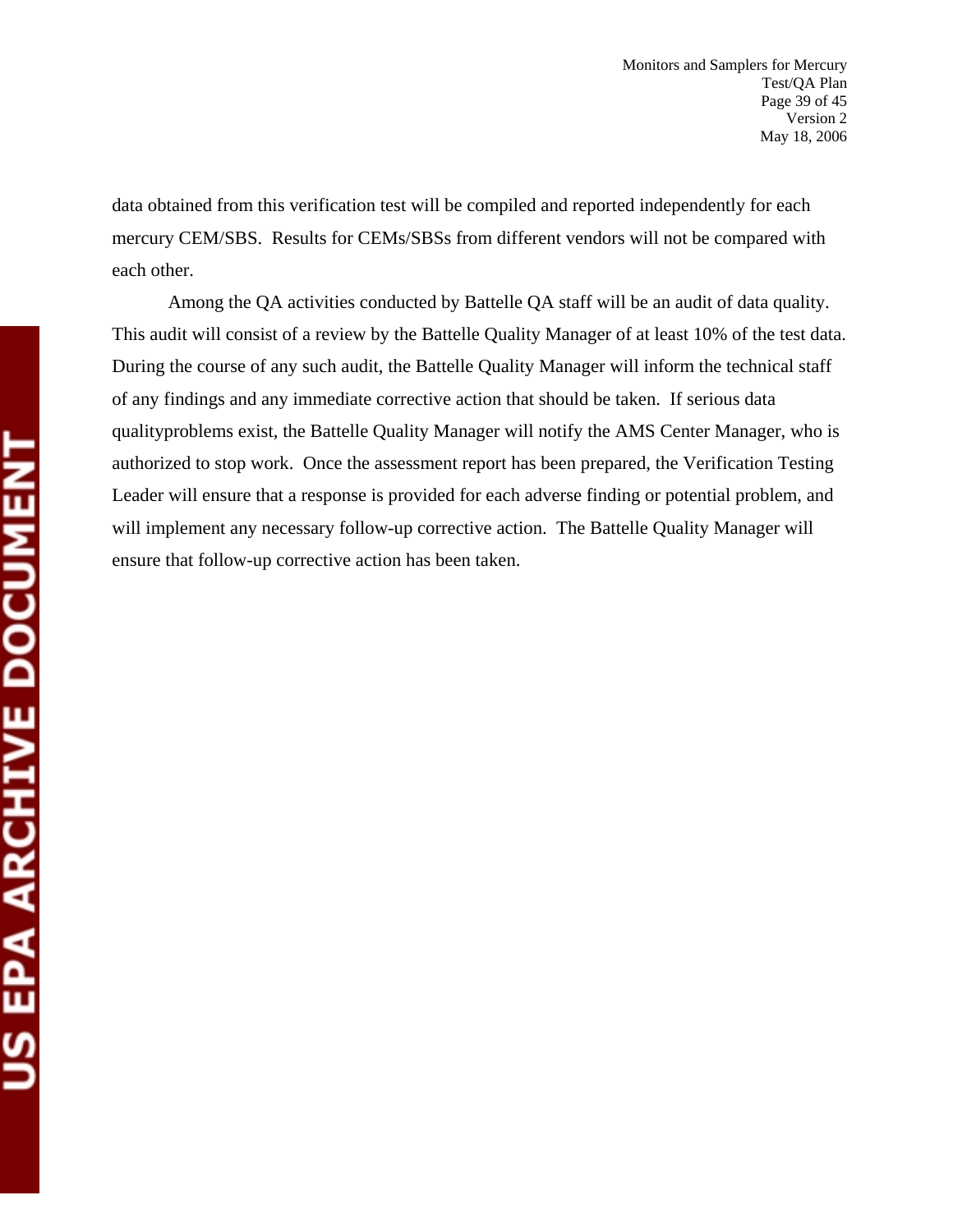data obtained from this verification test will be compiled and reported independently for each mercury CEM/SBS. Results for CEMs/SBSs from different vendors will not be compared with each other.

Among the QA activities conducted by Battelle QA staff will be an audit of data quality. This audit will consist of a review by the Battelle Quality Manager of at least 10% of the test data. During the course of any such audit, the Battelle Quality Manager will inform the technical staff of any findings and any immediate corrective action that should be taken. If serious data qualityproblems exist, the Battelle Quality Manager will notify the AMS Center Manager, who is authorized to stop work. Once the assessment report has been prepared, the Verification Testing Leader will ensure that a response is provided for each adverse finding or potential problem, and will implement any necessary follow-up corrective action. The Battelle Quality Manager will ensure that follow-up corrective action has been taken.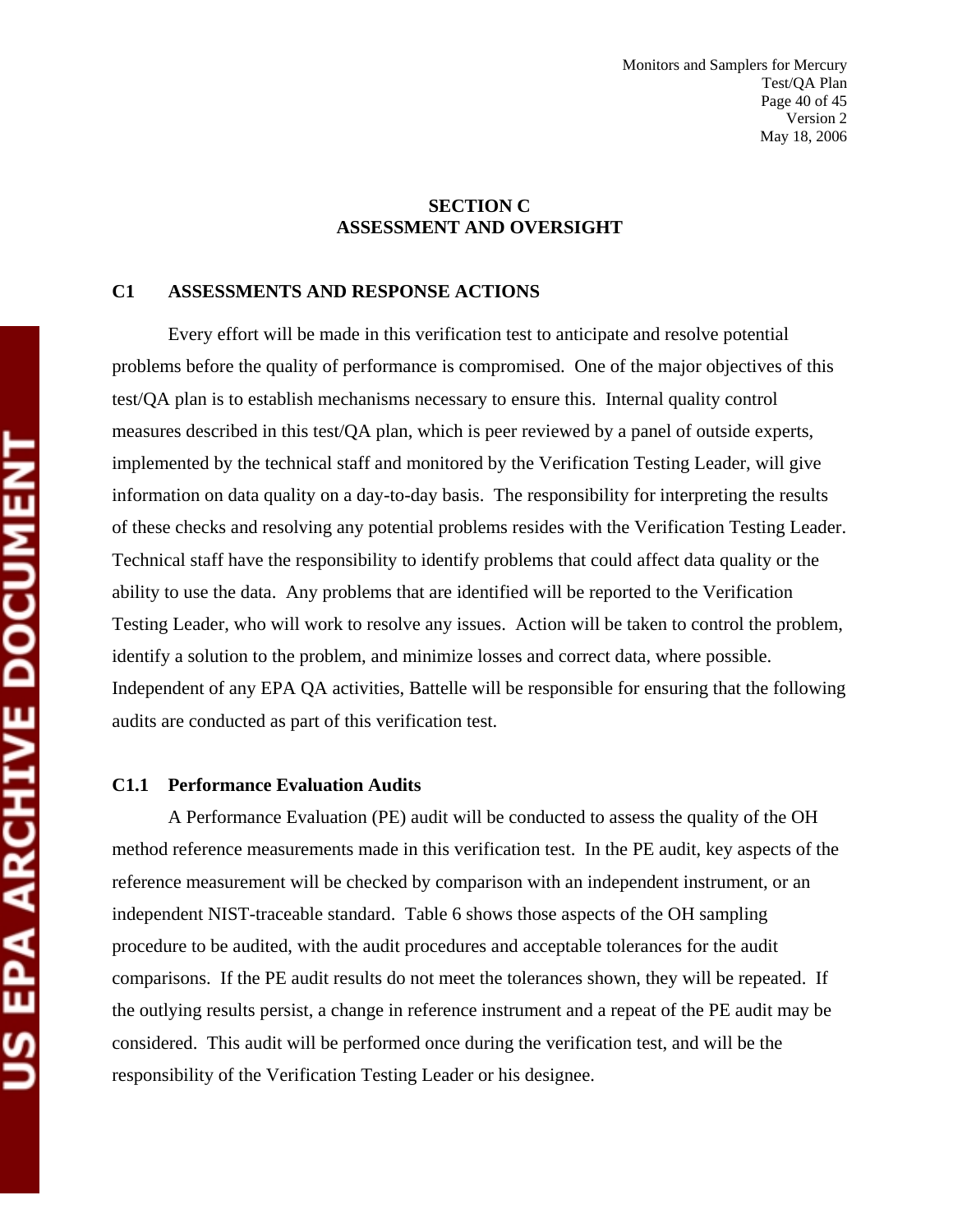#### **SECTION C ASSESSMENT AND OVERSIGHT**

#### **C1 ASSESSMENTS AND RESPONSE ACTIONS**

Every effort will be made in this verification test to anticipate and resolve potential problems before the quality of performance is compromised. One of the major objectives of this test/QA plan is to establish mechanisms necessary to ensure this. Internal quality control measures described in this test/QA plan, which is peer reviewed by a panel of outside experts, implemented by the technical staff and monitored by the Verification Testing Leader, will give information on data quality on a day-to-day basis. The responsibility for interpreting the results of these checks and resolving any potential problems resides with the Verification Testing Leader. Technical staff have the responsibility to identify problems that could affect data quality or the ability to use the data. Any problems that are identified will be reported to the Verification Testing Leader, who will work to resolve any issues. Action will be taken to control the problem, identify a solution to the problem, and minimize losses and correct data, where possible. Independent of any EPA QA activities, Battelle will be responsible for ensuring that the following audits are conducted as part of this verification test.

#### **C1.1 Performance Evaluation Audits**

A Performance Evaluation (PE) audit will be conducted to assess the quality of the OH method reference measurements made in this verification test. In the PE audit, key aspects of the reference measurement will be checked by comparison with an independent instrument, or an independent NIST-traceable standard. Table 6 shows those aspects of the OH sampling procedure to be audited, with the audit procedures and acceptable tolerances for the audit comparisons. If the PE audit results do not meet the tolerances shown, they will be repeated. If the outlying results persist, a change in reference instrument and a repeat of the PE audit may be considered. This audit will be performed once during the verification test, and will be the responsibility of the Verification Testing Leader or his designee.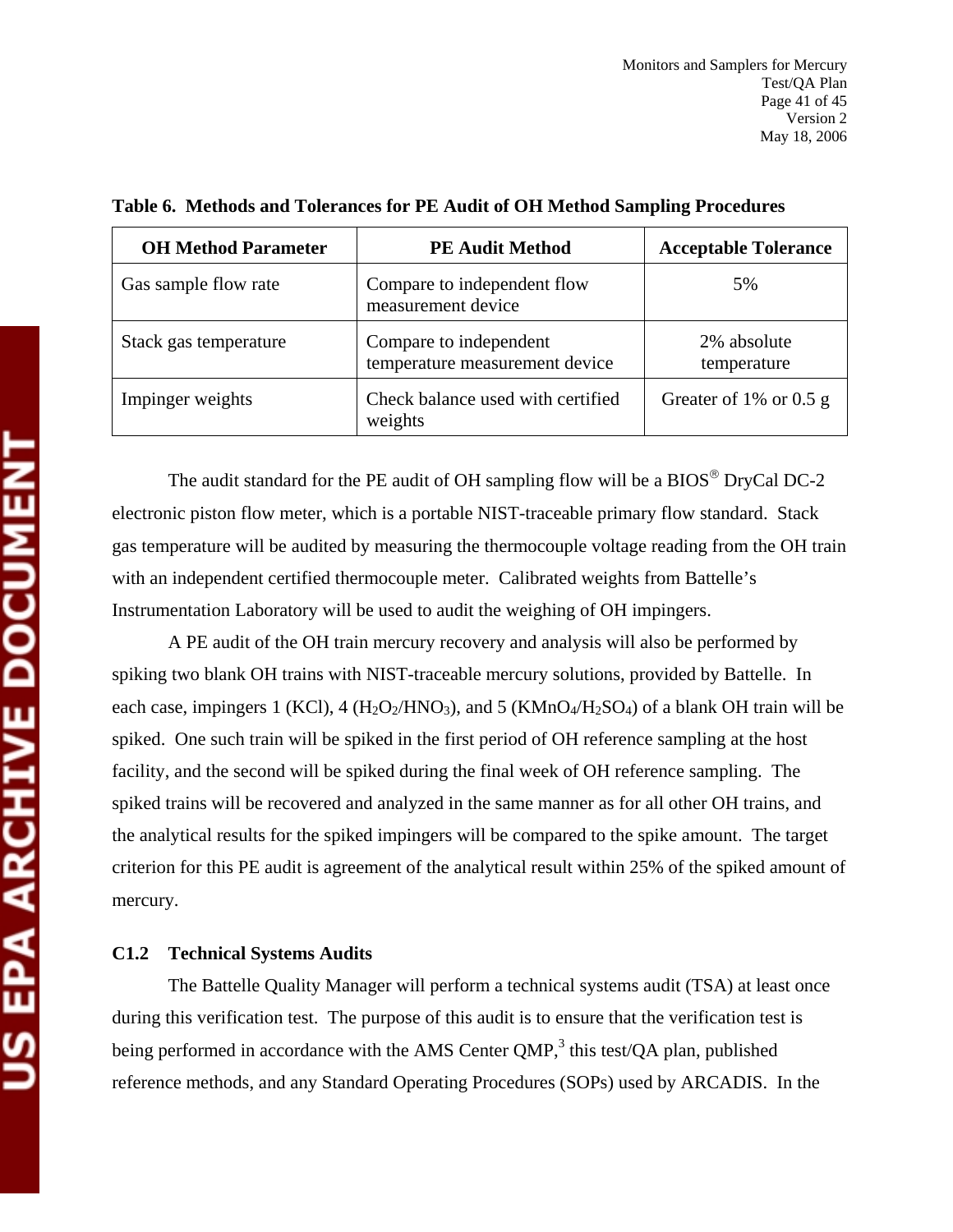| <b>OH Method Parameter</b> | <b>PE Audit Method</b>                                   | <b>Acceptable Tolerance</b> |
|----------------------------|----------------------------------------------------------|-----------------------------|
| Gas sample flow rate       | Compare to independent flow<br>measurement device        | 5%                          |
| Stack gas temperature      | Compare to independent<br>temperature measurement device | 2% absolute<br>temperature  |
| Impinger weights           | Check balance used with certified<br>weights             | Greater of 1% or 0.5 g      |

**Table 6. Methods and Tolerances for PE Audit of OH Method Sampling Procedures** 

The audit standard for the PE audit of OH sampling flow will be a  $BIOS^@$  DryCal DC-2 electronic piston flow meter, which is a portable NIST-traceable primary flow standard. Stack gas temperature will be audited by measuring the thermocouple voltage reading from the OH train with an independent certified thermocouple meter. Calibrated weights from Battelle's Instrumentation Laboratory will be used to audit the weighing of OH impingers.

A PE audit of the OH train mercury recovery and analysis will also be performed by spiking two blank OH trains with NIST-traceable mercury solutions, provided by Battelle. In each case, impingers 1 (KCl), 4 ( $H_2O_2/HNO_3$ ), and 5 (KMnO<sub>4</sub>/ $H_2SO_4$ ) of a blank OH train will be spiked. One such train will be spiked in the first period of OH reference sampling at the host facility, and the second will be spiked during the final week of OH reference sampling. The spiked trains will be recovered and analyzed in the same manner as for all other OH trains, and the analytical results for the spiked impingers will be compared to the spike amount. The target criterion for this PE audit is agreement of the analytical result within 25% of the spiked amount of mercury.

#### **C1.2 Technical Systems Audits**

The Battelle Quality Manager will perform a technical systems audit (TSA) at least once during this verification test. The purpose of this audit is to ensure that the verification test is being performed in accordance with the AMS Center QMP, $3$  this test/QA plan, published reference methods, and any Standard Operating Procedures (SOPs) used by ARCADIS. In the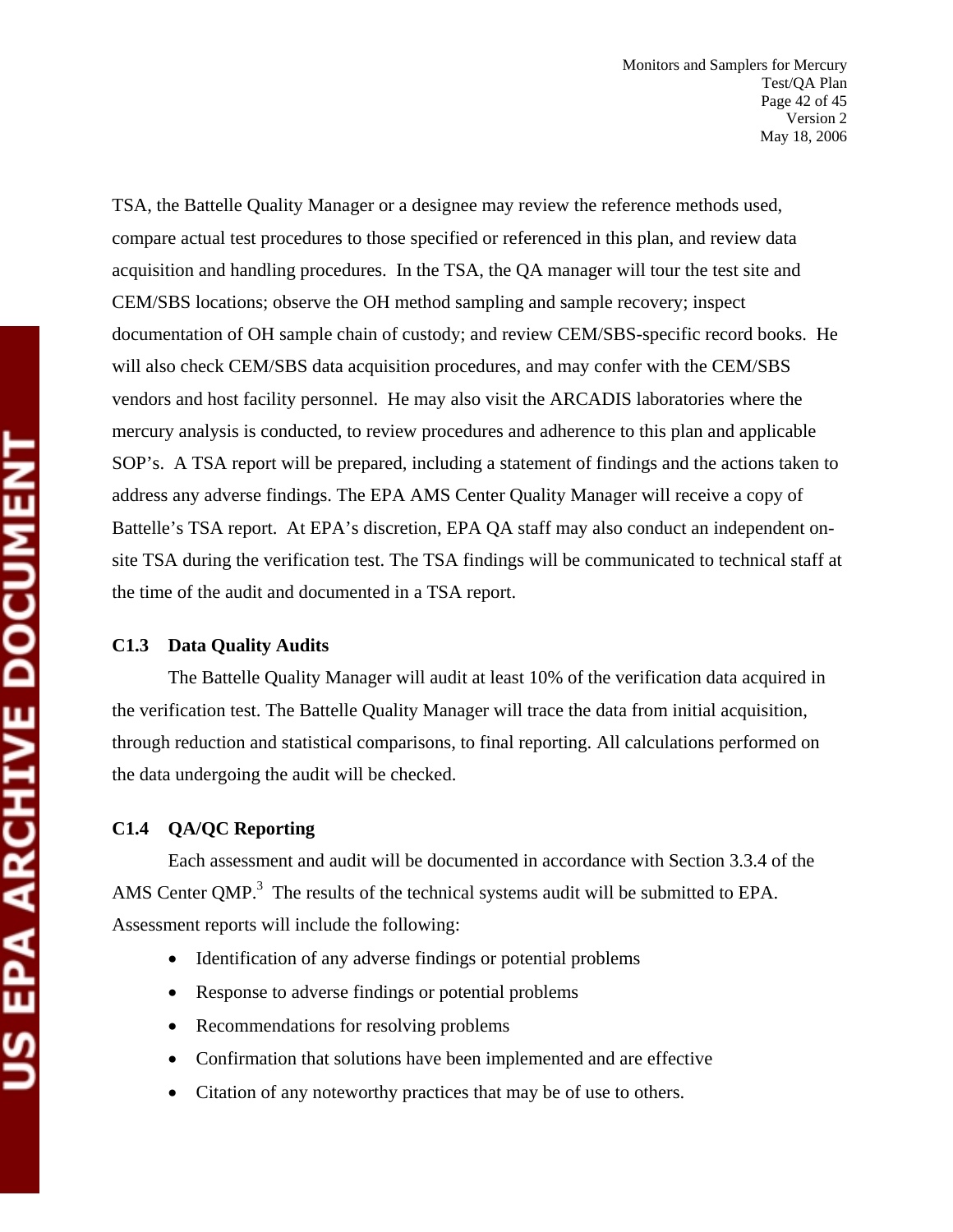TSA, the Battelle Quality Manager or a designee may review the reference methods used, compare actual test procedures to those specified or referenced in this plan, and review data acquisition and handling procedures. In the TSA, the QA manager will tour the test site and CEM/SBS locations; observe the OH method sampling and sample recovery; inspect documentation of OH sample chain of custody; and review CEM/SBS-specific record books. He will also check CEM/SBS data acquisition procedures, and may confer with the CEM/SBS vendors and host facility personnel. He may also visit the ARCADIS laboratories where the mercury analysis is conducted, to review procedures and adherence to this plan and applicable SOP's. A TSA report will be prepared, including a statement of findings and the actions taken to address any adverse findings. The EPA AMS Center Quality Manager will receive a copy of Battelle's TSA report. At EPA's discretion, EPA QA staff may also conduct an independent onsite TSA during the verification test. The TSA findings will be communicated to technical staff at the time of the audit and documented in a TSA report.

#### **C1.3 Data Quality Audits**

The Battelle Quality Manager will audit at least 10% of the verification data acquired in the verification test. The Battelle Quality Manager will trace the data from initial acquisition, through reduction and statistical comparisons, to final reporting. All calculations performed on the data undergoing the audit will be checked.

#### **C1.4 QA/QC Reporting**

Each assessment and audit will be documented in accordance with Section 3.3.4 of the AMS Center QMP. $3$  The results of the technical systems audit will be submitted to EPA. Assessment reports will include the following:

- Identification of any adverse findings or potential problems
- Response to adverse findings or potential problems
- Recommendations for resolving problems
- Confirmation that solutions have been implemented and are effective
- Citation of any noteworthy practices that may be of use to others.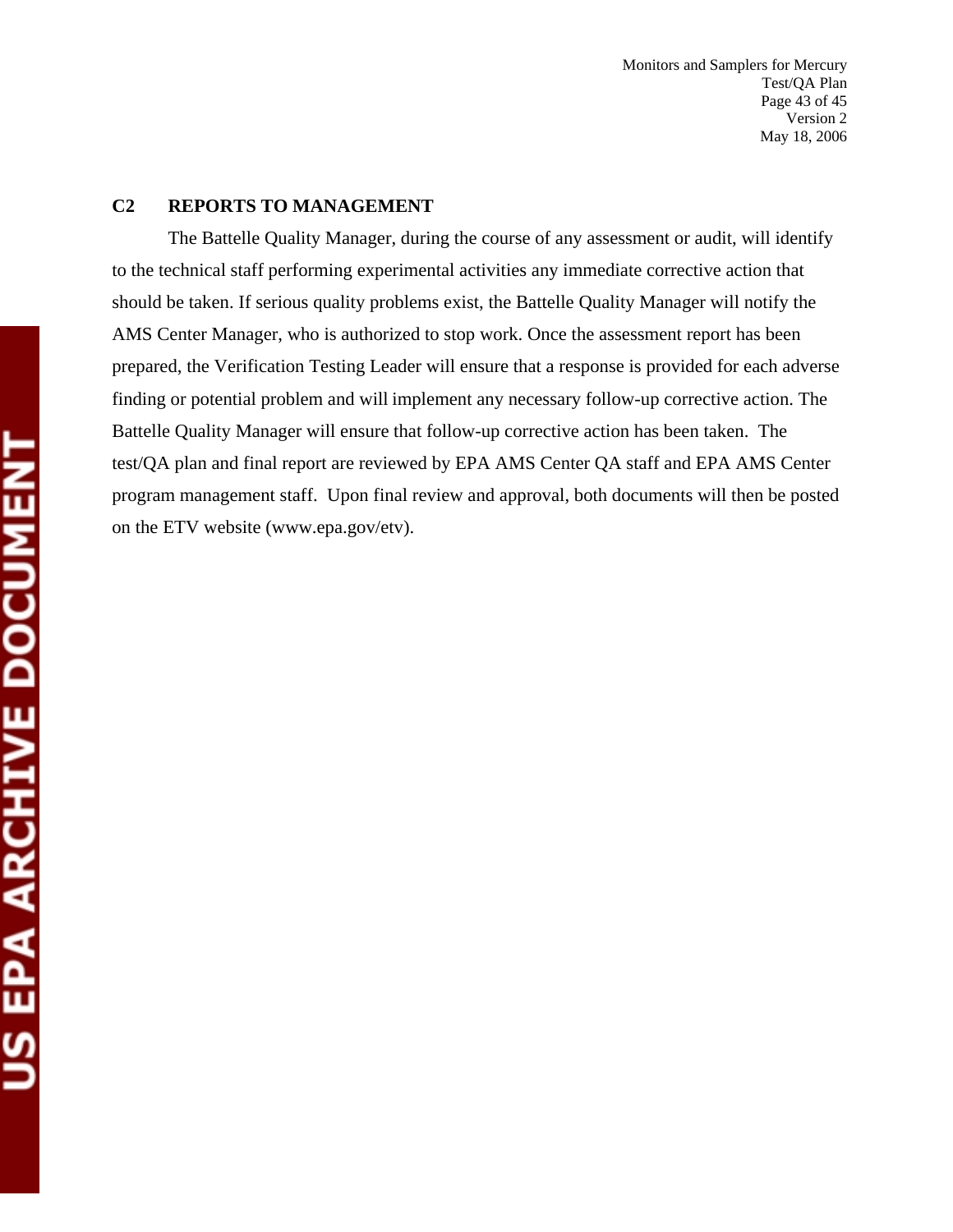Monitors and Samplers for Mercury Test/QA Plan Page 43 of 45 Version 2 May 18, 2006

#### **C2 REPORTS TO MANAGEMENT**

The Battelle Quality Manager, during the course of any assessment or audit, will identify to the technical staff performing experimental activities any immediate corrective action that should be taken. If serious quality problems exist, the Battelle Quality Manager will notify the AMS Center Manager, who is authorized to stop work. Once the assessment report has been prepared, the Verification Testing Leader will ensure that a response is provided for each adverse finding or potential problem and will implement any necessary follow-up corrective action. The Battelle Quality Manager will ensure that follow-up corrective action has been taken. The test/QA plan and final report are reviewed by EPA AMS Center QA staff and EPA AMS Center program management staff. Upon final review and approval, both documents will then be posted on the ETV website (www.epa.gov/etv).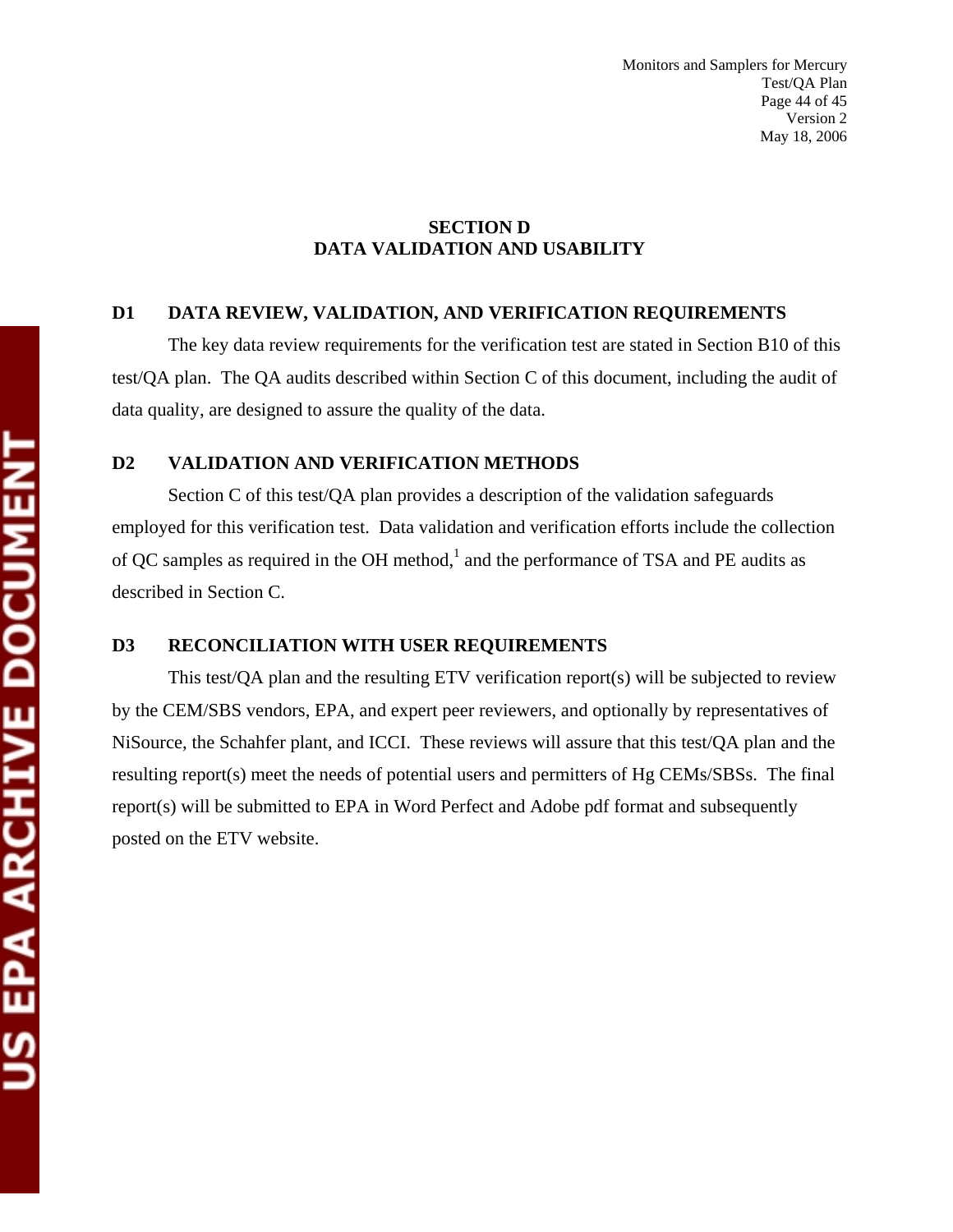#### **SECTION D DATA VALIDATION AND USABILITY**

#### **D1 DATA REVIEW, VALIDATION, AND VERIFICATION REQUIREMENTS**

The key data review requirements for the verification test are stated in Section B10 of this test/QA plan. The QA audits described within Section C of this document, including the audit of data quality, are designed to assure the quality of the data.

#### **D2 VALIDATION AND VERIFICATION METHODS**

Section C of this test/QA plan provides a description of the validation safeguards employed for this verification test. Data validation and verification efforts include the collection of QC samples as required in the OH method, $<sup>1</sup>$  and the performance of TSA and PE audits as</sup> described in Section C.

#### **D3 RECONCILIATION WITH USER REQUIREMENTS**

This test/QA plan and the resulting ETV verification report(s) will be subjected to review by the CEM/SBS vendors, EPA, and expert peer reviewers, and optionally by representatives of NiSource, the Schahfer plant, and ICCI. These reviews will assure that this test/QA plan and the resulting report(s) meet the needs of potential users and permitters of Hg CEMs/SBSs. The final report(s) will be submitted to EPA in Word Perfect and Adobe pdf format and subsequently posted on the ETV website.